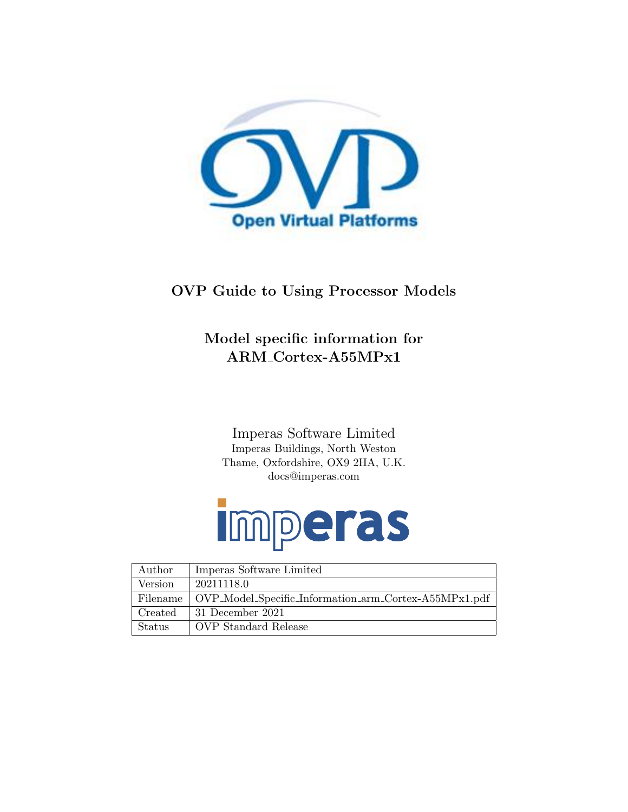

#### OVP Guide to Using Processor Models

#### Model specific information for ARM Cortex-A55MPx1

Imperas Software Limited Imperas Buildings, North Weston Thame, Oxfordshire, OX9 2HA, U.K. docs@imperas.com

# Imperas

| Author   | Imperas Software Limited                              |
|----------|-------------------------------------------------------|
| Version  | 20211118.0                                            |
| Filename | OVP_Model_Specific_Information_arm_Cortex-A55MPx1.pdf |
| Created  | 31 December 2021                                      |
| Status   | OVP Standard Release                                  |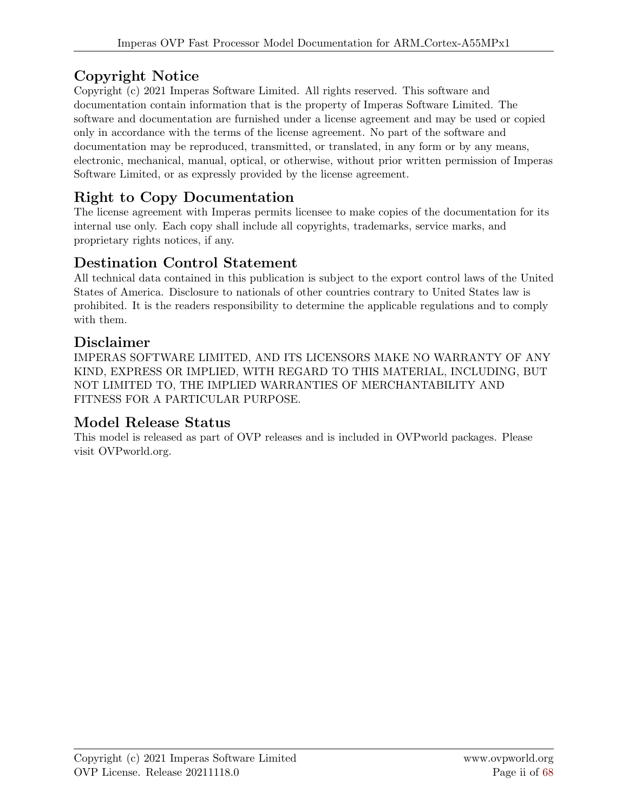#### Copyright Notice

Copyright (c) 2021 Imperas Software Limited. All rights reserved. This software and documentation contain information that is the property of Imperas Software Limited. The software and documentation are furnished under a license agreement and may be used or copied only in accordance with the terms of the license agreement. No part of the software and documentation may be reproduced, transmitted, or translated, in any form or by any means, electronic, mechanical, manual, optical, or otherwise, without prior written permission of Imperas Software Limited, or as expressly provided by the license agreement.

#### Right to Copy Documentation

The license agreement with Imperas permits licensee to make copies of the documentation for its internal use only. Each copy shall include all copyrights, trademarks, service marks, and proprietary rights notices, if any.

#### Destination Control Statement

All technical data contained in this publication is subject to the export control laws of the United States of America. Disclosure to nationals of other countries contrary to United States law is prohibited. It is the readers responsibility to determine the applicable regulations and to comply with them.

#### Disclaimer

IMPERAS SOFTWARE LIMITED, AND ITS LICENSORS MAKE NO WARRANTY OF ANY KIND, EXPRESS OR IMPLIED, WITH REGARD TO THIS MATERIAL, INCLUDING, BUT NOT LIMITED TO, THE IMPLIED WARRANTIES OF MERCHANTABILITY AND FITNESS FOR A PARTICULAR PURPOSE.

#### Model Release Status

This model is released as part of OVP releases and is included in OVPworld packages. Please visit OVPworld.org.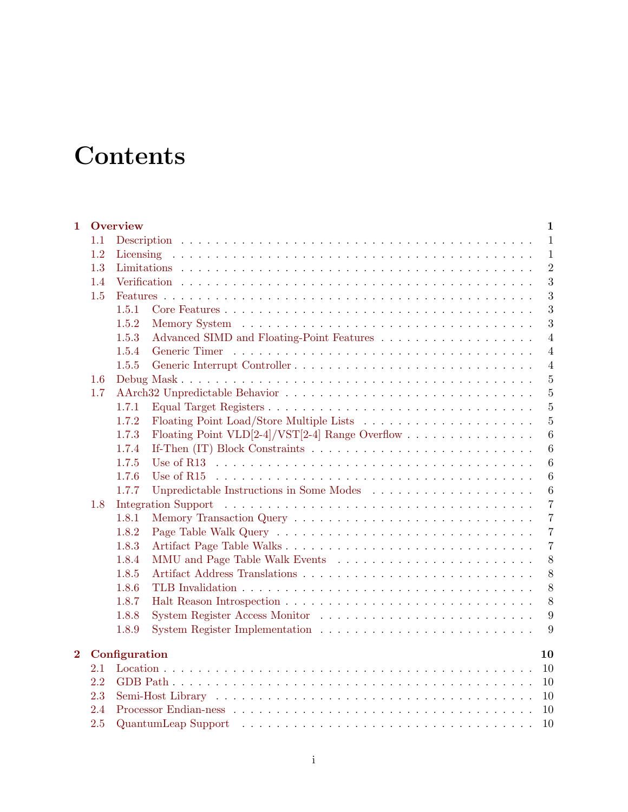### **Contents**

| $\mathbf{1}$   |     | <b>Overview</b><br>$\mathbf{1}$                                                                                                                                                                                                                  |
|----------------|-----|--------------------------------------------------------------------------------------------------------------------------------------------------------------------------------------------------------------------------------------------------|
|                | 1.1 | $\mathbf{1}$                                                                                                                                                                                                                                     |
|                | 1.2 | $\mathbf{1}$                                                                                                                                                                                                                                     |
|                | 1.3 | $\overline{2}$                                                                                                                                                                                                                                   |
|                | 1.4 | 3                                                                                                                                                                                                                                                |
|                | 1.5 | 3                                                                                                                                                                                                                                                |
|                |     | 3<br>1.5.1                                                                                                                                                                                                                                       |
|                |     | 3<br>1.5.2                                                                                                                                                                                                                                       |
|                |     | $\overline{4}$<br>1.5.3                                                                                                                                                                                                                          |
|                |     | 1.5.4<br>$\overline{4}$                                                                                                                                                                                                                          |
|                |     | 1.5.5<br>$\overline{4}$                                                                                                                                                                                                                          |
|                | 1.6 | $\overline{5}$                                                                                                                                                                                                                                   |
|                | 1.7 | $\overline{5}$                                                                                                                                                                                                                                   |
|                |     | $\overline{5}$<br>1.7.1                                                                                                                                                                                                                          |
|                |     | $\overline{5}$<br>1.7.2                                                                                                                                                                                                                          |
|                |     | Floating Point VLD[2-4]/VST[2-4] Range Overflow<br>$\boldsymbol{6}$<br>1.7.3                                                                                                                                                                     |
|                |     | $\boldsymbol{6}$<br>1.7.4                                                                                                                                                                                                                        |
|                |     | 1.7.5<br>$\boldsymbol{6}$                                                                                                                                                                                                                        |
|                |     | 1.7.6<br>6                                                                                                                                                                                                                                       |
|                |     | 1.7.7<br>$\,6\,$                                                                                                                                                                                                                                 |
|                | 1.8 | Integration Support (a) and a series are a series of the series of the series of the series of the series of the series of the series of the series of the series of the series of the series of the series of the series of t<br>$\overline{7}$ |
|                |     | $\overline{7}$<br>1.8.1                                                                                                                                                                                                                          |
|                |     | 1.8.2<br>$\overline{7}$                                                                                                                                                                                                                          |
|                |     | $\overline{7}$<br>1.8.3                                                                                                                                                                                                                          |
|                |     | 8<br>1.8.4                                                                                                                                                                                                                                       |
|                |     | 8<br>1.8.5                                                                                                                                                                                                                                       |
|                |     | 8<br>1.8.6                                                                                                                                                                                                                                       |
|                |     | 8<br>1.8.7                                                                                                                                                                                                                                       |
|                |     | 9<br>1.8.8                                                                                                                                                                                                                                       |
|                |     | 1.8.9<br>9                                                                                                                                                                                                                                       |
| $\overline{2}$ |     | Configuration<br>10                                                                                                                                                                                                                              |
|                | 2.1 | 10                                                                                                                                                                                                                                               |
|                | 2.2 | 10                                                                                                                                                                                                                                               |
|                | 2.3 | 10                                                                                                                                                                                                                                               |
|                | 2.4 | 10                                                                                                                                                                                                                                               |
|                | 2.5 | $\text{Quantum}$ Leap Support $\ldots \ldots \ldots \ldots \ldots \ldots \ldots \ldots \ldots \ldots \ldots \ldots$<br>10                                                                                                                        |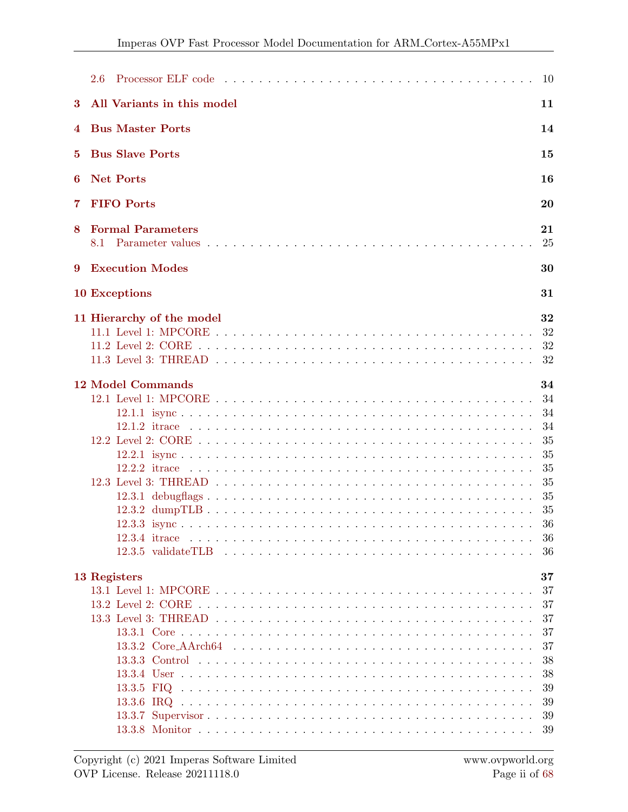|                | 2.6                                          | 10                                                                          |
|----------------|----------------------------------------------|-----------------------------------------------------------------------------|
| 3              | All Variants in this model                   | 11                                                                          |
| 4              | <b>Bus Master Ports</b>                      | 14                                                                          |
| 5.             | <b>Bus Slave Ports</b>                       | 15                                                                          |
| 6              | <b>Net Ports</b>                             | 16                                                                          |
| $\overline{7}$ | <b>FIFO</b> Ports                            | 20                                                                          |
| 8              | <b>Formal Parameters</b><br>8.1              | 21<br>25                                                                    |
| 9              | <b>Execution Modes</b>                       | 30                                                                          |
|                | 10 Exceptions                                | 31                                                                          |
|                | 11 Hierarchy of the model                    | 32<br>32<br>32<br>32                                                        |
|                | <b>12 Model Commands</b><br>$12.2.2$ it race | 34<br>34<br>34<br>34<br>35<br>35<br>35<br>35<br>35<br>35<br>36<br>-36<br>36 |
|                | 13 Registers                                 | 37<br>37<br>37<br>37<br>37<br>37<br>38<br>38<br>39<br>39<br>39<br>39        |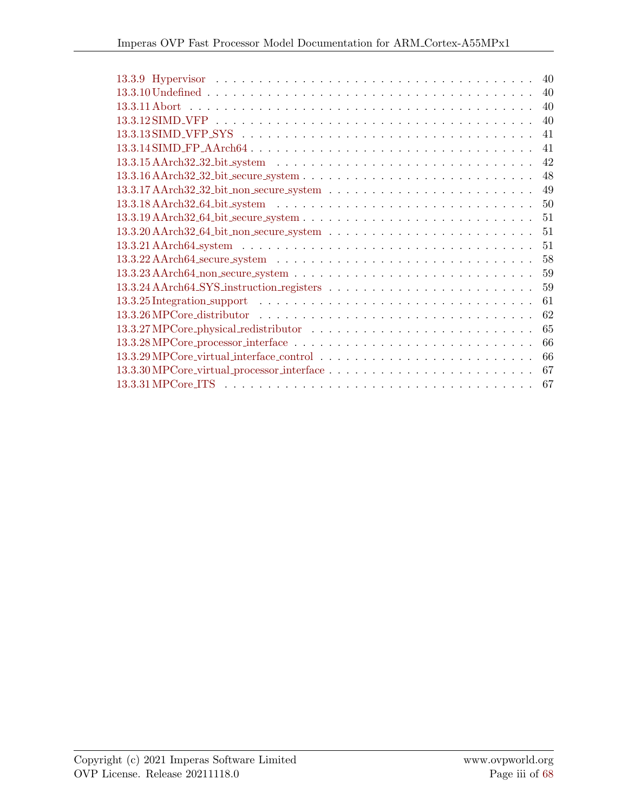| 40                                                                                                                      |
|-------------------------------------------------------------------------------------------------------------------------|
| 40                                                                                                                      |
| 40                                                                                                                      |
| 40                                                                                                                      |
| 41                                                                                                                      |
| 41                                                                                                                      |
| 42<br>$13.3.15$ AArch32_32_bit_system $\ldots \ldots \ldots \ldots \ldots \ldots \ldots \ldots \ldots \ldots \ldots$    |
| 48                                                                                                                      |
| 49                                                                                                                      |
| 50                                                                                                                      |
| 51                                                                                                                      |
| 51                                                                                                                      |
| 51                                                                                                                      |
| 58<br>$13.3.22$ AArch $64$ secure system $\ldots \ldots \ldots \ldots \ldots \ldots \ldots \ldots \ldots \ldots \ldots$ |
| 59                                                                                                                      |
| 59                                                                                                                      |
| 61                                                                                                                      |
| 62<br>$13.3.26$ MPCore_distributor $\dots \dots \dots \dots \dots \dots \dots \dots \dots \dots \dots \dots \dots$      |
| 65                                                                                                                      |
| 66                                                                                                                      |
| 66                                                                                                                      |
| 67                                                                                                                      |
| 67                                                                                                                      |
|                                                                                                                         |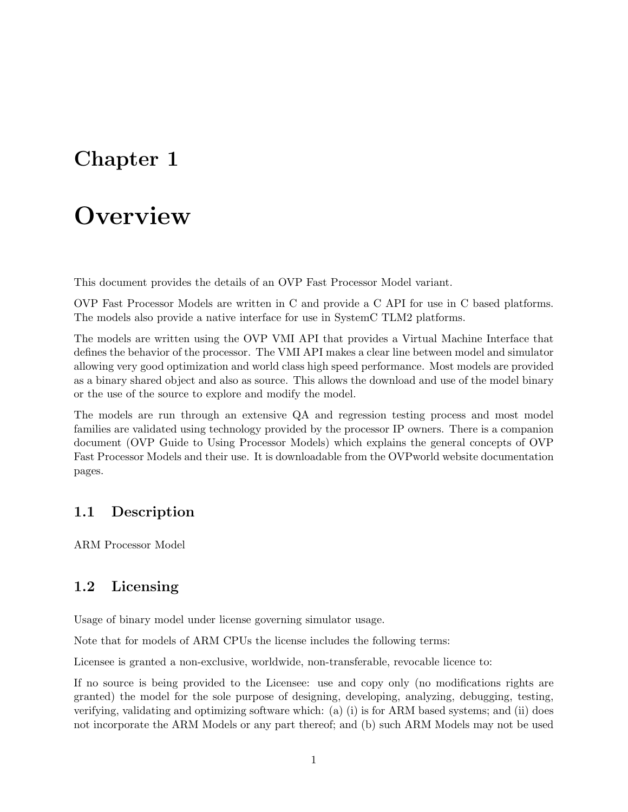### <span id="page-5-0"></span>**Overview**

This document provides the details of an OVP Fast Processor Model variant.

OVP Fast Processor Models are written in C and provide a C API for use in C based platforms. The models also provide a native interface for use in SystemC TLM2 platforms.

The models are written using the OVP VMI API that provides a Virtual Machine Interface that defines the behavior of the processor. The VMI API makes a clear line between model and simulator allowing very good optimization and world class high speed performance. Most models are provided as a binary shared object and also as source. This allows the download and use of the model binary or the use of the source to explore and modify the model.

The models are run through an extensive QA and regression testing process and most model families are validated using technology provided by the processor IP owners. There is a companion document (OVP Guide to Using Processor Models) which explains the general concepts of OVP Fast Processor Models and their use. It is downloadable from the OVPworld website documentation pages.

#### <span id="page-5-1"></span>1.1 Description

ARM Processor Model

#### <span id="page-5-2"></span>1.2 Licensing

Usage of binary model under license governing simulator usage.

Note that for models of ARM CPUs the license includes the following terms:

Licensee is granted a non-exclusive, worldwide, non-transferable, revocable licence to:

If no source is being provided to the Licensee: use and copy only (no modifications rights are granted) the model for the sole purpose of designing, developing, analyzing, debugging, testing, verifying, validating and optimizing software which: (a) (i) is for ARM based systems; and (ii) does not incorporate the ARM Models or any part thereof; and (b) such ARM Models may not be used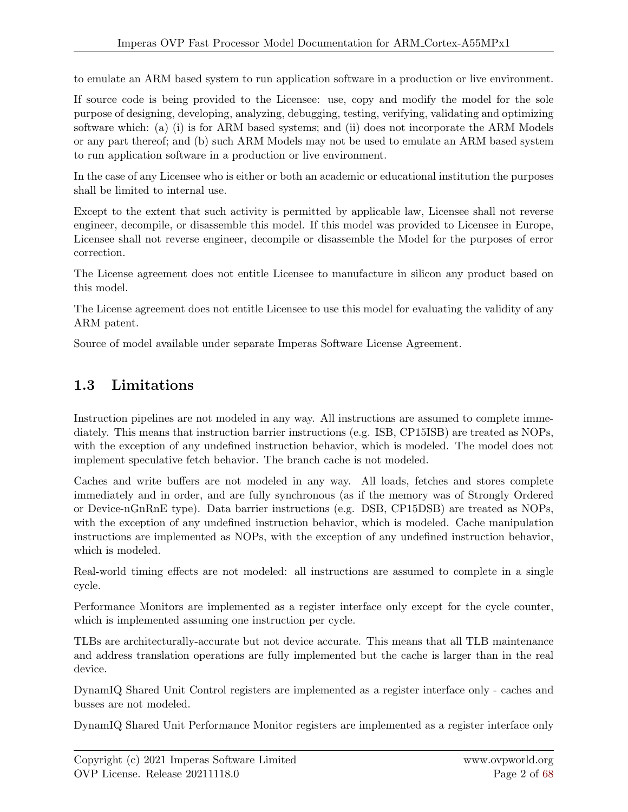to emulate an ARM based system to run application software in a production or live environment.

If source code is being provided to the Licensee: use, copy and modify the model for the sole purpose of designing, developing, analyzing, debugging, testing, verifying, validating and optimizing software which: (a) (i) is for ARM based systems; and (ii) does not incorporate the ARM Models or any part thereof; and (b) such ARM Models may not be used to emulate an ARM based system to run application software in a production or live environment.

In the case of any Licensee who is either or both an academic or educational institution the purposes shall be limited to internal use.

Except to the extent that such activity is permitted by applicable law, Licensee shall not reverse engineer, decompile, or disassemble this model. If this model was provided to Licensee in Europe, Licensee shall not reverse engineer, decompile or disassemble the Model for the purposes of error correction.

The License agreement does not entitle Licensee to manufacture in silicon any product based on this model.

The License agreement does not entitle Licensee to use this model for evaluating the validity of any ARM patent.

Source of model available under separate Imperas Software License Agreement.

#### <span id="page-6-0"></span>1.3 Limitations

Instruction pipelines are not modeled in any way. All instructions are assumed to complete immediately. This means that instruction barrier instructions (e.g. ISB, CP15ISB) are treated as NOPs, with the exception of any undefined instruction behavior, which is modeled. The model does not implement speculative fetch behavior. The branch cache is not modeled.

Caches and write buffers are not modeled in any way. All loads, fetches and stores complete immediately and in order, and are fully synchronous (as if the memory was of Strongly Ordered or Device-nGnRnE type). Data barrier instructions (e.g. DSB, CP15DSB) are treated as NOPs, with the exception of any undefined instruction behavior, which is modeled. Cache manipulation instructions are implemented as NOPs, with the exception of any undefined instruction behavior, which is modeled.

Real-world timing effects are not modeled: all instructions are assumed to complete in a single cycle.

Performance Monitors are implemented as a register interface only except for the cycle counter, which is implemented assuming one instruction per cycle.

TLBs are architecturally-accurate but not device accurate. This means that all TLB maintenance and address translation operations are fully implemented but the cache is larger than in the real device.

DynamIQ Shared Unit Control registers are implemented as a register interface only - caches and busses are not modeled.

DynamIQ Shared Unit Performance Monitor registers are implemented as a register interface only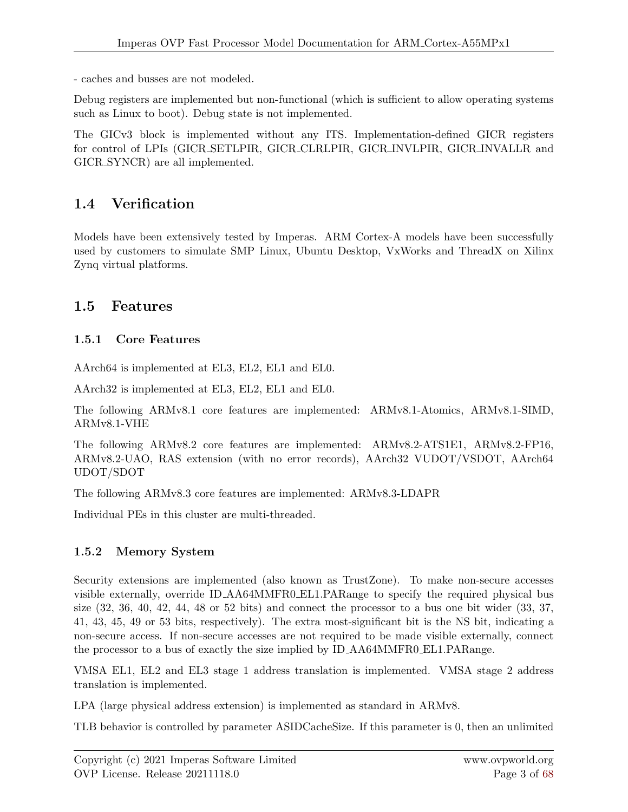- caches and busses are not modeled.

Debug registers are implemented but non-functional (which is sufficient to allow operating systems such as Linux to boot). Debug state is not implemented.

The GICv3 block is implemented without any ITS. Implementation-defined GICR registers for control of LPIs (GICR SETLPIR, GICR CLRLPIR, GICR INVLPIR, GICR INVALLR and GICR SYNCR) are all implemented.

#### <span id="page-7-0"></span>1.4 Verification

Models have been extensively tested by Imperas. ARM Cortex-A models have been successfully used by customers to simulate SMP Linux, Ubuntu Desktop, VxWorks and ThreadX on Xilinx Zynq virtual platforms.

#### <span id="page-7-1"></span>1.5 Features

#### <span id="page-7-2"></span>1.5.1 Core Features

AArch64 is implemented at EL3, EL2, EL1 and EL0.

AArch32 is implemented at EL3, EL2, EL1 and EL0.

The following ARMv8.1 core features are implemented: ARMv8.1-Atomics, ARMv8.1-SIMD, ARMv8.1-VHE

The following ARMv8.2 core features are implemented: ARMv8.2-ATS1E1, ARMv8.2-FP16, ARMv8.2-UAO, RAS extension (with no error records), AArch32 VUDOT/VSDOT, AArch64 UDOT/SDOT

The following ARMv8.3 core features are implemented: ARMv8.3-LDAPR

Individual PEs in this cluster are multi-threaded.

#### <span id="page-7-3"></span>1.5.2 Memory System

Security extensions are implemented (also known as TrustZone). To make non-secure accesses visible externally, override ID AA64MMFR0 EL1.PARange to specify the required physical bus size (32, 36, 40, 42, 44, 48 or 52 bits) and connect the processor to a bus one bit wider (33, 37, 41, 43, 45, 49 or 53 bits, respectively). The extra most-significant bit is the NS bit, indicating a non-secure access. If non-secure accesses are not required to be made visible externally, connect the processor to a bus of exactly the size implied by ID AA64MMFR0 EL1.PARange.

VMSA EL1, EL2 and EL3 stage 1 address translation is implemented. VMSA stage 2 address translation is implemented.

LPA (large physical address extension) is implemented as standard in ARMv8.

TLB behavior is controlled by parameter ASIDCacheSize. If this parameter is 0, then an unlimited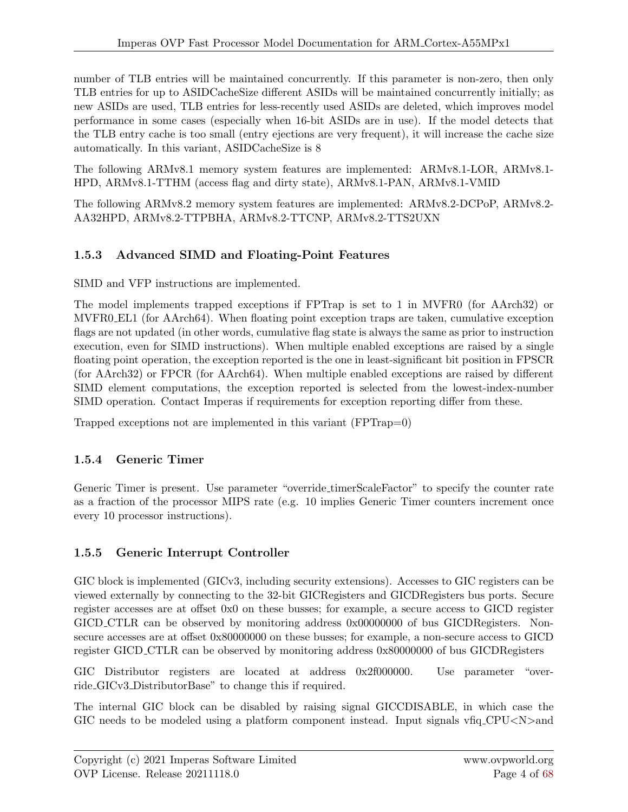number of TLB entries will be maintained concurrently. If this parameter is non-zero, then only TLB entries for up to ASIDCacheSize different ASIDs will be maintained concurrently initially; as new ASIDs are used, TLB entries for less-recently used ASIDs are deleted, which improves model performance in some cases (especially when 16-bit ASIDs are in use). If the model detects that the TLB entry cache is too small (entry ejections are very frequent), it will increase the cache size automatically. In this variant, ASIDCacheSize is 8

The following ARMv8.1 memory system features are implemented: ARMv8.1-LOR, ARMv8.1- HPD, ARMv8.1-TTHM (access flag and dirty state), ARMv8.1-PAN, ARMv8.1-VMID

The following ARMv8.2 memory system features are implemented: ARMv8.2-DCPoP, ARMv8.2- AA32HPD, ARMv8.2-TTPBHA, ARMv8.2-TTCNP, ARMv8.2-TTS2UXN

#### <span id="page-8-0"></span>1.5.3 Advanced SIMD and Floating-Point Features

SIMD and VFP instructions are implemented.

The model implements trapped exceptions if FPTrap is set to 1 in MVFR0 (for AArch32) or MVFR0 EL1 (for AArch64). When floating point exception traps are taken, cumulative exception flags are not updated (in other words, cumulative flag state is always the same as prior to instruction execution, even for SIMD instructions). When multiple enabled exceptions are raised by a single floating point operation, the exception reported is the one in least-significant bit position in FPSCR (for AArch32) or FPCR (for AArch64). When multiple enabled exceptions are raised by different SIMD element computations, the exception reported is selected from the lowest-index-number SIMD operation. Contact Imperas if requirements for exception reporting differ from these.

Trapped exceptions not are implemented in this variant (FPTrap=0)

#### <span id="page-8-1"></span>1.5.4 Generic Timer

Generic Timer is present. Use parameter "override timerScaleFactor" to specify the counter rate as a fraction of the processor MIPS rate (e.g. 10 implies Generic Timer counters increment once every 10 processor instructions).

#### <span id="page-8-2"></span>1.5.5 Generic Interrupt Controller

GIC block is implemented (GICv3, including security extensions). Accesses to GIC registers can be viewed externally by connecting to the 32-bit GICRegisters and GICDRegisters bus ports. Secure register accesses are at offset 0x0 on these busses; for example, a secure access to GICD register GICD CTLR can be observed by monitoring address 0x00000000 of bus GICDRegisters. Nonsecure accesses are at offset 0x80000000 on these busses; for example, a non-secure access to GICD register GICD CTLR can be observed by monitoring address 0x80000000 of bus GICDRegisters

GIC Distributor registers are located at address 0x2f000000. Use parameter "override GICv3 DistributorBase" to change this if required.

The internal GIC block can be disabled by raising signal GICCDISABLE, in which case the GIC needs to be modeled using a platform component instead. Input signals  $\n v$ fiq CPU $\lt N$  > and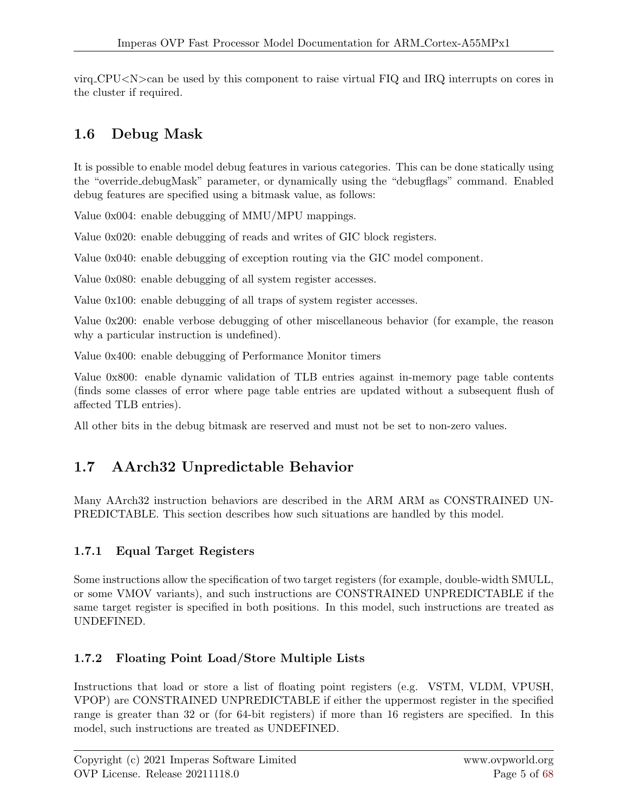$\text{virq\_CPU} < N > \text{can}$  be used by this component to raise virtual FIQ and IRQ interrupts on cores in the cluster if required.

#### <span id="page-9-0"></span>1.6 Debug Mask

It is possible to enable model debug features in various categories. This can be done statically using the "override debugMask" parameter, or dynamically using the "debugflags" command. Enabled debug features are specified using a bitmask value, as follows:

Value 0x004: enable debugging of MMU/MPU mappings.

Value 0x020: enable debugging of reads and writes of GIC block registers.

Value 0x040: enable debugging of exception routing via the GIC model component.

Value 0x080: enable debugging of all system register accesses.

Value 0x100: enable debugging of all traps of system register accesses.

Value 0x200: enable verbose debugging of other miscellaneous behavior (for example, the reason why a particular instruction is undefined).

Value 0x400: enable debugging of Performance Monitor timers

Value 0x800: enable dynamic validation of TLB entries against in-memory page table contents (finds some classes of error where page table entries are updated without a subsequent flush of affected TLB entries).

All other bits in the debug bitmask are reserved and must not be set to non-zero values.

#### <span id="page-9-1"></span>1.7 AArch32 Unpredictable Behavior

Many AArch32 instruction behaviors are described in the ARM ARM as CONSTRAINED UN-PREDICTABLE. This section describes how such situations are handled by this model.

#### <span id="page-9-2"></span>1.7.1 Equal Target Registers

Some instructions allow the specification of two target registers (for example, double-width SMULL, or some VMOV variants), and such instructions are CONSTRAINED UNPREDICTABLE if the same target register is specified in both positions. In this model, such instructions are treated as UNDEFINED.

#### <span id="page-9-3"></span>1.7.2 Floating Point Load/Store Multiple Lists

Instructions that load or store a list of floating point registers (e.g. VSTM, VLDM, VPUSH, VPOP) are CONSTRAINED UNPREDICTABLE if either the uppermost register in the specified range is greater than 32 or (for 64-bit registers) if more than 16 registers are specified. In this model, such instructions are treated as UNDEFINED.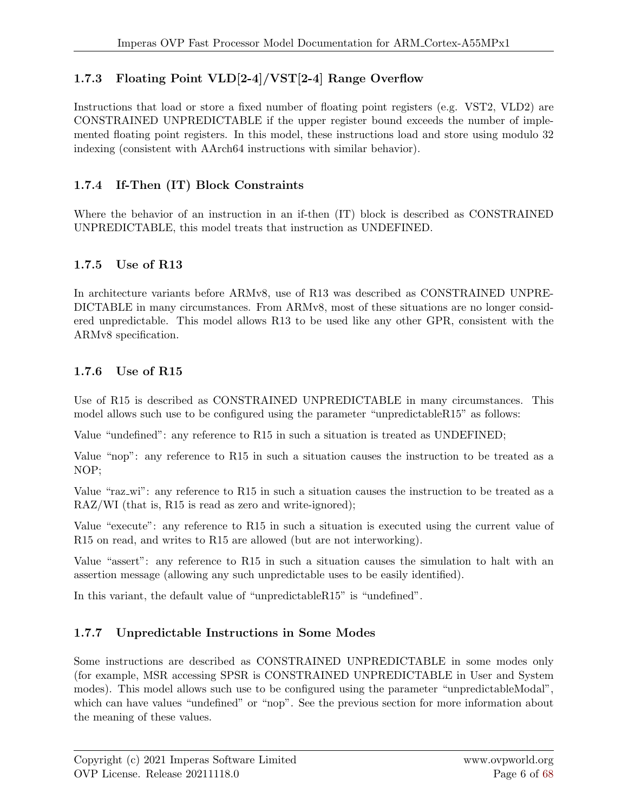#### <span id="page-10-0"></span>1.7.3 Floating Point VLD[2-4]/VST[2-4] Range Overflow

Instructions that load or store a fixed number of floating point registers (e.g. VST2, VLD2) are CONSTRAINED UNPREDICTABLE if the upper register bound exceeds the number of implemented floating point registers. In this model, these instructions load and store using modulo 32 indexing (consistent with AArch64 instructions with similar behavior).

#### <span id="page-10-1"></span>1.7.4 If-Then (IT) Block Constraints

Where the behavior of an instruction in an if-then (IT) block is described as CONSTRAINED UNPREDICTABLE, this model treats that instruction as UNDEFINED.

#### <span id="page-10-2"></span>1.7.5 Use of R13

In architecture variants before ARMv8, use of R13 was described as CONSTRAINED UNPRE-DICTABLE in many circumstances. From ARMv8, most of these situations are no longer considered unpredictable. This model allows R13 to be used like any other GPR, consistent with the ARMv8 specification.

#### <span id="page-10-3"></span>1.7.6 Use of R15

Use of R15 is described as CONSTRAINED UNPREDICTABLE in many circumstances. This model allows such use to be configured using the parameter "unpredictableR15" as follows:

Value "undefined": any reference to R15 in such a situation is treated as UNDEFINED;

Value "nop": any reference to R15 in such a situation causes the instruction to be treated as a NOP;

Value "raz wi": any reference to R15 in such a situation causes the instruction to be treated as a RAZ/WI (that is, R15 is read as zero and write-ignored);

Value "execute": any reference to R15 in such a situation is executed using the current value of R15 on read, and writes to R15 are allowed (but are not interworking).

Value "assert": any reference to R15 in such a situation causes the simulation to halt with an assertion message (allowing any such unpredictable uses to be easily identified).

In this variant, the default value of "unpredictableR15" is "undefined".

#### <span id="page-10-4"></span>1.7.7 Unpredictable Instructions in Some Modes

Some instructions are described as CONSTRAINED UNPREDICTABLE in some modes only (for example, MSR accessing SPSR is CONSTRAINED UNPREDICTABLE in User and System modes). This model allows such use to be configured using the parameter "unpredictableModal", which can have values "undefined" or "nop". See the previous section for more information about the meaning of these values.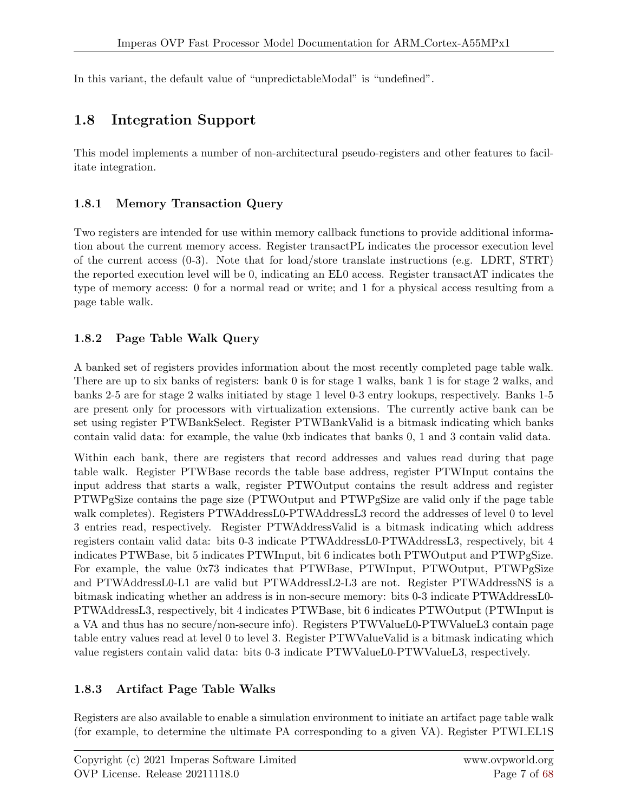In this variant, the default value of "unpredictableModal" is "undefined".

#### <span id="page-11-0"></span>1.8 Integration Support

This model implements a number of non-architectural pseudo-registers and other features to facilitate integration.

#### <span id="page-11-1"></span>1.8.1 Memory Transaction Query

Two registers are intended for use within memory callback functions to provide additional information about the current memory access. Register transactPL indicates the processor execution level of the current access  $(0-3)$ . Note that for load/store translate instructions (e.g. LDRT, STRT) the reported execution level will be 0, indicating an EL0 access. Register transactAT indicates the type of memory access: 0 for a normal read or write; and 1 for a physical access resulting from a page table walk.

#### <span id="page-11-2"></span>1.8.2 Page Table Walk Query

A banked set of registers provides information about the most recently completed page table walk. There are up to six banks of registers: bank 0 is for stage 1 walks, bank 1 is for stage 2 walks, and banks 2-5 are for stage 2 walks initiated by stage 1 level 0-3 entry lookups, respectively. Banks 1-5 are present only for processors with virtualization extensions. The currently active bank can be set using register PTWBankSelect. Register PTWBankValid is a bitmask indicating which banks contain valid data: for example, the value 0xb indicates that banks 0, 1 and 3 contain valid data.

Within each bank, there are registers that record addresses and values read during that page table walk. Register PTWBase records the table base address, register PTWInput contains the input address that starts a walk, register PTWOutput contains the result address and register PTWPgSize contains the page size (PTWOutput and PTWPgSize are valid only if the page table walk completes). Registers PTWAddressL0-PTWAddressL3 record the addresses of level 0 to level 3 entries read, respectively. Register PTWAddressValid is a bitmask indicating which address registers contain valid data: bits 0-3 indicate PTWAddressL0-PTWAddressL3, respectively, bit 4 indicates PTWBase, bit 5 indicates PTWInput, bit 6 indicates both PTWOutput and PTWPgSize. For example, the value 0x73 indicates that PTWBase, PTWInput, PTWOutput, PTWPgSize and PTWAddressL0-L1 are valid but PTWAddressL2-L3 are not. Register PTWAddressNS is a bitmask indicating whether an address is in non-secure memory: bits 0-3 indicate PTWAddressL0- PTWAddressL3, respectively, bit 4 indicates PTWBase, bit 6 indicates PTWOutput (PTWInput is a VA and thus has no secure/non-secure info). Registers PTWValueL0-PTWValueL3 contain page table entry values read at level 0 to level 3. Register PTWValueValid is a bitmask indicating which value registers contain valid data: bits 0-3 indicate PTWValueL0-PTWValueL3, respectively.

#### <span id="page-11-3"></span>1.8.3 Artifact Page Table Walks

Registers are also available to enable a simulation environment to initiate an artifact page table walk (for example, to determine the ultimate PA corresponding to a given VA). Register PTWI EL1S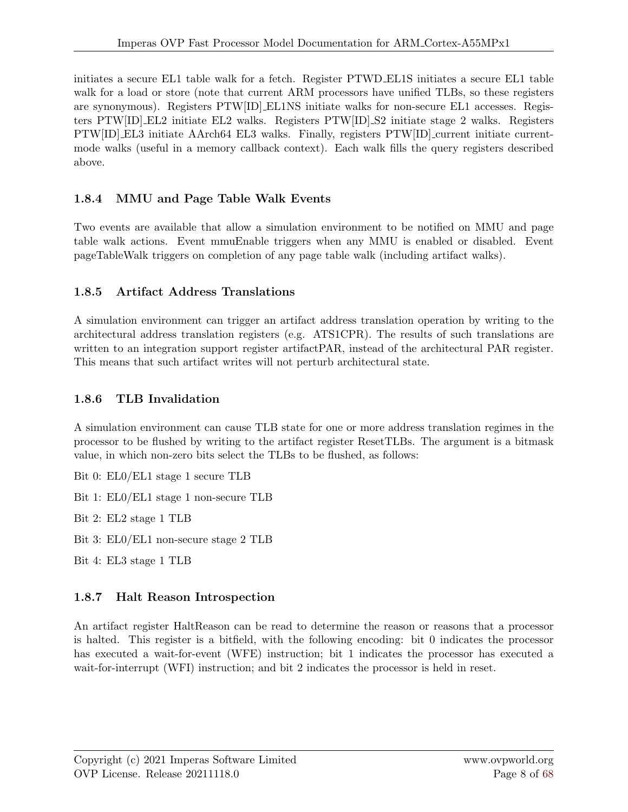initiates a secure EL1 table walk for a fetch. Register PTWD EL1S initiates a secure EL1 table walk for a load or store (note that current ARM processors have unified TLBs, so these registers are synonymous). Registers PTW[ID] EL1NS initiate walks for non-secure EL1 accesses. Registers PTW[ID] EL2 initiate EL2 walks. Registers PTW[ID] S2 initiate stage 2 walks. Registers PTW[ID] EL3 initiate AArch64 EL3 walks. Finally, registers PTW[ID] current initiate currentmode walks (useful in a memory callback context). Each walk fills the query registers described above.

#### <span id="page-12-0"></span>1.8.4 MMU and Page Table Walk Events

Two events are available that allow a simulation environment to be notified on MMU and page table walk actions. Event mmuEnable triggers when any MMU is enabled or disabled. Event pageTableWalk triggers on completion of any page table walk (including artifact walks).

#### <span id="page-12-1"></span>1.8.5 Artifact Address Translations

A simulation environment can trigger an artifact address translation operation by writing to the architectural address translation registers (e.g. ATS1CPR). The results of such translations are written to an integration support register artifact PAR, instead of the architectural PAR register. This means that such artifact writes will not perturb architectural state.

#### <span id="page-12-2"></span>1.8.6 TLB Invalidation

A simulation environment can cause TLB state for one or more address translation regimes in the processor to be flushed by writing to the artifact register ResetTLBs. The argument is a bitmask value, in which non-zero bits select the TLBs to be flushed, as follows:

Bit 0: EL0/EL1 stage 1 secure TLB

Bit 1: EL0/EL1 stage 1 non-secure TLB

Bit 2: EL2 stage 1 TLB

Bit 3: EL0/EL1 non-secure stage 2 TLB

Bit 4: EL3 stage 1 TLB

#### <span id="page-12-3"></span>1.8.7 Halt Reason Introspection

An artifact register HaltReason can be read to determine the reason or reasons that a processor is halted. This register is a bitfield, with the following encoding: bit 0 indicates the processor has executed a wait-for-event (WFE) instruction; bit 1 indicates the processor has executed a wait-for-interrupt (WFI) instruction; and bit 2 indicates the processor is held in reset.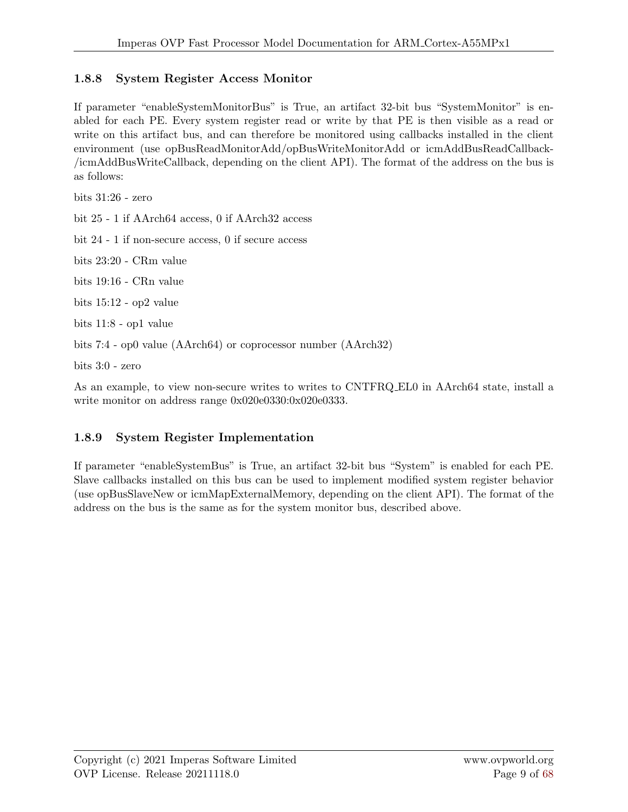#### <span id="page-13-0"></span>1.8.8 System Register Access Monitor

If parameter "enableSystemMonitorBus" is True, an artifact 32-bit bus "SystemMonitor" is enabled for each PE. Every system register read or write by that PE is then visible as a read or write on this artifact bus, and can therefore be monitored using callbacks installed in the client environment (use opBusReadMonitorAdd/opBusWriteMonitorAdd or icmAddBusReadCallback- /icmAddBusWriteCallback, depending on the client API). The format of the address on the bus is as follows:

bits 31:26 - zero

bit 25 - 1 if AArch64 access, 0 if AArch32 access

bit 24 - 1 if non-secure access, 0 if secure access

bits 23:20 - CRm value

bits 19:16 - CRn value

bits 15:12 - op2 value

bits 11:8 - op1 value

bits 7:4 - op0 value (AArch64) or coprocessor number (AArch32)

bits 3:0 - zero

As an example, to view non-secure writes to writes to CNTFRQ EL0 in AArch64 state, install a write monitor on address range 0x020e0330:0x020e0333.

#### <span id="page-13-1"></span>1.8.9 System Register Implementation

If parameter "enableSystemBus" is True, an artifact 32-bit bus "System" is enabled for each PE. Slave callbacks installed on this bus can be used to implement modified system register behavior (use opBusSlaveNew or icmMapExternalMemory, depending on the client API). The format of the address on the bus is the same as for the system monitor bus, described above.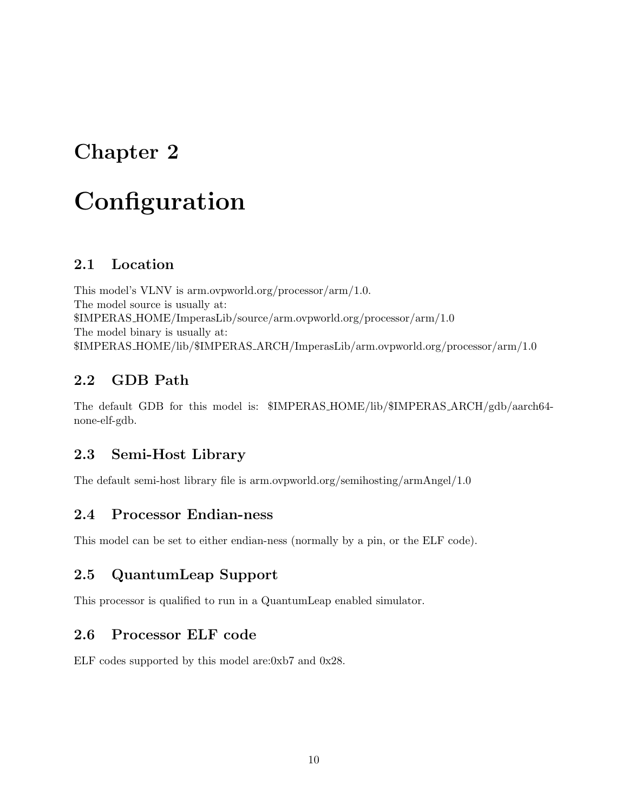### <span id="page-14-0"></span>**Configuration**

#### <span id="page-14-1"></span>2.1 Location

This model's VLNV is arm.ovpworld.org/processor/arm/1.0. The model source is usually at: \$IMPERAS HOME/ImperasLib/source/arm.ovpworld.org/processor/arm/1.0 The model binary is usually at: \$IMPERAS HOME/lib/\$IMPERAS ARCH/ImperasLib/arm.ovpworld.org/processor/arm/1.0

#### <span id="page-14-2"></span>2.2 GDB Path

The default GDB for this model is: \$IMPERAS HOME/lib/\$IMPERAS ARCH/gdb/aarch64 none-elf-gdb.

#### <span id="page-14-3"></span>2.3 Semi-Host Library

The default semi-host library file is arm.ovpworld.org/semihosting/armAngel/1.0

#### <span id="page-14-4"></span>2.4 Processor Endian-ness

This model can be set to either endian-ness (normally by a pin, or the ELF code).

#### <span id="page-14-5"></span>2.5 QuantumLeap Support

This processor is qualified to run in a QuantumLeap enabled simulator.

#### <span id="page-14-6"></span>2.6 Processor ELF code

ELF codes supported by this model are:0xb7 and 0x28.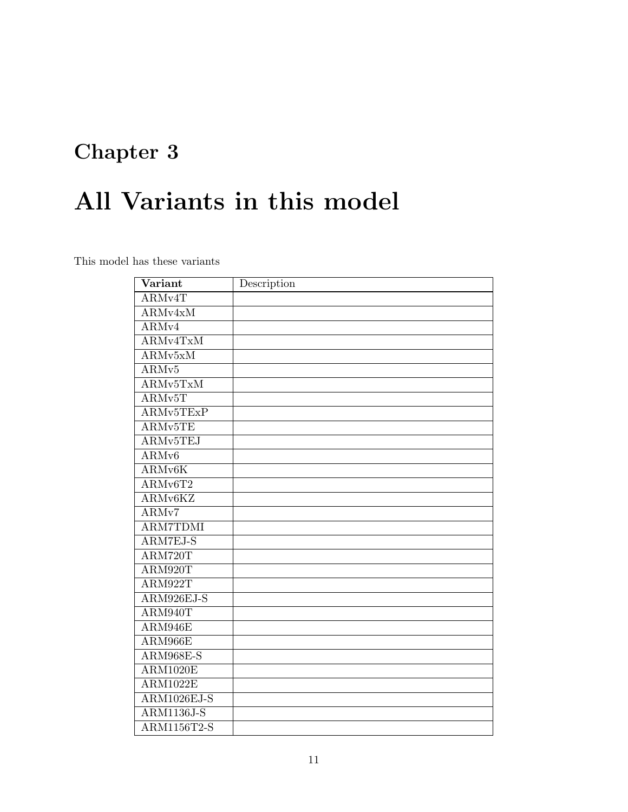# <span id="page-15-0"></span>All Variants in this model

This model has these variants

| Variant                        | Description |
|--------------------------------|-------------|
| ARMv4T                         |             |
| $\overline{\text{ARMv4xM}}$    |             |
| ARM <sub>v4</sub>              |             |
| ARMv4TxM                       |             |
| $\overline{\mathrm{ARMv5xM}}$  |             |
| ARM <sub>v</sub> 5             |             |
| ARMv5TxM                       |             |
| ARMv5T                         |             |
| ARMv5TExP                      |             |
| ARMv5TE                        |             |
| ARMv5TEJ                       |             |
| ARMv6                          |             |
| ARMv6K                         |             |
| ARMv6T2                        |             |
| ARMv6KZ                        |             |
| ARMv7                          |             |
| <b>ARM7TDMI</b>                |             |
| ARM7EJ-S                       |             |
| ARM720T                        |             |
| ARM920T                        |             |
| ARM922T                        |             |
| ARM926EJ-S                     |             |
| ARM940T                        |             |
| ARM946E                        |             |
| ARM966E                        |             |
| <b>ARM968E-S</b>               |             |
| <b>ARM1020E</b>                |             |
| $\overline{\mathrm{ARM1022E}}$ |             |
| ARM1026EJ-S                    |             |
| <b>ARM1136J-S</b>              |             |
| ARM1156T2-S                    |             |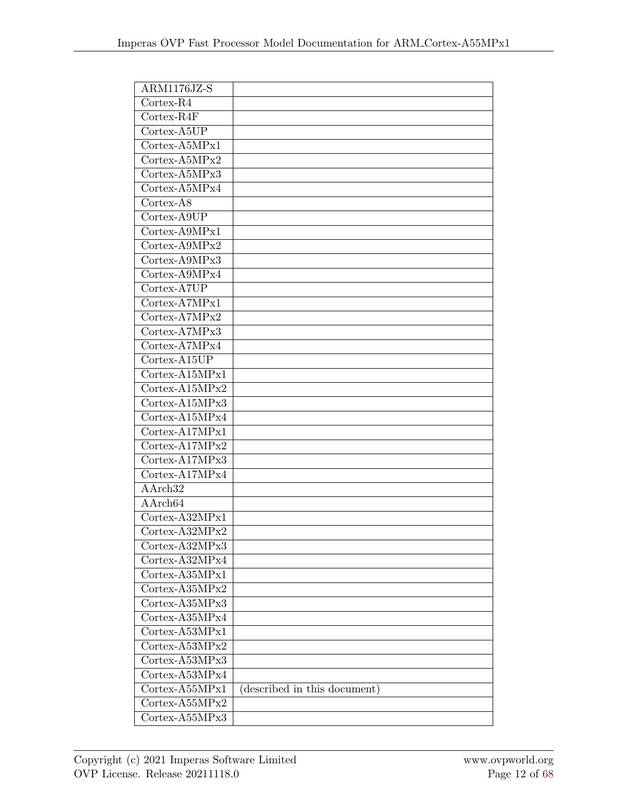| $ARM1176JZ-S$                                     |                              |
|---------------------------------------------------|------------------------------|
| $\overline{\text{Cortex-R4}}$                     |                              |
| Cortex-R4F                                        |                              |
| Cortex-A5UP                                       |                              |
| Cortex-A5MPx1                                     |                              |
| Cortex-A5MPx2                                     |                              |
| Cortex-A5MPx3                                     |                              |
| Cortex-A5MPx4                                     |                              |
| Cortex-A8                                         |                              |
| Cortex-A9UP                                       |                              |
| $\text{Cortex-A9MPx1}$                            |                              |
| Cortex-A9MPx2                                     |                              |
| Cortex-A9MPx3                                     |                              |
| Cortex-A9MPx4                                     |                              |
| Cortex-A7UP                                       |                              |
| Cortex-A7MPx1                                     |                              |
| $\text{Cortex-}\overline{\text{ATMPx2}}$          |                              |
| $\overline{\text{Cortex}}$ -A7MPx3                |                              |
| Cortex-A7MPx4                                     |                              |
| Cortex-A15UP                                      |                              |
| Cortex-A15MPx1                                    |                              |
| Cortex-A15MPx2                                    |                              |
| Cortex-A15MPx3                                    |                              |
| Cortex-A15MPx4                                    |                              |
| Cortex-A17MPx1                                    |                              |
| $\text{Cortex-}\overline{\text{A17} \text{MPx2}}$ |                              |
| Cortex-A17MPx3                                    |                              |
| Cortex-A17MPx4                                    |                              |
| AArch <sub>32</sub>                               |                              |
| AArch64                                           |                              |
| Cortex-A32MPx1                                    |                              |
| Cortex-A32MPx2                                    |                              |
| $\text{Cortex-}A32\text{MPx3}$                    |                              |
| Cortex-A32MPx4                                    |                              |
| Cortex-A35MPx1                                    |                              |
| $\text{Cortex-}\text{A35} \text{MPx2}$            |                              |
| Cortex-A35MPx3                                    |                              |
| Cortex-A35MPx4                                    |                              |
| Cortex-A53MPx1                                    |                              |
| $\text{Cortex-}\text{A53}\text{MPx2}$             |                              |
| $\text{Cortex-}\text{A53}\overline{\text{MPx3}}$  |                              |
| Cortex-A53MPx4                                    |                              |
| Cortex-A55MPx1                                    | (described in this document) |
| $\text{Cortex-}\text{A55MPx2}$                    |                              |
| Cortex-A55MPx3                                    |                              |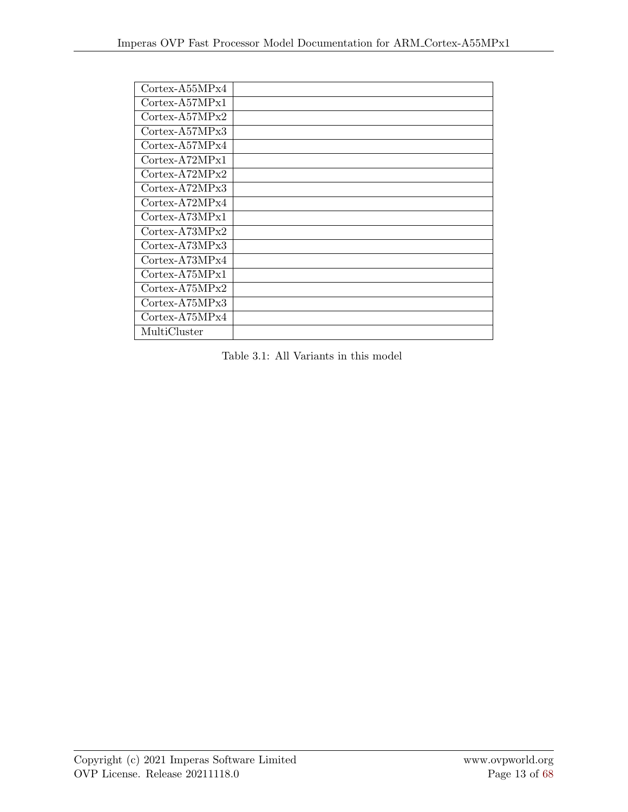| Cortex-A55MPx4                         |  |
|----------------------------------------|--|
| $\text{Cortex-}\text{A57} \text{MPx1}$ |  |
| $\text{Cortex-}\text{A57} \text{MPx2}$ |  |
| Cortex-A57MPx3                         |  |
| $\text{Cortex-}\text{A57} \text{MPx4}$ |  |
| $\text{Cortex-}A72\text{MPx1}$         |  |
| Cortex-A72MPx2                         |  |
| Cortex-A72MPx3                         |  |
| Cortex-A72MPx4                         |  |
| Cortex-A73MPx1                         |  |
| Cortex-A73MPx2                         |  |
| $\text{Cortex}-\text{A73} \text{MPx3}$ |  |
| $\text{Cortex}-\text{A73} \text{MPx4}$ |  |
| Cortex-A75MPx1                         |  |
| $\text{Cortex-}A75\text{MPx}2$         |  |
| Cortex-A75MPx3                         |  |
| $\text{Cortex-A75} \text{MPx4}$        |  |
| MultiCluster                           |  |

Table 3.1: All Variants in this model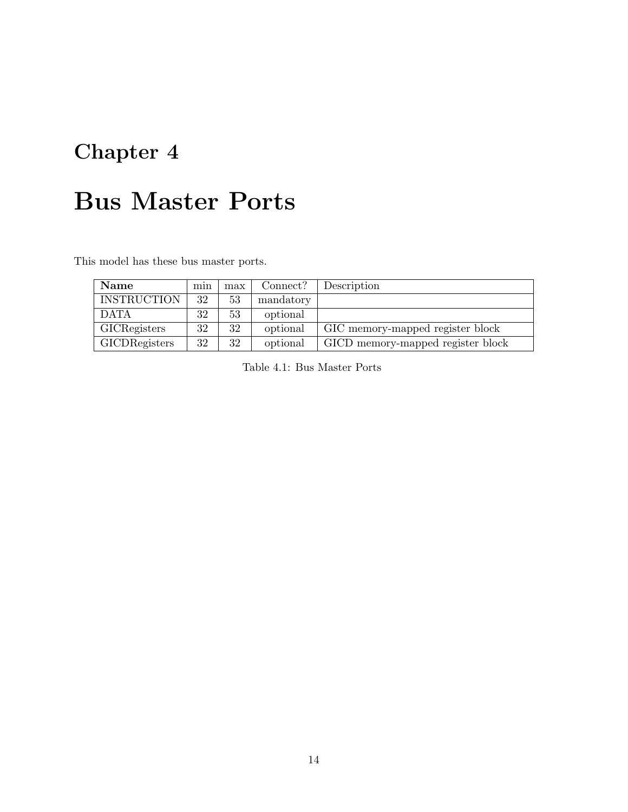### <span id="page-18-0"></span>Bus Master Ports

This model has these bus master ports.

| Name                 | min | max | Connect?  | Description                       |
|----------------------|-----|-----|-----------|-----------------------------------|
| <b>INSTRUCTION</b>   | 32  | 53  | mandatory |                                   |
| <b>DATA</b>          | 32  | 53  | optional  |                                   |
| <b>GICRegisters</b>  | 32  | 32  | optional  | GIC memory-mapped register block  |
| <b>GICDRegisters</b> | 32  | 32  | optional  | GICD memory-mapped register block |

Table 4.1: Bus Master Ports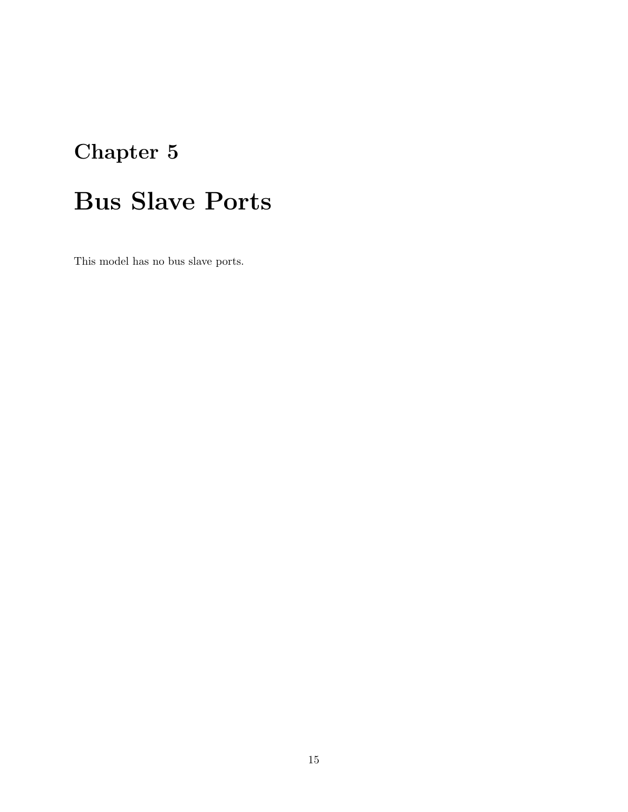# <span id="page-19-0"></span>Bus Slave Ports

This model has no bus slave ports.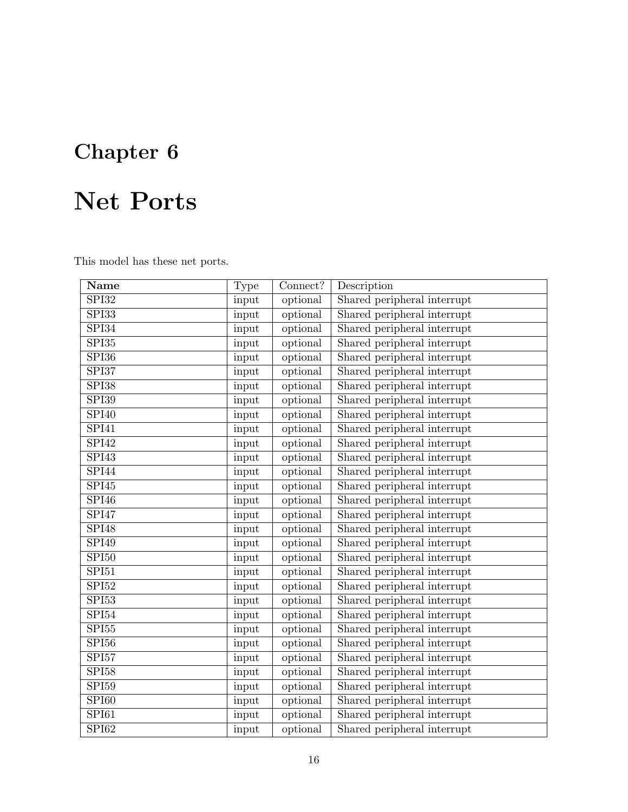# <span id="page-20-0"></span>Net Ports

This model has these net ports.

| Name                      | <b>Type</b> | Connect? | Description                 |
|---------------------------|-------------|----------|-----------------------------|
| $\overline{\text{SPI}32}$ | input       | optional | Shared peripheral interrupt |
| SPI33                     | input       | optional | Shared peripheral interrupt |
| SPI34                     | input       | optional | Shared peripheral interrupt |
| SPI35                     | input       | optional | Shared peripheral interrupt |
| SPI36                     | input       | optional | Shared peripheral interrupt |
| SPI37                     | input       | optional | Shared peripheral interrupt |
| SPI38                     | input       | optional | Shared peripheral interrupt |
| <b>SPI39</b>              | input       | optional | Shared peripheral interrupt |
| <b>SPI40</b>              | input       | optional | Shared peripheral interrupt |
| SPI41                     | input       | optional | Shared peripheral interrupt |
| SPI42                     | input       | optional | Shared peripheral interrupt |
| SPI43                     | input       | optional | Shared peripheral interrupt |
| SPI44                     | input       | optional | Shared peripheral interrupt |
| SPI45                     | input       | optional | Shared peripheral interrupt |
| SPI46                     | input       | optional | Shared peripheral interrupt |
| SPI47                     | input       | optional | Shared peripheral interrupt |
| SPI48                     | input       | optional | Shared peripheral interrupt |
| SPI49                     | input       | optional | Shared peripheral interrupt |
| SPI50                     | input       | optional | Shared peripheral interrupt |
| SPI51                     | input       | optional | Shared peripheral interrupt |
| SPI52                     | input       | optional | Shared peripheral interrupt |
| SPI53                     | input       | optional | Shared peripheral interrupt |
| ${\rm SPI}54$             | input       | optional | Shared peripheral interrupt |
| ${\rm SPI}55$             | input       | optional | Shared peripheral interrupt |
| $\overline{SPI56}$        | input       | optional | Shared peripheral interrupt |
| SPI57                     | input       | optional | Shared peripheral interrupt |
| ${\rm SPI}58$             | input       | optional | Shared peripheral interrupt |
| SPI59                     | input       | optional | Shared peripheral interrupt |
| SPI60                     | input       | optional | Shared peripheral interrupt |
| $\overline{\text{SPI}61}$ | input       | optional | Shared peripheral interrupt |
| SPI62                     | input       | optional | Shared peripheral interrupt |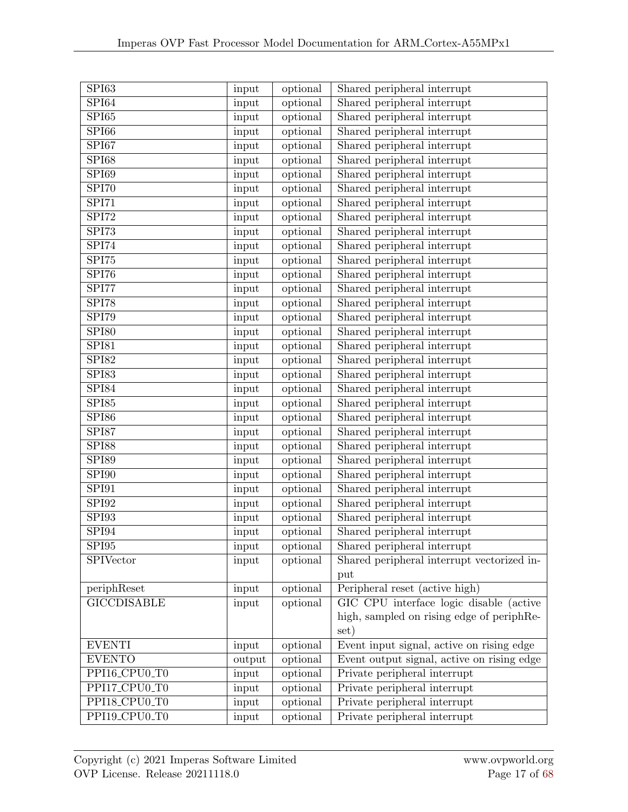| SPI63                     | input  | optional | Shared peripheral interrupt                |
|---------------------------|--------|----------|--------------------------------------------|
| SPI64                     | input  | optional | Shared peripheral interrupt                |
| SPI65                     | input  | optional | Shared peripheral interrupt                |
| SPI66                     | input  | optional | Shared peripheral interrupt                |
| SPI67                     | input  | optional | Shared peripheral interrupt                |
| <b>SPI68</b>              | input  | optional | Shared peripheral interrupt                |
| SPI69                     | input  | optional | Shared peripheral interrupt                |
| SPI70                     | input  | optional | Shared peripheral interrupt                |
| SPI71                     | input  | optional | Shared peripheral interrupt                |
| SPI72                     | input  | optional | Shared peripheral interrupt                |
| SPI73                     | input  | optional | Shared peripheral interrupt                |
| SPI74                     | input  | optional | Shared peripheral interrupt                |
| $\overline{\text{SPI}75}$ | input  | optional | Shared peripheral interrupt                |
| SPI76                     | input  | optional | Shared peripheral interrupt                |
| SPI77                     | input  | optional | Shared peripheral interrupt                |
| SPI78                     | input  | optional | Shared peripheral interrupt                |
| SPI79                     | input  | optional | Shared peripheral interrupt                |
| <b>SPI80</b>              | input  | optional | Shared peripheral interrupt                |
| SPI81                     | input  | optional | Shared peripheral interrupt                |
| <b>SPI82</b>              | input  | optional | Shared peripheral interrupt                |
| SPI83                     | input  | optional | Shared peripheral interrupt                |
| SPI84                     | input  | optional | Shared peripheral interrupt                |
| ${\rm SPI}85$             | input  | optional | Shared peripheral interrupt                |
| <b>SPI86</b>              | input  | optional | Shared peripheral interrupt                |
| SPI87                     | input  | optional | Shared peripheral interrupt                |
| <b>SPI88</b>              | input  | optional | Shared peripheral interrupt                |
| <b>SPI89</b>              | input  | optional | Shared peripheral interrupt                |
| <b>SPI90</b>              | input  | optional | Shared peripheral interrupt                |
| $\overline{\text{SPI}91}$ | input  | optional | Shared peripheral interrupt                |
| SPI92                     | input  | optional | Shared peripheral interrupt                |
| SPI93                     | input  | optional | Shared peripheral interrupt                |
| SPI94                     | input  | optional | Shared peripheral interrupt                |
| SPI95                     | input  | optional | Shared peripheral interrupt                |
| SPIVector                 | input  | optional | Shared peripheral interrupt vectorized in- |
|                           |        |          | put                                        |
| periphReset               | input  | optional | Peripheral reset (active high)             |
| <b>GICCDISABLE</b>        | input  | optional | GIC CPU interface logic disable (active    |
|                           |        |          | high, sampled on rising edge of periphRe-  |
|                           |        |          | set)                                       |
| <b>EVENTI</b>             | input  | optional | Event input signal, active on rising edge  |
| <b>EVENTO</b>             | output | optional | Event output signal, active on rising edge |
| PPI16_CPU0_T0             | input  | optional | Private peripheral interrupt               |
| PPI17_CPU0_T0             | input  | optional | Private peripheral interrupt               |
| PPI18_CPU0_T0             | input  | optional | Private peripheral interrupt               |
| PPI19_CPU0_T0             | input  | optional | Private peripheral interrupt               |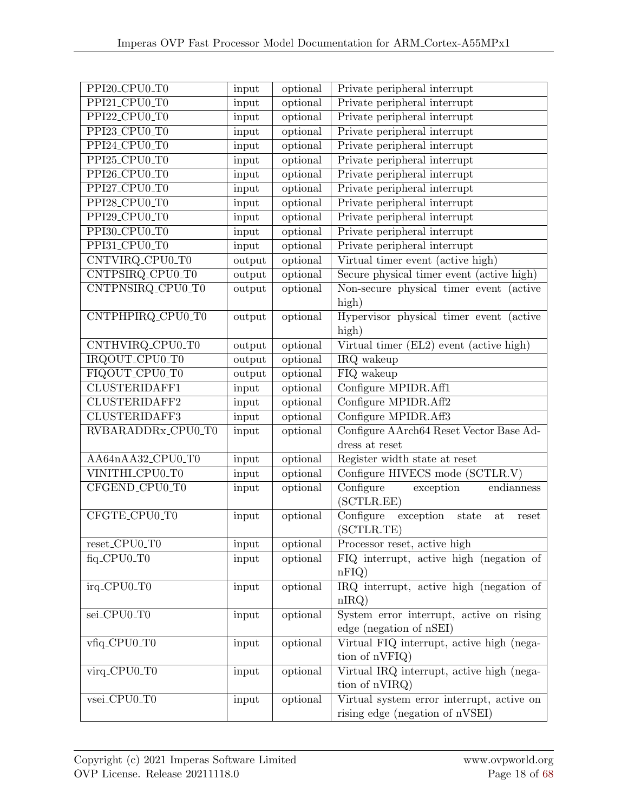| PPI20_CPU0_T0        | input  | optional | Private peripheral interrupt                                |
|----------------------|--------|----------|-------------------------------------------------------------|
| PPI21_CPU0_T0        | input  | optional | Private peripheral interrupt                                |
| PPI22_CPU0_T0        | input  | optional | Private peripheral interrupt                                |
| PPI23_CPU0_T0        | input  | optional | Private peripheral interrupt                                |
| PPI24_CPU0_T0        | input  | optional | Private peripheral interrupt                                |
| PPI25_CPU0_T0        | input  | optional | Private peripheral interrupt                                |
| PPI26_CPU0_T0        | input  | optional | Private peripheral interrupt                                |
| PPI27_CPU0_T0        | input  | optional | Private peripheral interrupt                                |
| PPI28_CPU0_T0        | input  | optional | Private peripheral interrupt                                |
| PPI29_CPU0_T0        | input  | optional | Private peripheral interrupt                                |
| PPI30_CPU0_T0        | input  | optional | Private peripheral interrupt                                |
| PPI31_CPU0_T0        | input  | optional | Private peripheral interrupt                                |
| CNTVIRQ_CPU0_T0      | output | optional | Virtual timer event (active high)                           |
| CNTPSIRQ_CPU0_T0     | output | optional | Secure physical timer event (active high)                   |
| CNTPNSIRQ_CPU0_T0    | output | optional | Non-secure physical timer event<br><i>(active)</i>          |
|                      |        |          | high)                                                       |
| CNTPHPIRQ_CPU0_T0    | output | optional | Hypervisor physical timer event (active                     |
|                      |        |          | high)                                                       |
| CNTHVIRQ_CPU0_T0     | output | optional | $\overline{\text{Virtual timer (EL2)}}$ event (active high) |
| IRQOUT_CPU0_T0       | output | optional | IRQ wakeup                                                  |
| FIQOUT_CPU0_T0       | output | optional | FIQ wakeup                                                  |
| <b>CLUSTERIDAFF1</b> | input  | optional | Configure MPIDR.Aff1                                        |
| <b>CLUSTERIDAFF2</b> | input  | optional | Configure MPIDR.Aff2                                        |
| <b>CLUSTERIDAFF3</b> | input  | optional | Configure MPIDR.Aff3                                        |
| RVBARADDRx_CPU0_T0   | input  | optional | Configure AArch64 Reset Vector Base Ad-                     |
|                      |        |          | dress at reset                                              |
| AA64nAA32_CPU0_T0    | input  | optional | Register width state at reset                               |
| VINITHI_CPU0_T0      | input  | optional | Configure HIVECS mode (SCTLR.V)                             |
| CFGEND_CPU0_T0       | input  | optional | Configure<br>exception<br>endianness<br>(SCTLR.EE)          |
| CFGTE_CPU0_T0        | input  | optional | Configure<br>exception<br>state<br>at<br>reset              |
|                      |        |          | (SCTLR.TE)                                                  |
| reset_CPU0_T0        | input  | optional | Processor reset, active high                                |
| fiq_CPU0_T0          | input  | optional | FIQ interrupt, active high (negation of<br>nFIQ             |
| irq_CPU0_T0          | input  | optional | IRQ interrupt, active high (negation of                     |
|                      |        |          | nIRQ                                                        |
| sei_CPU0_T0          | input  | optional | System error interrupt, active on rising                    |
|                      |        |          | edge (negation of nSEI)                                     |
| vfiq_CPU0_T0         | input  | optional | Virtual FIQ interrupt, active high (nega-                   |
|                      |        |          | tion of nVFIQ)                                              |
| virq_CPU0_T0         | input  | optional | Virtual IRQ interrupt, active high (nega-                   |
|                      |        |          | tion of nVIRQ)                                              |
| vsei_CPU0_T0         | input  | optional | Virtual system error interrupt, active on                   |
|                      |        |          | rising edge (negation of nVSEI)                             |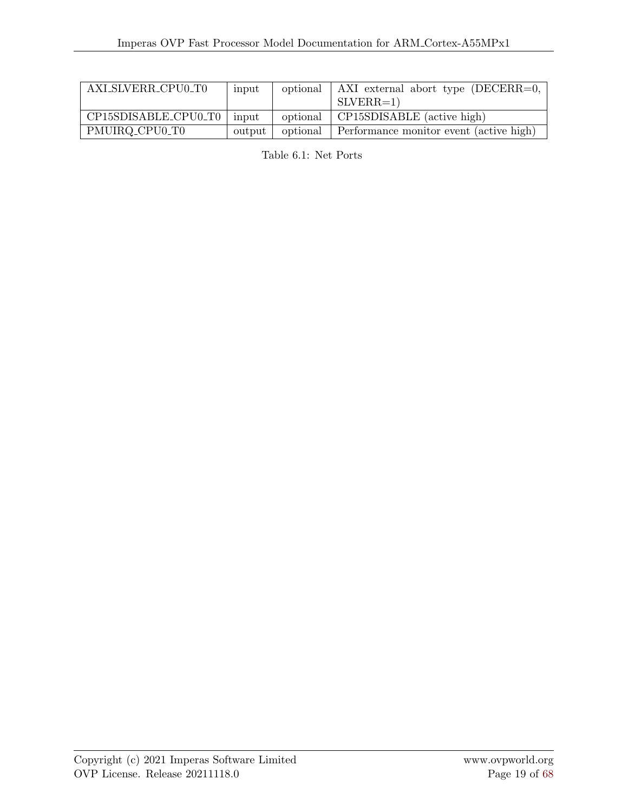| AXLSLVERR_CPU0_T0    | input  | optional | AXI external abort type (DECERR=0,      |
|----------------------|--------|----------|-----------------------------------------|
|                      |        |          | $SLVERR=1)$                             |
| CP15SDISABLE_CPU0_T0 | input  | optional | CP15SDISABLE (active high)              |
| PMUIRQ_CPU0_T0       | output | optional | Performance monitor event (active high) |

Table 6.1: Net Ports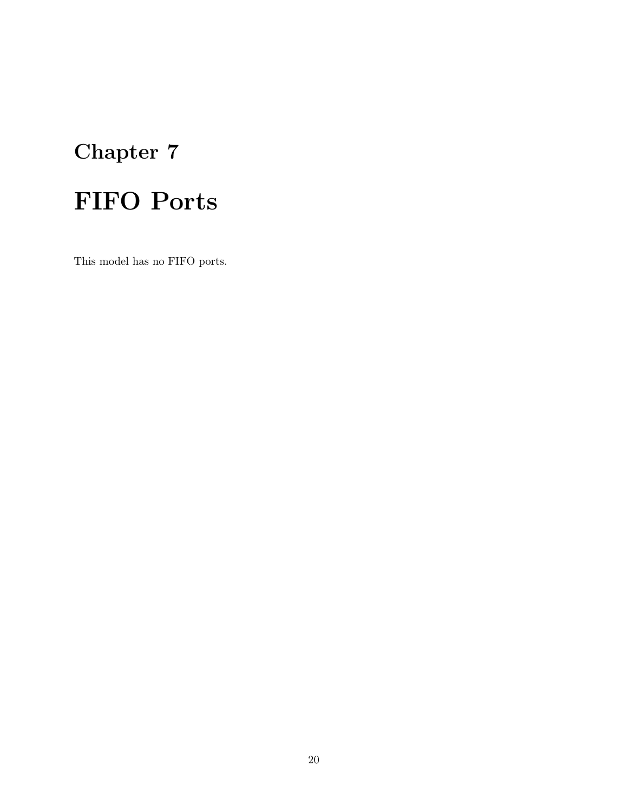# <span id="page-24-0"></span>Chapter 7 FIFO Ports

This model has no FIFO ports.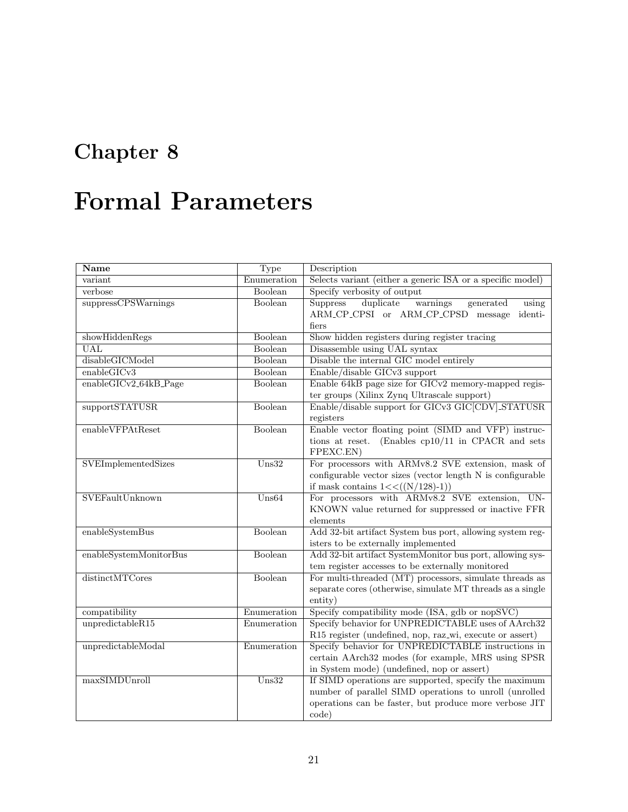### <span id="page-25-0"></span>Formal Parameters

| <b>Name</b>                                 | Type                      | Description                                                                                                                                                                        |  |
|---------------------------------------------|---------------------------|------------------------------------------------------------------------------------------------------------------------------------------------------------------------------------|--|
| variant                                     | Enumeration               | Selects variant (either a generic ISA or a specific model)                                                                                                                         |  |
| verbose                                     | Boolean                   | Specify verbosity of output                                                                                                                                                        |  |
| suppressCPSWarnings                         | <b>Boolean</b>            | duplicate<br>warnings<br><b>Suppress</b><br>generated<br>using<br>ARM_CP_CPSI or ARM_CP_CPSD message<br>identi-<br>fiers                                                           |  |
| showHiddenRegs                              | Boolean                   | Show hidden registers during register tracing                                                                                                                                      |  |
| <b>UAL</b>                                  | Boolean                   | Disassemble using UAL syntax                                                                                                                                                       |  |
| disableGICModel                             | Boolean                   | Disable the internal GIC model entirely                                                                                                                                            |  |
| enableGICv3                                 | Boolean                   | Enable/disable GICv3 support                                                                                                                                                       |  |
| $\overline{\text{enableGICv2\_64kB\_Page}}$ | <b>Boolean</b>            | Enable 64kB page size for GICv2 memory-mapped regis-<br>ter groups (Xilinx Zynq Ultrascale support)                                                                                |  |
| supportSTATUSR                              | Boolean                   | Enable/disable support for GICv3 GIC CDV STATUSR<br>registers                                                                                                                      |  |
| enable VFPAtReset                           | Boolean                   | Enable vector floating point (SIMD and VFP) instruc-<br>(Enables $cp10/11$ in CPACR and sets<br>tions at reset.<br>FPEXC.EN)                                                       |  |
| <b>SVEImplementedSizes</b>                  | $\overline{\text{Uns}32}$ | For processors with ARMv8.2 SVE extension, mask of<br>configurable vector sizes (vector length N is configurable<br>if mask contains $1 \lt \lt ((N/128)-1))$                      |  |
| SVEFaultUnknown                             | $U$ ns64                  | For processors with ARMv8.2 SVE extension, UN-<br>KNOWN value returned for suppressed or inactive FFR<br>elements                                                                  |  |
| enableSystemBus                             | Boolean                   | Add 32-bit artifact System bus port, allowing system reg-<br>isters to be externally implemented                                                                                   |  |
| enableSystemMonitorBus                      | Boolean                   | Add 32-bit artifact SystemMonitor bus port, allowing sys-<br>tem register accesses to be externally monitored                                                                      |  |
| distinctMTCores                             | Boolean                   | For multi-threaded (MT) processors, simulate threads as<br>separate cores (otherwise, simulate MT threads as a single<br>entity)                                                   |  |
| compatibility                               | Enumeration               | Specify compatibility mode (ISA, gdb or nopSVC)                                                                                                                                    |  |
| unpredictableR15                            | Enumeration               | Specify behavior for UNPREDICTABLE uses of AArch32<br>R15 register (undefined, nop, raz_wi, execute or assert)                                                                     |  |
| unpredictableModal                          | Enumeration               | Specify behavior for UNPREDICTABLE instructions in<br>certain AArch32 modes (for example, MRS using SPSR<br>in System mode) (undefined, nop or assert)                             |  |
| maxSIMDUnroll                               | $\overline{\text{Uns}32}$ | If SIMD operations are supported, specify the maximum<br>number of parallel SIMD operations to unroll (unrolled<br>operations can be faster, but produce more verbose JIT<br>code) |  |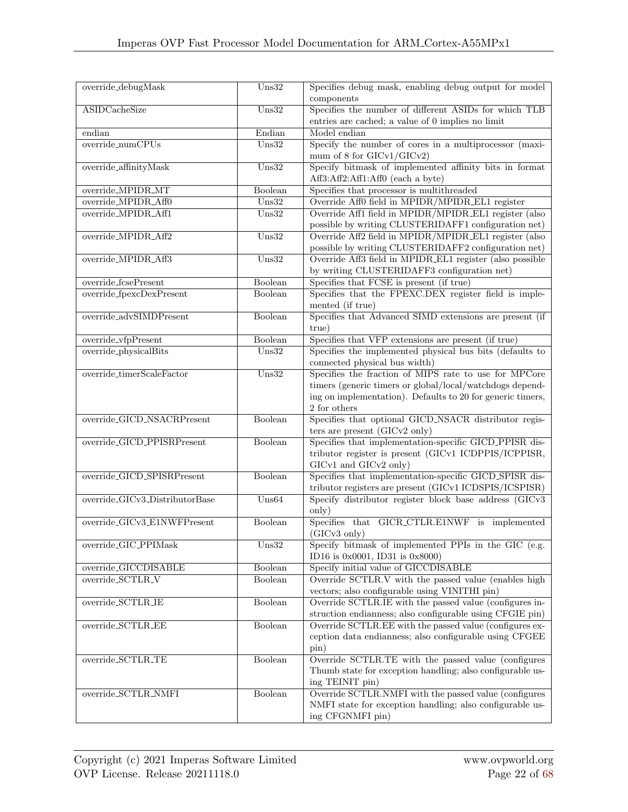| override_debugMask             | $U$ ns32                  | Specifies debug mask, enabling debug output for model                                                         |
|--------------------------------|---------------------------|---------------------------------------------------------------------------------------------------------------|
| <b>ASIDCacheSize</b>           | $U$ ns32                  | components<br>Specifies the number of different ASIDs for which TLB                                           |
|                                |                           | entries are cached; a value of 0 implies no limit                                                             |
| endian                         | Endian                    | Model endian                                                                                                  |
| override_numCPUs               | $U$ ns32                  | Specify the number of cores in a multiprocessor (maxi-                                                        |
|                                |                           | mum of 8 for GICv1/GICv2)                                                                                     |
| override_affinityMask          | $U$ ns32                  | Specify bitmask of implemented affinity bits in format                                                        |
|                                |                           | Aff3:Aff2:Aff1:Aff0 (each a byte)                                                                             |
| override_MPIDR_MT              | Boolean                   | Specifies that processor is multithreaded                                                                     |
| override_MPIDR_Aff0            | $U$ ns32                  | Override Aff0 field in MPIDR/MPIDR_EL1 register                                                               |
| override_MPIDR_Aff1            | $U$ ns32                  | Override Aff1 field in MPIDR/MPIDR_EL1 register (also<br>possible by writing CLUSTERIDAFF1 configuration net) |
| override_MPIDR_Aff2            | $\overline{\text{Uns}32}$ | Override Aff2 field in MPIDR/MPIDR_EL1 register (also                                                         |
|                                |                           | possible by writing CLUSTERIDAFF2 configuration net)                                                          |
| override_MPIDR_Aff3            | $U$ ns32                  | Override Aff3 field in MPIDR_EL1 register (also possible                                                      |
|                                |                           | by writing CLUSTERIDAFF3 configuration net)                                                                   |
| override_fcsePresent           | Boolean                   | Specifies that FCSE is present (if true)                                                                      |
| override_fpexcDexPresent       | Boolean                   | Specifies that the FPEXC.DEX register field is imple-                                                         |
|                                |                           | mented (if true)                                                                                              |
| override_advSIMDPresent        | Boolean                   | Specifies that Advanced SIMD extensions are present (if                                                       |
|                                |                           | true)                                                                                                         |
| override_vfpPresent            | Boolean                   | Specifies that VFP extensions are present (if true)                                                           |
| override_physicalBits          | $U$ ns32                  | Specifies the implemented physical bus bits (defaults to                                                      |
|                                |                           | connected physical bus width)                                                                                 |
| override_timerScaleFactor      | $U$ ns32                  | Specifies the fraction of MIPS rate to use for MPCore                                                         |
|                                |                           | timers (generic timers or global/local/watchdogs depend-                                                      |
|                                |                           | ing on implementation). Defaults to 20 for generic timers,                                                    |
|                                |                           | $2$ for others $\,$                                                                                           |
| override_GICD_NSACRPresent     | Boolean                   | Specifies that optional GICD_NSACR distributor regis-                                                         |
|                                |                           | ters are present (GICv2 only)                                                                                 |
| override_GICD_PPISRPresent     | Boolean                   | Specifies that implementation-specific GICD_PPISR dis-                                                        |
|                                |                           | tributor register is present (GICv1 ICDPPIS/ICPPISR,                                                          |
|                                |                           | GICv1 and GICv2 only)                                                                                         |
| override_GICD_SPISRPresent     | Boolean                   | Specifies that implementation-specific GICD_SPISR dis-                                                        |
| override_GICv3_DistributorBase |                           | tributor registers are present (GICv1 ICDSPIS/ICSPISR)                                                        |
|                                | Uns64                     | Specify distributor register block base address (GICv3<br>only)                                               |
| override_GICv3_E1NWFPresent    | Boolean                   | Specifies that GICR_CTLR.E1NWF is implemented                                                                 |
|                                |                           | (GICv3 only)                                                                                                  |
| override_GIC_PPIMask           | $U$ ns32                  | Specify bitmask of implemented PPIs in the GIC (e.g.                                                          |
|                                |                           | ID16 is 0x0001, ID31 is 0x8000)                                                                               |
| override_GICCDISABLE           | Boolean                   | Specify initial value of GICCDISABLE                                                                          |
| override_SCTLR_V               | Boolean                   | Override SCTLR.V with the passed value (enables high                                                          |
|                                |                           | vectors; also configurable using VINITHI pin)                                                                 |
| override_SCTLR_IE              | Boolean                   | Override SCTLR.IE with the passed value (configures in-                                                       |
|                                |                           | struction endianness; also configurable using CFGIE pin)                                                      |
| override_SCTLR_EE              | Boolean                   | Override SCTLR.EE with the passed value (configures ex-                                                       |
|                                |                           | ception data endianness; also configurable using CFGEE                                                        |
| override_SCTLR_TE              | Boolean                   | $\sin)$                                                                                                       |
|                                |                           | Override SCTLR.TE with the passed value (configures                                                           |
|                                |                           | Thumb state for exception handling; also configurable us-<br>ing TEINIT pin)                                  |
| override_SCTLR_NMFI            | Boolean                   | Override SCTLR.NMFI with the passed value (configures                                                         |
|                                |                           | NMFI state for exception handling; also configurable us-                                                      |
|                                |                           | ing CFGNMFI pin)                                                                                              |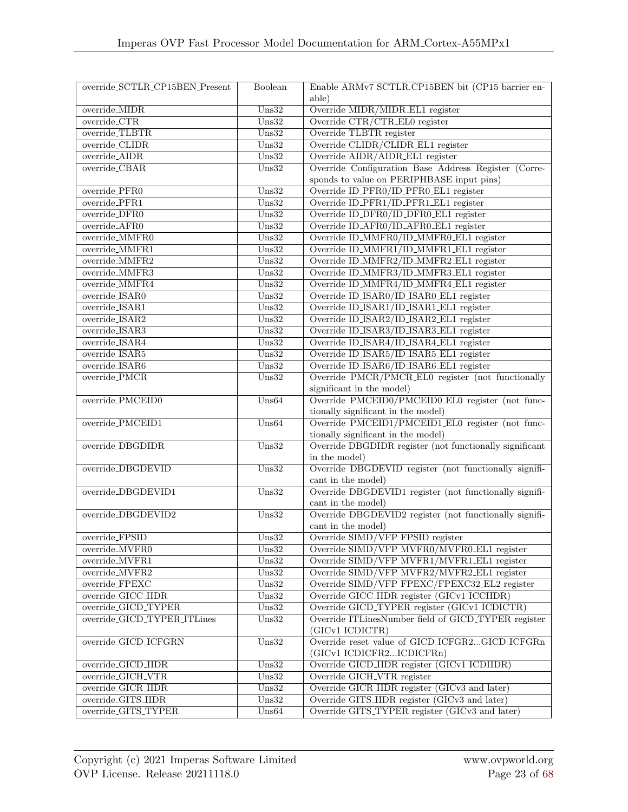| override_SCTLR_CP15BEN_Present | Boolean                   | Enable ARMv7 SCTLR.CP15BEN bit (CP15 barrier en-                           |  |
|--------------------------------|---------------------------|----------------------------------------------------------------------------|--|
|                                |                           | able)                                                                      |  |
| override_MIDR                  | $U$ ns32                  | Override MIDR/MIDR_EL1 register                                            |  |
| $override_CTR$                 | $\overline{\text{Uns}32}$ | Override CTR/CTR_EL0 register                                              |  |
| override_TLBTR                 | $U$ ns32                  | Override TLBTR register                                                    |  |
| override_CLIDR                 | $\overline{\text{Uns}32}$ | Override CLIDR/CLIDR_EL1 register                                          |  |
| override_AIDR                  | $U$ ns32                  | Override AIDR/AIDR_EL1 register                                            |  |
| override_CBAR                  | $U$ ns32                  | Override Configuration Base Address Register (Corre-                       |  |
|                                |                           | sponds to value on PERIPHBASE input pins)                                  |  |
| override_PFR0                  | $\overline{\text{Uns}32}$ | Override ID_PFR0/ID_PFR0_EL1 register                                      |  |
| override_PFR1                  | $\overline{\text{Uns}32}$ | Override ID_PFR1/ID_PFR1_EL1 register                                      |  |
| override_DFR0                  | $U$ ns32                  | Override ID_DFR0/ID_DFR0_EL1 register                                      |  |
| override_AFR0                  | $\overline{\text{Uns}32}$ | Override ID_AFR0/ID_AFR0_EL1 register                                      |  |
| override_MMFR0                 | $\overline{\text{Uns}32}$ | Override ID_MMFR0/ID_MMFR0_EL1 register                                    |  |
| override_MMFR1                 | $U$ ns32                  | Override ID_MMFR1/ID_MMFR1_EL1 register                                    |  |
| override_MMFR2                 | $U$ ns32                  | Override ID_MMFR2/ID_MMFR2_EL1 register                                    |  |
| override_MMFR3                 | $U$ ns32                  | Override ID_MMFR3/ID_MMFR3_EL1 register                                    |  |
| override_MMFR4                 | $U$ ns32                  | Override ID_MMFR4/ID_MMFR4_EL1 register                                    |  |
| override_ISAR0                 | $U$ ns32                  | Override ID_ISAR0/ID_ISAR0_EL1 register                                    |  |
| override_ISAR1                 | $U$ ns32                  | Override ID_ISAR1/ID_ISAR1_EL1 register                                    |  |
| override_ISAR2                 | $U$ ns32                  | Override ID_ISAR2/ID_ISAR2_EL1 register                                    |  |
| override_ISAR3                 | $U$ ns32                  | Override ID_ISAR3/ID_ISAR3_EL1 register                                    |  |
| override_ISAR4                 | $U$ ns32                  | Override ID_ISAR4/ID_ISAR4_EL1 register                                    |  |
| override_ISAR5                 | $\overline{\text{Uns}32}$ | Override ID_ISAR5/ID_ISAR5_EL1 register                                    |  |
| override_ISAR6                 | $U$ ns32                  | Override ID_ISAR6/ID_ISAR6_EL1 register                                    |  |
| override_PMCR                  | $U$ ns32                  | Override PMCR/PMCR_EL0 register (not functionally                          |  |
|                                |                           | significant in the model)                                                  |  |
| override_PMCEID0               | Uns64                     | Override PMCEID0/PMCEID0_EL0 register (not func-                           |  |
|                                |                           | tionally significant in the model)                                         |  |
| override_PMCEID1               | $U$ ns64                  | Override PMCEID1/PMCEID1_EL0 register (not func-                           |  |
|                                |                           | tionally significant in the model)                                         |  |
| override_DBGDIDR               | $\overline{\text{Uns}32}$ | Override DBGDIDR register (not functionally significant                    |  |
|                                |                           | in the model)                                                              |  |
| override_DBGDEVID              | $U$ ns32                  | Override DBGDEVID register (not functionally signifi-                      |  |
|                                |                           | cant in the model)                                                         |  |
| override_DBGDEVID1             | $\overline{\text{Uns}32}$ | Override DBGDEVID1 register (not functionally signifi-                     |  |
|                                |                           | cant in the model)                                                         |  |
| override_DBGDEVID2             | $U$ ns32                  | Override DBGDEVID2 register (not functionally signifi-                     |  |
|                                |                           | cant in the model)                                                         |  |
| override_FPSID                 | $U$ ns32                  | Override SIMD/VFP FPSID register                                           |  |
| override_MVFR0                 | $U$ ns $32$               | Override SIMD/VFP MVFR0/MVFR0_EL1 register                                 |  |
| override_MVFR1                 | $U$ ns32                  | Override SIMD/VFP MVFR1/MVFR1_EL1 register                                 |  |
| override_MVFR2                 | $U$ ns32                  | Override SIMD/VFP MVFR2/MVFR2_EL1 register                                 |  |
| override_FPEXC                 | $U$ ns32                  | Override SIMD/VFP FPEXC/FPEXC32_EL2 register                               |  |
| override_GICC_IIDR             | $U$ ns32                  | Override GICC_IIDR register (GICv1 ICCIIDR)                                |  |
| override_GICD_TYPER            | $U$ ns32                  | Override GICD_TYPER register (GICv1 ICDICTR)                               |  |
| override_GICD_TYPER_ITLines    | $U$ ns32                  | Override ITLinesNumber field of GICD_TYPER register                        |  |
|                                |                           | (GICv1 ICDICTR)                                                            |  |
| override_GICD_ICFGRN           | $U$ ns32                  | Override reset value of GICD_ICFGR2GICD_ICFGRn<br>(GICv1 ICDICFR2ICDICFRn) |  |
| override_GICD_IIDR             | $U$ ns32                  | Override GICD_IIDR register (GICv1 ICDIIDR)                                |  |
| override_GICH_VTR              | $U$ ns32                  | Override GICH_VTR register                                                 |  |
| override_GICR_IIDR             | $U$ ns32                  | Override GICR_IIDR register (GICv3 and later)                              |  |
| override_GITS_IIDR             | $U$ ns32                  | Override GITS_IIDR register (GICv3 and later)                              |  |
| override_GITS_TYPER            | $U$ ns64                  | Override GITS_TYPER register (GICv3 and later)                             |  |
|                                |                           |                                                                            |  |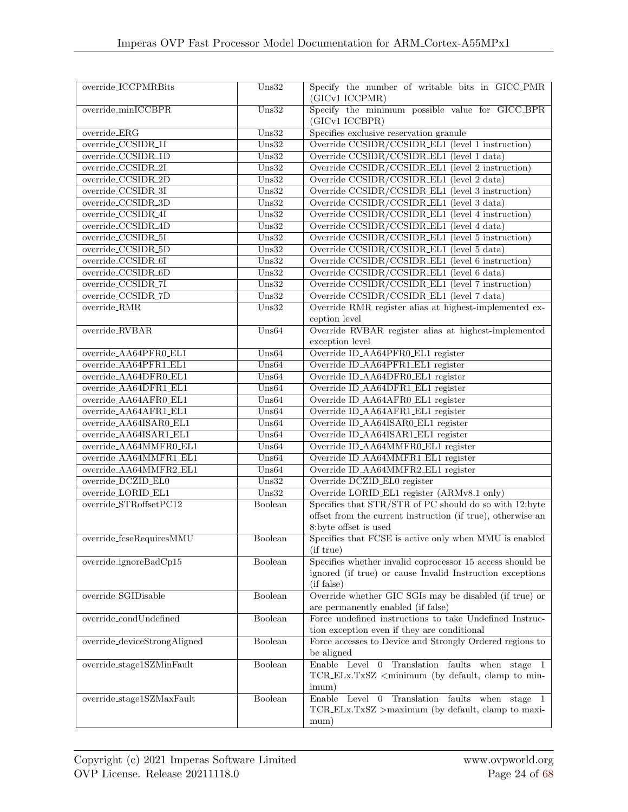| override_ICCPMRBits          | $U$ ns32                  | Specify the number of writable bits in GICC_PMR                                   |
|------------------------------|---------------------------|-----------------------------------------------------------------------------------|
|                              |                           | (GICv1 ICCPMR)                                                                    |
| override_minICCBPR           | $U$ ns32                  | Specify the minimum possible value for GICC_BPR<br>(GICv1 ICCBPR)                 |
| override_ERG                 | $U$ ns32                  | Specifies exclusive reservation granule                                           |
| override_CCSIDR_1I           | $U$ ns32                  | Override CCSIDR/CCSIDR_EL1 (level 1 instruction)                                  |
| override_CCSIDR_1D           | $U$ ns32                  | Override CCSIDR/CCSIDR_EL1 (level 1 data)                                         |
| override_CCSIDR_2I           | $U$ ns32                  | Override CCSIDR/CCSIDR_EL1 (level 2 instruction)                                  |
| override_CCSIDR_2D           | $U$ ns32                  | Override CCSIDR/CCSIDR_EL1 (level 2 data)                                         |
| override_CCSIDR_3I           | $U$ ns32                  | Override CCSIDR/CCSIDR_EL1 (level 3 instruction)                                  |
| override_CCSIDR_3D           | $U$ ns32                  | Override CCSIDR/CCSIDR_EL1 (level 3 data)                                         |
| override_CCSIDR_4I           | $U$ ns32                  | Override CCSIDR/CCSIDR_EL1 (level 4 instruction)                                  |
| override_CCSIDR_4D           | $U$ ns32                  | Override CCSIDR/CCSIDR_EL1 (level 4 data)                                         |
| override_CCSIDR_5I           | $U$ ns32                  | Override CCSIDR/CCSIDR_EL1 (level 5 instruction)                                  |
| override_CCSIDR_5D           | $U$ ns32                  | Override CCSIDR/CCSIDR_EL1 (level 5 data)                                         |
| override_CCSIDR_6I           | $U$ ns32                  | Override CCSIDR/CCSIDR_EL1 (level 6 instruction)                                  |
| override_CCSIDR_6D           | $U$ ns32                  | Override CCSIDR/CCSIDR_EL1 (level 6 data)                                         |
| override_CCSIDR_7I           | $U$ ns32                  | Override CCSIDR/CCSIDR_EL1 (level 7 instruction)                                  |
| override_CCSIDR_7D           |                           |                                                                                   |
|                              | $U$ ns32                  | Override CCSIDR/CCSIDR_EL1 (level 7 data)                                         |
| override_RMR                 | $\overline{\text{Uns}32}$ | Override RMR register alias at highest-implemented ex-                            |
| override_RVBAR               | $U$ ns64                  | ception level                                                                     |
|                              |                           | Override RVBAR register alias at highest-implemented                              |
|                              |                           | exception level                                                                   |
| override_AA64PFR0_EL1        | $U$ ns64                  | Override ID_AA64PFR0_EL1 register                                                 |
| override_AA64PFR1_EL1        | $U$ ns64                  | Override ID_AA64PFR1_EL1 register                                                 |
| override_AA64DFR0_EL1        | Uns64                     | Override ID <sub>-</sub> AA64DFR0 <sub>-EL1</sub> register                        |
| override_AA64DFR1_EL1        | Uns64                     | Override ID_AA64DFR1_EL1 register                                                 |
| override_AA64AFR0_EL1        | Uns64                     | Override ID_AA64AFR0_EL1 register                                                 |
| override_AA64AFR1_EL1        | Uns64                     | Override ID_AA64AFR1_EL1 register                                                 |
| override_AA64ISAR0_EL1       | Uns64                     | Override ID_AA64ISAR0_EL1 register                                                |
| override_AA64ISAR1_EL1       | $U$ ns64                  | Override ID_AA64ISAR1_EL1 register                                                |
| override_AA64MMFR0_EL1       | Uns64                     | Override ID_AA64MMFR0_EL1 register                                                |
| override_AA64MMFR1_EL1       | Uns64                     | Override ID_AA64MMFR1_EL1 register                                                |
| override_AA64MMFR2_EL1       | Uns64                     | Override ID_AA64MMFR2_EL1 register                                                |
| override_DCZID_EL0           | $U$ ns32                  | Override DCZID_EL0 register                                                       |
| override_LORID_EL1           | $U$ ns32                  | Override LORID_EL1 register (ARMv8.1 only)                                        |
| override_STRoffsetPC12       | Boolean                   | Specifies that STR/STR of PC should do so with 12:byte                            |
|                              |                           | offset from the current instruction (if true), otherwise an                       |
|                              |                           | 8:byte offset is used                                                             |
| override_fcseRequiresMMU     | Boolean                   | Specifies that FCSE is active only when MMU is enabled                            |
|                              |                           | (if true)                                                                         |
| override_ignoreBadCp15       | Boolean                   | Specifies whether invalid coprocessor 15 access should be                         |
|                              |                           | ignored (if true) or cause Invalid Instruction exceptions                         |
|                              |                           | (if false)                                                                        |
| override_SGIDisable          | Boolean                   | Override whether GIC SGIs may be disabled (if true) or                            |
|                              |                           | are permanently enabled (if false)                                                |
| override_condUndefined       | Boolean                   | Force undefined instructions to take Undefined Instruc-                           |
|                              |                           | tion exception even if they are conditional                                       |
| override_deviceStrongAligned | Boolean                   | Force accesses to Device and Strongly Ordered regions to                          |
|                              |                           | be aligned                                                                        |
| override_stage1SZMinFault    | Boolean                   | Enable Level 0 Translation faults when stage                                      |
|                              |                           | TCR_ELx.TxSZ <minimum (by="" clamp="" default,="" min-<="" td="" to=""></minimum> |
|                              |                           | imum)                                                                             |
| override_stage1SZMaxFault    | Boolean                   | Enable Level 0 Translation faults when stage 1                                    |
|                              |                           | TCR_ELx.TxSZ >maximum (by default, clamp to maxi-                                 |
|                              |                           | mum)                                                                              |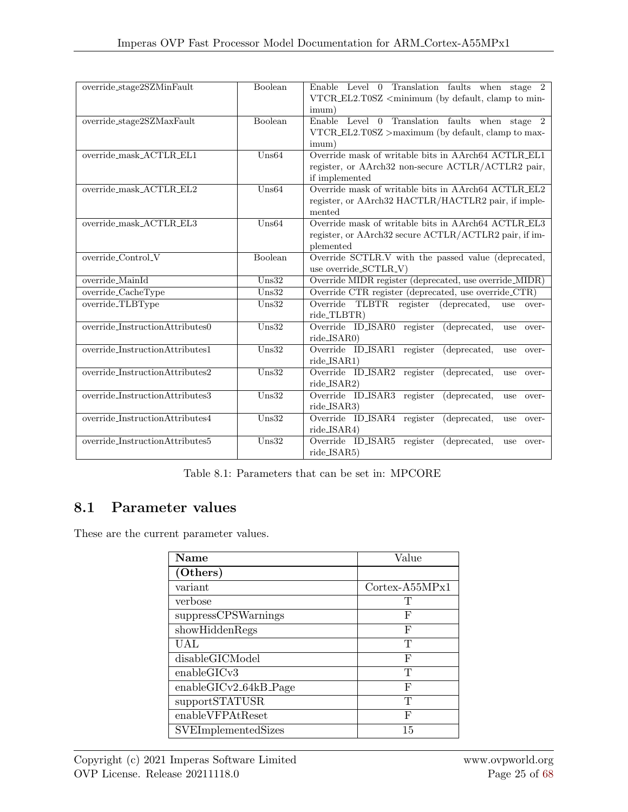| override_stage2SZMinFault          | Boolean  | Enable Level 0 Translation faults when stage 2<br>VTCR_EL2.T0SZ <minimum (by="" clamp="" default,="" min-<br="" to="">imum)</minimum> |
|------------------------------------|----------|---------------------------------------------------------------------------------------------------------------------------------------|
| $override\_stage2SZMaxFault$       | Boolean  | Enable Level 0 Translation faults when stage 2<br>$VTCR_EL2.T0SZ >$ maximum (by default, clamp to max-<br>imum)                       |
| override_mask_ACTLR_EL1            | Uns64    | Override mask of writable bits in AArch64 ACTLR_EL1<br>register, or AArch32 non-secure ACTLR/ACTLR2 pair,<br>if implemented           |
| override_mask_ACTLR_EL2            | $U$ ns64 | Override mask of writable bits in AArch64 ACTLR_EL2<br>register, or AArch32 HACTLR/HACTLR2 pair, if imple-<br>mented                  |
| override_mask_ACTLR_EL3            | Uns64    | Override mask of writable bits in AArch64 ACTLR_EL3<br>register, or AArch32 secure ACTLR/ACTLR2 pair, if im-<br>plemented             |
| override_Control_V                 | Boolean  | Override SCTLR.V with the passed value (deprecated,<br>use override_SCTLR_V)                                                          |
| override_MainId                    | $U$ ns32 | Override MIDR register (deprecated, use override_MIDR)                                                                                |
| override_CacheType                 | $U$ ns32 | Override CTR register (deprecated, use override_CTR)                                                                                  |
| override_TLBType                   | $U$ ns32 | Override TLBTR register<br>(deprecated,<br>use<br>over-<br>ride_TLBTR)                                                                |
| $override\_InstructionAttributes0$ | $U$ ns32 | Override ID_ISAR0 register<br>(deprecated,<br>use<br>over-<br>ride_ISAR0)                                                             |
| override_InstructionAttributes1    | $U$ ns32 | Override ID_ISAR1 register<br>(deprecated,<br>use<br>over-<br>ride_ISAR1)                                                             |
| override_InstructionAttributes2    | $U$ ns32 | Override ID_ISAR2 register<br>(deprecated,<br>use<br>over-<br>ride_ISAR2)                                                             |
| override_InstructionAttributes3    | $U$ ns32 | Override ID_ISAR3 register<br>(deprecated,<br>use<br>over-<br>ride_ISAR3)                                                             |
| $override\_InstructionAttributes4$ | $U$ ns32 | Override ID_ISAR4 register<br>(deprecated,<br>use<br>over-<br>ride_ISAR4)                                                             |
| override_InstructionAttributes5    | $U$ ns32 | Override ID_ISAR5 register<br>(deprecated,<br>use<br>over-<br>ride_ISAR5)                                                             |

Table 8.1: Parameters that can be set in: MPCORE

#### <span id="page-29-0"></span>8.1 Parameter values

These are the current parameter values.

| <b>Name</b>                | Value                          |
|----------------------------|--------------------------------|
| (Others)                   |                                |
| variant                    | $\text{Cortex-}\text{A55MPx1}$ |
| verbose                    | Т                              |
| suppressCPSWarnings        | F                              |
| showHiddenRegs             | F                              |
| UAL                        | T                              |
| disableGICModel            | F                              |
| enableGICv3                | T                              |
| $enable GICv2_64kB_Page$   | F                              |
| supportSTATUSR             | T                              |
| enableVFPAtReset           | F                              |
| <b>SVEImplementedSizes</b> | 15                             |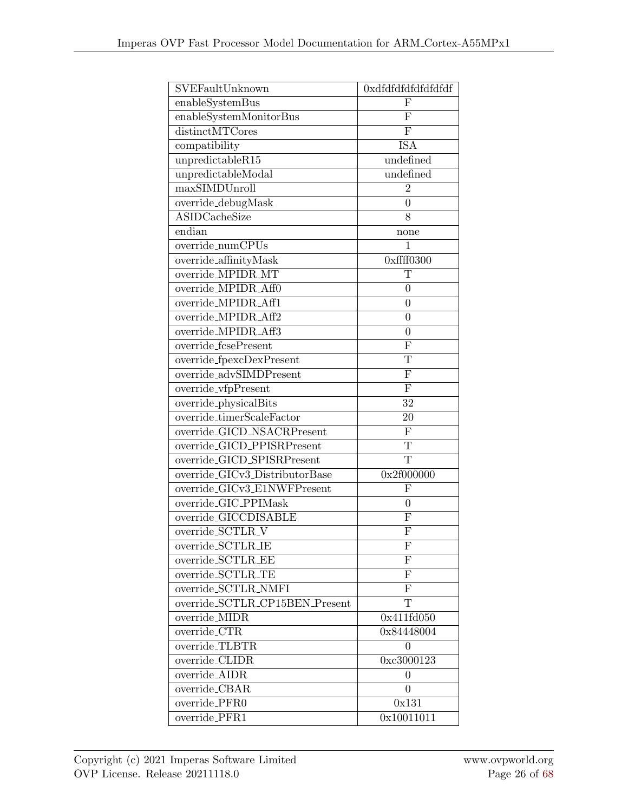| SVEFaultUnknown                  | 0xdfdfdfdfdfdfdfdf      |
|----------------------------------|-------------------------|
| enableSystemBus                  | F                       |
| enableSystemMonitorBus           | ${\bf F}$               |
| distinctMTCores                  | ${\bf F}$               |
| compatibility                    | <b>ISA</b>              |
| unpredictableR15                 | undefined               |
| unpredictableModal               | undefined               |
| maxSIMDUnroll                    | $\overline{2}$          |
| override_debugMask               | $\overline{0}$          |
| <b>ASIDCacheSize</b>             | 8                       |
| endian                           | none                    |
| override_numCPUs                 | $\mathbf{1}$            |
| override_affinityMask            | $0x$ ffff0300           |
| override_MPIDR_MT                | T                       |
| override MPIDR Aff0              | $\overline{0}$          |
| override_MPIDR_Aff1              | $\boldsymbol{0}$        |
| override_MPIDR_Aff2              | $\overline{0}$          |
| override_MPIDR_Aff3              | $\boldsymbol{0}$        |
| override_fcsePresent             | F                       |
| override_fpexcDexPresent         | T                       |
| override_advSIMDPresent          | ${\bf F}$               |
| override_vfpPresent              | F                       |
| $over^{-}$ override_physicalBits | 32                      |
| override_timerScaleFactor        | 20                      |
| override_GICD_NSACRPresent       | ${\bf F}$               |
| override_GICD_PPISRPresent       | $\overline{\mathrm{T}}$ |
| override_GICD_SPISRPresent       | $\overline{T}$          |
| override_GICv3_DistributorBase   | 0x2f000000              |
| override_GICv3_E1NWFPresent      | F                       |
| override_GIC_PPIMask             | $\boldsymbol{0}$        |
| override_GICCDISABLE             | ${\bf F}$               |
| override_SCTLR_V                 | F                       |
| $override\_SCTLR_$               | F                       |
| override_SCTLR_EE                | F                       |
| override_SCTLR_TE                | $\mathbf{F}$            |
| override_SCTLR_NMFI              | F                       |
| override_SCTLR_CP15BEN_Present   | T                       |
| override_MIDR                    | 0x411fd050              |
| override_CTR                     | 0x84448004              |
| override_TLBTR                   | 0                       |
| override_CLIDR                   | 0xc3000123              |
| override_AIDR                    | $\theta$                |
| override_CBAR                    | $\theta$                |
| override_PFR0                    | 0x131                   |
| override_PFR1                    | 0x10011011              |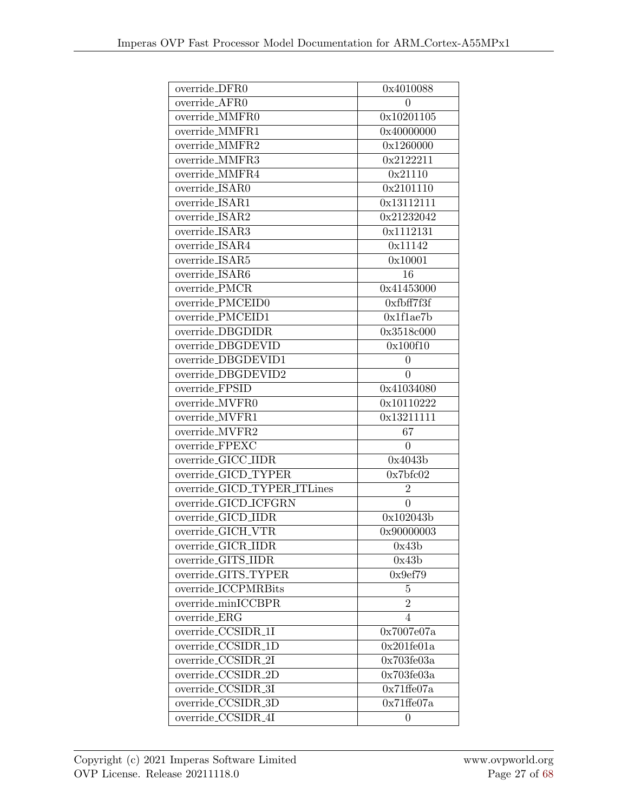| override_DFR0               | 0x4010088           |
|-----------------------------|---------------------|
| override_AFR0               | $\theta$            |
| override_MMFR0              | 0x10201105          |
| override_MMFR1              | 0x40000000          |
| override_MMFR2              | 0x1260000           |
| override_MMFR3              | 0x2122211           |
| override_MMFR4              | 0x21110             |
| override_ISAR0              | 0x2101110           |
| override_ISAR1              | 0x13112111          |
| override_ISAR2              | 0x21232042          |
| override_ISAR3              | 0x1112131           |
| override_ISAR4              | 0x11142             |
| override_ISAR5              | 0x10001             |
| override_ISAR6              | 16                  |
| override_ $\rm PMCR$        | 0x41453000          |
| override_PMCEID0            | 0xfbff7f3f          |
| override_PMCEID1            | 0x1f1ae7b           |
| override_DBGDIDR            | 0x3518c000          |
| override_DBGDEVID           | 0x100f10            |
| override_DBGDEVID1          | 0                   |
| override_DBGDEVID2          | 0                   |
| override_FPSID              | 0x41034080          |
| override_MVFR0              | 0x10110222          |
| override_MVFR1              | 0x13211111          |
| override_MVFR2              | 67                  |
| override_FPEXC              | $\overline{0}$      |
| override_GICC_IIDR          | 0x4043b             |
| override_GICD_TYPER         | 0x7bf602            |
| override_GICD_TYPER_ITLines | $\overline{2}$      |
| override_GICD_ICFGRN        | $\theta$            |
| override_GICD_IIDR          | 0x102043b           |
| override_GICH_VTR           | 0x90000003          |
| override_GICR_IIDR          | 0x43b               |
| override_GITS_IIDR          | 0x43b               |
| override_GITS_TYPER         | 0x9ef79             |
| override_ICCPMRBits         | 5                   |
| override_minICCBPR          | $\overline{2}$      |
| override_ $ERG$             | $\overline{4}$      |
| override_CCSIDR_1I          | 0x7007e07a          |
| override_CCSIDR_1D          | 0x201f1e01a         |
| override_CCSIDR_2I          | 0x703f603a          |
| override_CCSIDR_2D          | 0x703f603a          |
| override_CCSIDR_3I          | $0x71\text{ffe}07a$ |
| override_CCSIDR_3D          | 0x71f1607a          |
| override_CCSIDR_4I          | 0                   |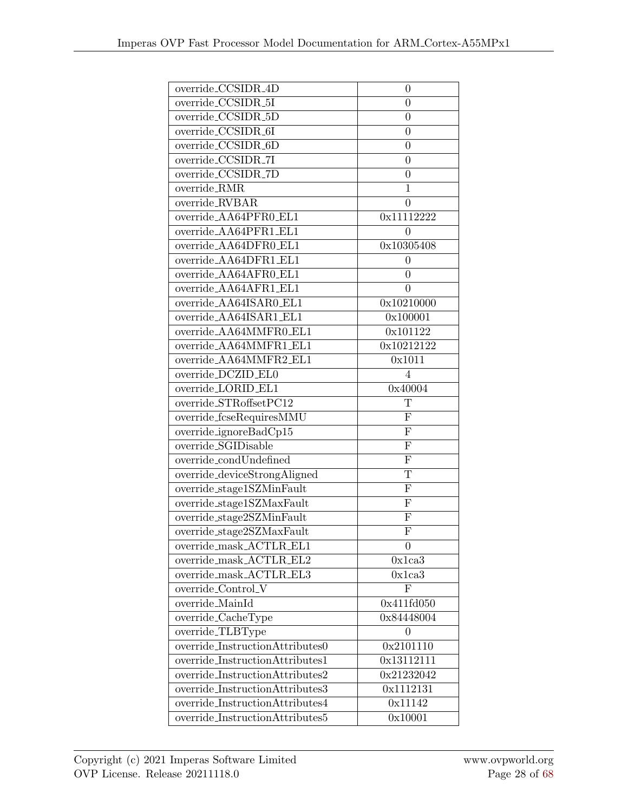| override_CCSIDR_4D                                                                                                                                                                                     | 0                         |
|--------------------------------------------------------------------------------------------------------------------------------------------------------------------------------------------------------|---------------------------|
| override_CCSIDR_5I                                                                                                                                                                                     | 0                         |
| $override\_C\overline{CSIDR\_5D}$                                                                                                                                                                      | $\overline{0}$            |
| override_CCSIDR_6I                                                                                                                                                                                     | 0                         |
| override_CCSIDR_6D                                                                                                                                                                                     | $\overline{0}$            |
| override_CCSIDR_7I                                                                                                                                                                                     | 0                         |
| override_CCSIDR_7D                                                                                                                                                                                     | 0                         |
| override_RMR                                                                                                                                                                                           | $\mathbf{1}$              |
| override_RVBAR                                                                                                                                                                                         | $\overline{0}$            |
| override_AA64PFR0_EL1                                                                                                                                                                                  | 0x11112222                |
| override_AA64PFR1_EL1                                                                                                                                                                                  | $\overline{0}$            |
| override_AA64DFR0_EL1                                                                                                                                                                                  | 0x10305408                |
| override_AA64DFR1_EL1                                                                                                                                                                                  | 0                         |
| override_AA64AFR0_EL1                                                                                                                                                                                  | $\theta$                  |
| override_AA64AFR1_EL1                                                                                                                                                                                  | $\overline{0}$            |
| override_AA64ISAR0_EL1                                                                                                                                                                                 | 0x10210000                |
| override_AA64ISAR1_EL1                                                                                                                                                                                 | 0x100001                  |
| override_AA64MMFR0_EL1                                                                                                                                                                                 | 0x101122                  |
| override_AA64MMFR1_EL1                                                                                                                                                                                 | 0x10212122                |
| override_AA64MMFR2_EL1                                                                                                                                                                                 | 0x1011                    |
| override_DCZID_EL0                                                                                                                                                                                     | $\overline{4}$            |
| override_LORID_EL1                                                                                                                                                                                     | 0x40004                   |
| override_STRoffsetPC12                                                                                                                                                                                 | T                         |
| override_fcseRequiresMMU                                                                                                                                                                               | F                         |
| override_ignoreBadCp15                                                                                                                                                                                 | ${\bf F}$                 |
| override_SGIDisable                                                                                                                                                                                    | ${\rm F}$                 |
| override_condUndefined                                                                                                                                                                                 | $\overline{\mathrm{F}}$   |
| override_deviceStrongAligned                                                                                                                                                                           | $\mathbf T$               |
| override_stage1SZMinFault                                                                                                                                                                              | ${\bf F}$                 |
| override_stage1SZMaxFault                                                                                                                                                                              | $\overline{\mathrm{F}}$   |
| override_stage2SZMinFault                                                                                                                                                                              | ${\bf F}$                 |
| $override\_stage2SZMaxFault$                                                                                                                                                                           | $\boldsymbol{\mathrm{F}}$ |
| override_mask_ACTLR_EL1                                                                                                                                                                                | 0                         |
| override_mask_ACTLR_EL2                                                                                                                                                                                | 0x1ca3                    |
| override_mask_ACTLR_EL3                                                                                                                                                                                | 0x1ca3                    |
| $override\_Control_V$                                                                                                                                                                                  | $\overline{F}$            |
| override_MainId                                                                                                                                                                                        | 0x411f d050               |
| override_CacheType                                                                                                                                                                                     | 0x84448004                |
| override_TLBType                                                                                                                                                                                       | $\theta$                  |
| override_InstructionAttributes0                                                                                                                                                                        | 0x2101110                 |
| override_InstructionAttributes1                                                                                                                                                                        | 0x13112111                |
| $override\_InstructionAttributes 2% \begin{tabular}{cccccc} \includegraphics[width=0.9\columnwidth]{figures/cdf} & \includegraphics[width=0.9\columnwidth]{figures/cdf} \end{tabular} \label{fig:cdf}$ | 0x21232042                |
| override_InstructionAttributes3                                                                                                                                                                        | 0x1112131                 |
| override_InstructionAttributes4                                                                                                                                                                        | 0x11142                   |
| override_InstructionAttributes5                                                                                                                                                                        | 0x10001                   |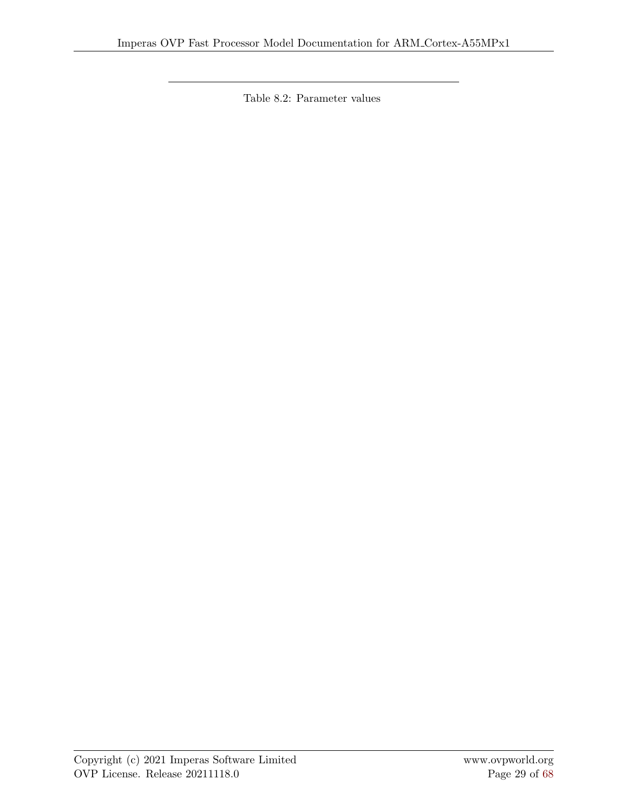Table 8.2: Parameter values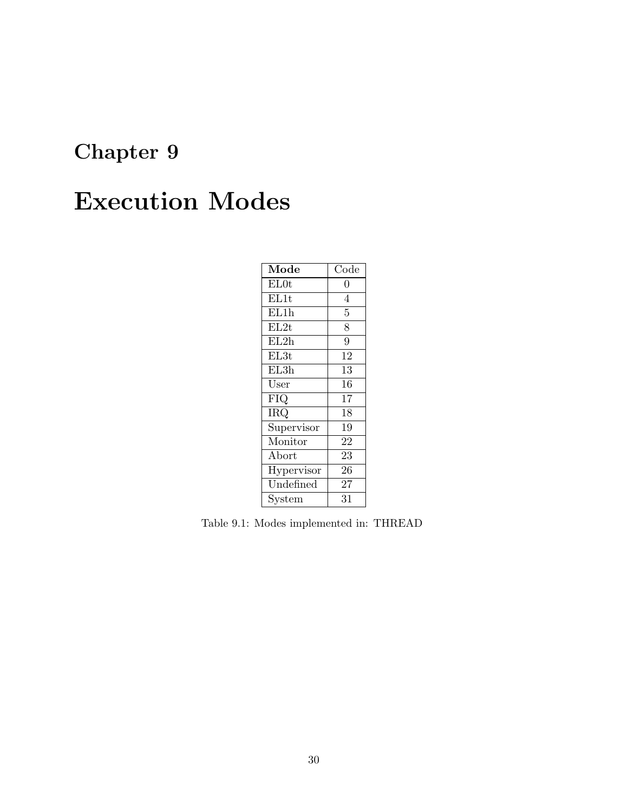## <span id="page-34-0"></span>Execution Modes

| Mode             | $\overline{\text{Code}}$ |
|------------------|--------------------------|
| EL0t             | 0                        |
| EL1t             | 4                        |
| EL1h             | 5                        |
| EL2t             | $\overline{8}$           |
| EL2h             | $\overline{9}$           |
| EL <sub>3t</sub> | 12                       |
| EL3h             | 13                       |
| User             | 16                       |
| FIQ              | 17                       |
| <b>IRQ</b>       | 18                       |
| Supervisor       | 19                       |
| Monitor          | 22                       |
| Abort            | 23                       |
| Hypervisor       | 26                       |
| Undefined        | 27                       |
| System           | 31                       |

Table 9.1: Modes implemented in: THREAD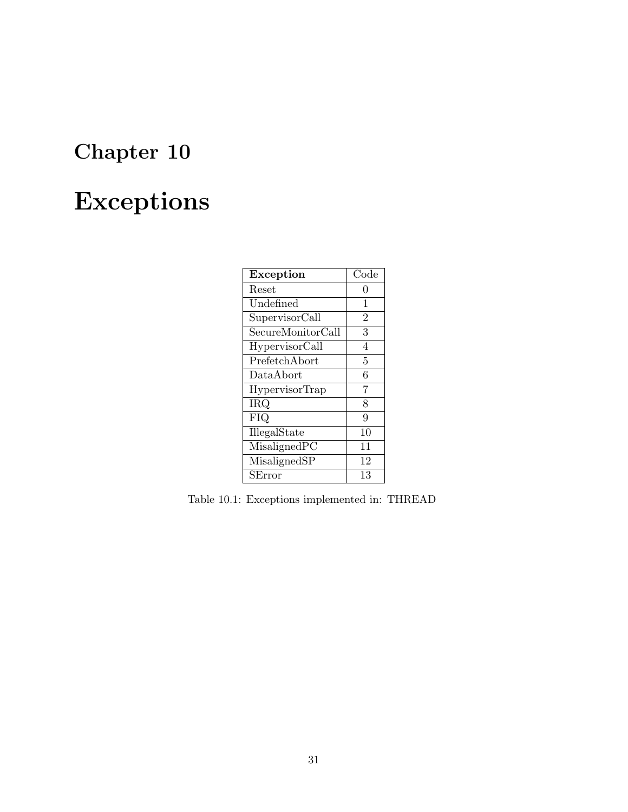## <span id="page-35-0"></span>Exceptions

| <b>Exception</b>      | $\rm Code$     |
|-----------------------|----------------|
| Reset                 | 0              |
| Undefined             | 1              |
| SupervisorCall        | $\overline{2}$ |
| SecureMonitorCall     | 3              |
| HypervisorCall        | 4              |
| PrefetchAbort         | 5              |
| DataAbort             | 6              |
| <b>HypervisorTrap</b> | $\overline{7}$ |
| <b>IRQ</b>            | 8              |
| FIQ                   | 9              |
| IllegalState          | 10             |
| MisalignedPC          | 11             |
| MisalignedSP          | 12             |
| SError                | 13             |

Table 10.1: Exceptions implemented in: THREAD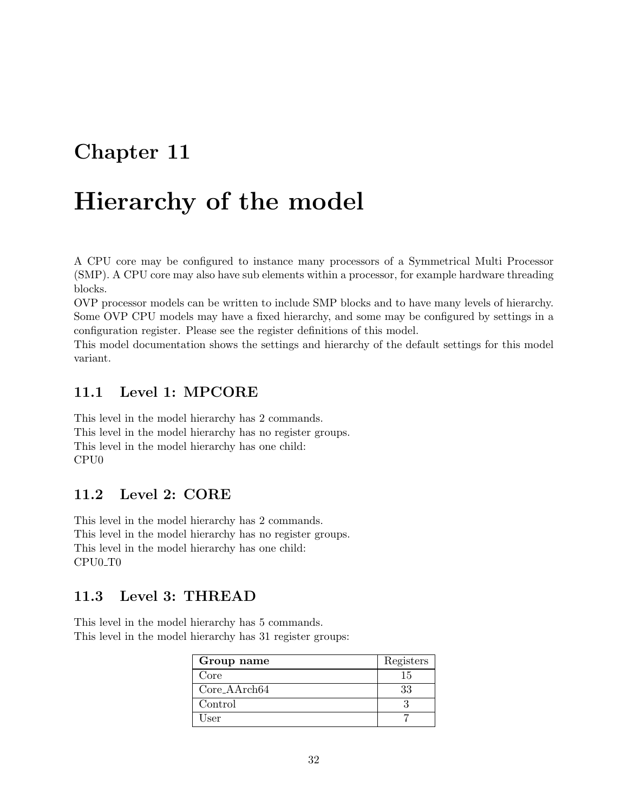# Chapter 11

# Hierarchy of the model

A CPU core may be configured to instance many processors of a Symmetrical Multi Processor (SMP). A CPU core may also have sub elements within a processor, for example hardware threading blocks.

OVP processor models can be written to include SMP blocks and to have many levels of hierarchy. Some OVP CPU models may have a fixed hierarchy, and some may be configured by settings in a configuration register. Please see the register definitions of this model.

This model documentation shows the settings and hierarchy of the default settings for this model variant.

## 11.1 Level 1: MPCORE

This level in the model hierarchy has 2 commands. This level in the model hierarchy has no register groups. This level in the model hierarchy has one child: CPU0

### 11.2 Level 2: CORE

This level in the model hierarchy has 2 commands. This level in the model hierarchy has no register groups. This level in the model hierarchy has one child: CPU0 T0

## 11.3 Level 3: THREAD

This level in the model hierarchy has 5 commands. This level in the model hierarchy has 31 register groups:

| Group name      | Registers |
|-----------------|-----------|
| Core            | 15        |
| $Core\_AArch64$ | 33        |
| Control         |           |
| User            |           |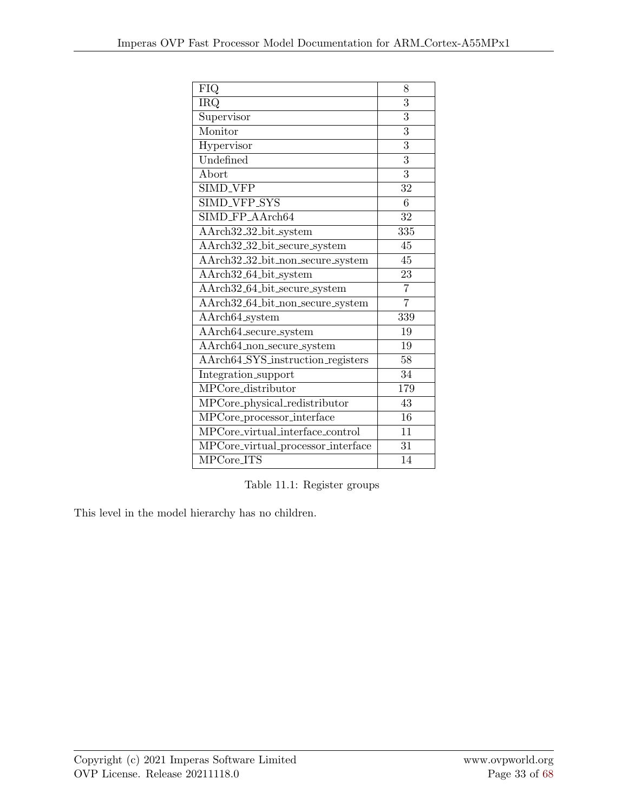| FIQ                                | 8               |
|------------------------------------|-----------------|
| <b>IRQ</b>                         | 3               |
| Supervisor                         | 3               |
| Monitor                            | 3               |
| Hypervisor                         | $\overline{3}$  |
| Undefined                          | 3               |
| Abort                              | 3               |
| <b>SIMD_VFP</b>                    | 32              |
| SIMD_VFP_SYS                       | 6               |
| SIMD_FP_AArch64                    | 32              |
| AArch32_32_bit_system              | 335             |
| AArch32_32_bit_secure_system       | 45              |
| AArch32_32_bit_non_secure_system   | 45              |
| AArch32_64_bit_system              | 23              |
| AArch32_64_bit_secure_system       | $\overline{7}$  |
| AArch32_64_bit_non_secure_system   | $\overline{7}$  |
| AArch64_system                     | 339             |
| AArch64_secure_system              | 19              |
| AArch64_non_secure_system          | 19              |
| AArch64_SYS_instruction_registers  | 58              |
| Integration_support                | 34              |
| MPCore_distributor                 | 179             |
| MPCore_physical_redistributor      | 43              |
| MPCore_processor_interface         | $\overline{16}$ |
| MPCore_virtual_interface_control   | 11              |
| MPCore_virtual_processor_interface | 31              |
| $MPCore_I}$                        | 14              |

Table 11.1: Register groups

This level in the model hierarchy has no children.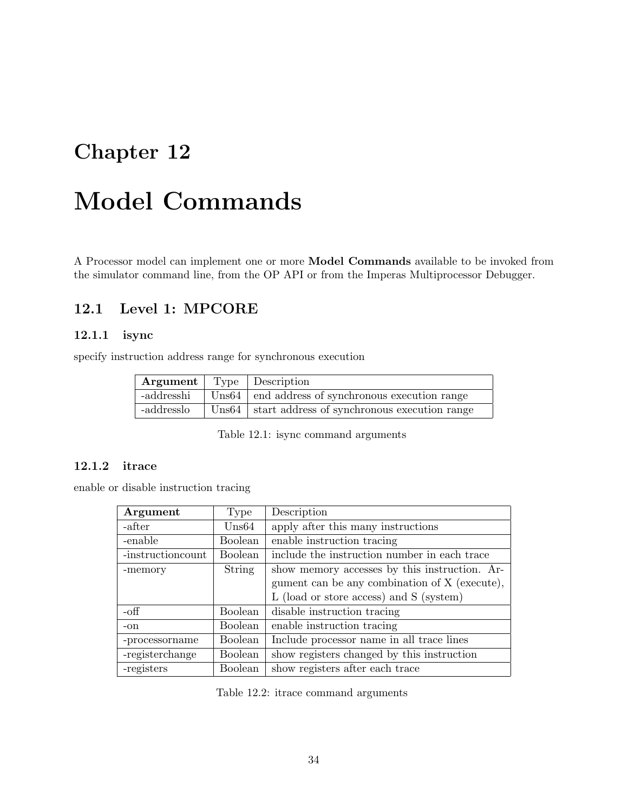# Chapter 12

# Model Commands

A Processor model can implement one or more Model Commands available to be invoked from the simulator command line, from the OP API or from the Imperas Multiprocessor Debugger.

## 12.1 Level 1: MPCORE

#### 12.1.1 isync

specify instruction address range for synchronous execution

| <b>Argument</b>   Type   Description |                                                                   |
|--------------------------------------|-------------------------------------------------------------------|
| -addresshi                           | Uns64   end address of synchronous execution range                |
| -addresslo                           | $\sqrt{\text{Us64}}$ start address of synchronous execution range |

Table 12.1: isync command arguments

#### 12.1.2 itrace

enable or disable instruction tracing

| Argument           | Type             | Description                                   |
|--------------------|------------------|-----------------------------------------------|
| -after             | $\mathrm{Uns}64$ | apply after this many instructions            |
| -enable            | <b>Boolean</b>   | enable instruction tracing                    |
| -instruction count | Boolean          | include the instruction number in each trace  |
| -memory            | String           | show memory accesses by this instruction. Ar- |
|                    |                  | gument can be any combination of X (execute), |
|                    |                  | L (load or store access) and S (system)       |
| -off               | <b>Boolean</b>   | disable instruction tracing                   |
| $-on$              | <b>Boolean</b>   | enable instruction tracing                    |
| -processorname     | Boolean          | Include processor name in all trace lines     |
| -registerchange    | Boolean          | show registers changed by this instruction    |
| -registers         | <b>Boolean</b>   | show registers after each trace               |

Table 12.2: itrace command arguments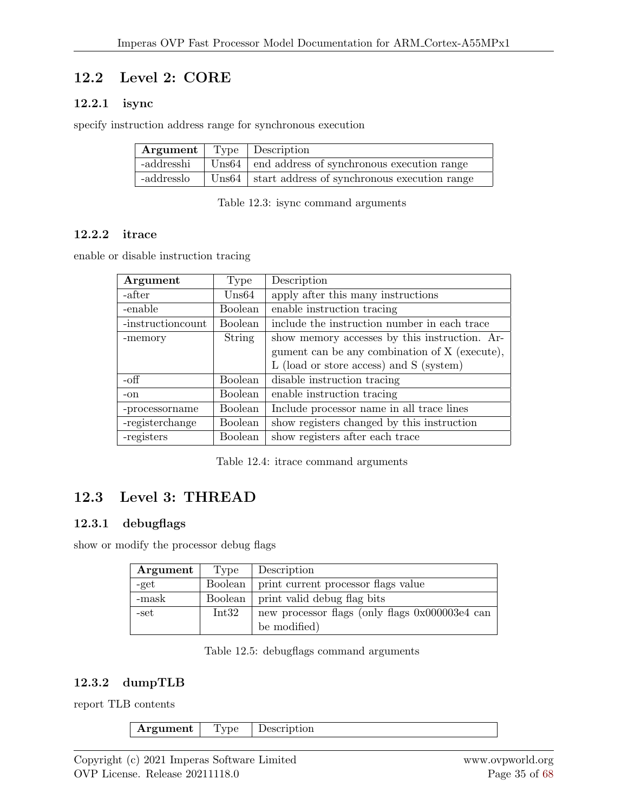# 12.2 Level 2: CORE

## 12.2.1 isync

specify instruction address range for synchronous execution

| <b>Argument</b>   Type   Description |                                                               |
|--------------------------------------|---------------------------------------------------------------|
|                                      | -addresshi Uns64   end address of synchronous execution range |
| -addresslo                           | Uns64 start address of synchronous execution range            |

Table 12.3: isync command arguments

#### 12.2.2 itrace

enable or disable instruction tracing

| Argument           | Type           | Description                                   |
|--------------------|----------------|-----------------------------------------------|
| -after             | Uns64          | apply after this many instructions            |
| -enable            | Boolean        | enable instruction tracing                    |
| -instruction count | Boolean        | include the instruction number in each trace  |
| -memory            | String         | show memory accesses by this instruction. Ar- |
|                    |                | gument can be any combination of X (execute), |
|                    |                | L (load or store access) and S (system)       |
| -off               | Boolean        | disable instruction tracing                   |
| -on                | <b>Boolean</b> | enable instruction tracing                    |
| -processorname     | Boolean        | Include processor name in all trace lines     |
| -registerchange    | Boolean        | show registers changed by this instruction    |
| -registers         | Boolean        | show registers after each trace               |

Table 12.4: itrace command arguments

# 12.3 Level 3: THREAD

### 12.3.1 debugflags

show or modify the processor debug flags

| Argument | Type    | Description                                    |
|----------|---------|------------------------------------------------|
| -get     | Boolean | print current processor flags value            |
| -mask    | Boolean | print valid debug flag bits                    |
| -set     | Int32   | new processor flags (only flags 0x000003e4 can |
|          |         | be modified)                                   |

Table 12.5: debugflags command arguments

## 12.3.2 dumpTLB

report TLB contents

| .<br>-- |
|---------|
|---------|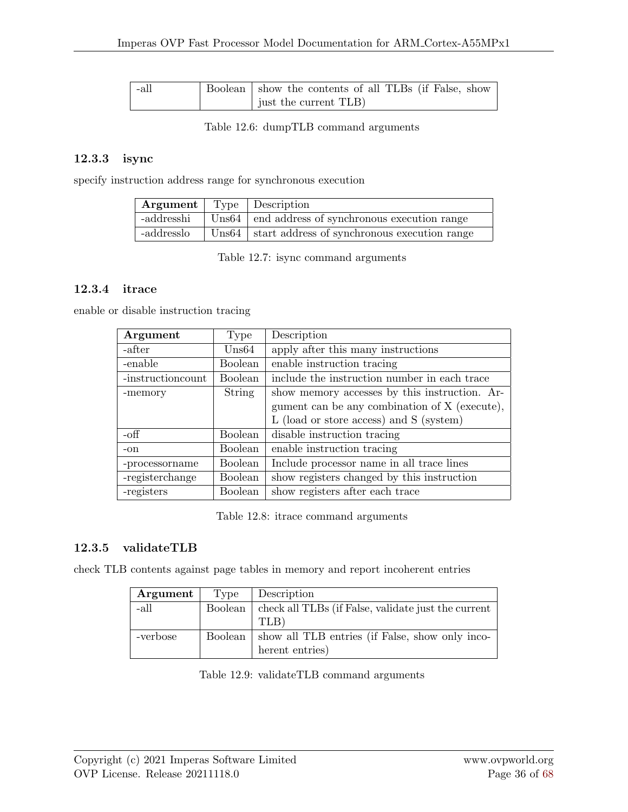| -all | Boolean show the contents of all TLBs (if False, show |
|------|-------------------------------------------------------|
|      | just the current TLB                                  |

Table 12.6: dumpTLB command arguments

#### 12.3.3 isync

specify instruction address range for synchronous execution

| <b>Argument</b>   Type   Description |                                                               |
|--------------------------------------|---------------------------------------------------------------|
|                                      | -addresshi Uns64   end address of synchronous execution range |
| -addresslo                           | Uns64   start address of synchronous execution range          |

Table 12.7: isync command arguments

#### 12.3.4 itrace

enable or disable instruction tracing

| Argument           | Type             | Description                                   |
|--------------------|------------------|-----------------------------------------------|
| -after             | $\mathrm{Uns}64$ | apply after this many instructions            |
| -enable            | Boolean          | enable instruction tracing                    |
| -instruction count | <b>Boolean</b>   | include the instruction number in each trace  |
| -memory            | <b>String</b>    | show memory accesses by this instruction. Ar- |
|                    |                  | gument can be any combination of X (execute), |
|                    |                  | L (load or store access) and S (system)       |
| -off               | Boolean          | disable instruction tracing                   |
| $-on$              | Boolean          | enable instruction tracing                    |
| -processorname     | Boolean          | Include processor name in all trace lines     |
| -registerchange    | Boolean          | show registers changed by this instruction    |
| -registers         | <b>Boolean</b>   | show registers after each trace               |

Table 12.8: itrace command arguments

### 12.3.5 validateTLB

check TLB contents against page tables in memory and report incoherent entries

| Argument | Type    | Description                                               |
|----------|---------|-----------------------------------------------------------|
| -all     | Boolean | check all TLBs (if False, validate just the current       |
|          |         | TLB)                                                      |
| -verbose |         | Boolean   show all TLB entries (if False, show only inco- |
|          |         | herent entries)                                           |

Table 12.9: validateTLB command arguments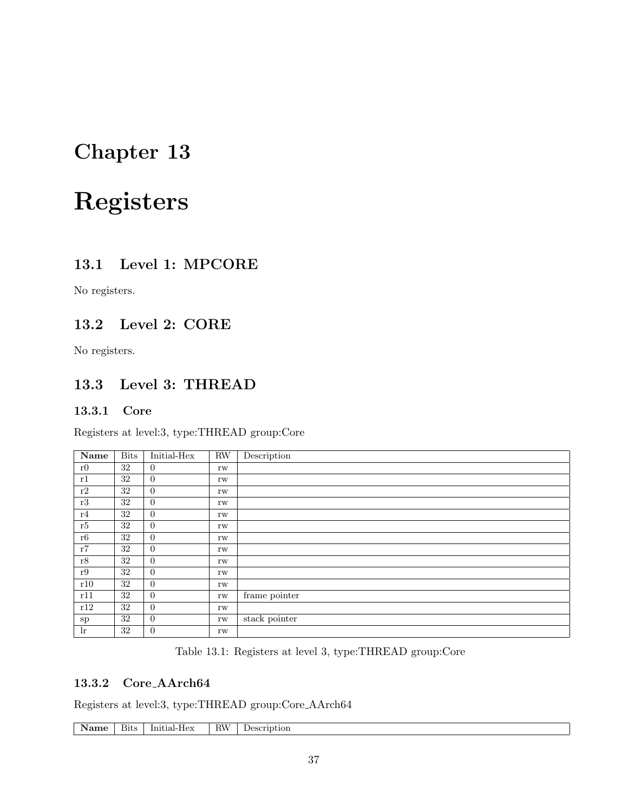# Chapter 13

# Registers

## 13.1 Level 1: MPCORE

No registers.

## 13.2 Level 2: CORE

No registers.

## 13.3 Level 3: THREAD

#### 13.3.1 Core

Registers at level:3, type:THREAD group:Core

| Name  | <b>Bits</b> | Initial-Hex      | RW            | Description   |
|-------|-------------|------------------|---------------|---------------|
| r0    | 32          | $\overline{0}$   | rw            |               |
| r1    | 32          | $\overline{0}$   | rw            |               |
| r2    | 32          | $\overline{0}$   | rw            |               |
| r3    | 32          | $\overline{0}$   | rw            |               |
| r4    | 32          | $\overline{0}$   | rw            |               |
| r5    | 32          | $\overline{0}$   | rw            |               |
| r6    | 32          | $\overline{0}$   | rw            |               |
| r7    | 32          | $\overline{0}$   | rw            |               |
| r8    | 32          | $\boldsymbol{0}$ | rw            |               |
| r9    | 32          | $\overline{0}$   | rw            |               |
| r10   | 32          | $\overline{0}$   | rw            |               |
| r11   | 32          | $\boldsymbol{0}$ | $\mathbf{rw}$ | frame pointer |
| r12   | 32          | $\overline{0}$   | rw            |               |
| sp    | 32          | $\overline{0}$   | rw            | stack pointer |
| $\ln$ | $32\,$      | $\boldsymbol{0}$ | rw            |               |

Table 13.1: Registers at level 3, type:THREAD group:Core

#### 13.3.2 Core AArch64

Registers at level:3, type:THREAD group:Core AArch64

| . .<br>. .<br>rre | AIF<br>ption<br>n<br>1 L V<br>. | 31t: | Initia<br>⊔ ∧-⊷<br>urar-<br>-1107 |
|-------------------|---------------------------------|------|-----------------------------------|
|-------------------|---------------------------------|------|-----------------------------------|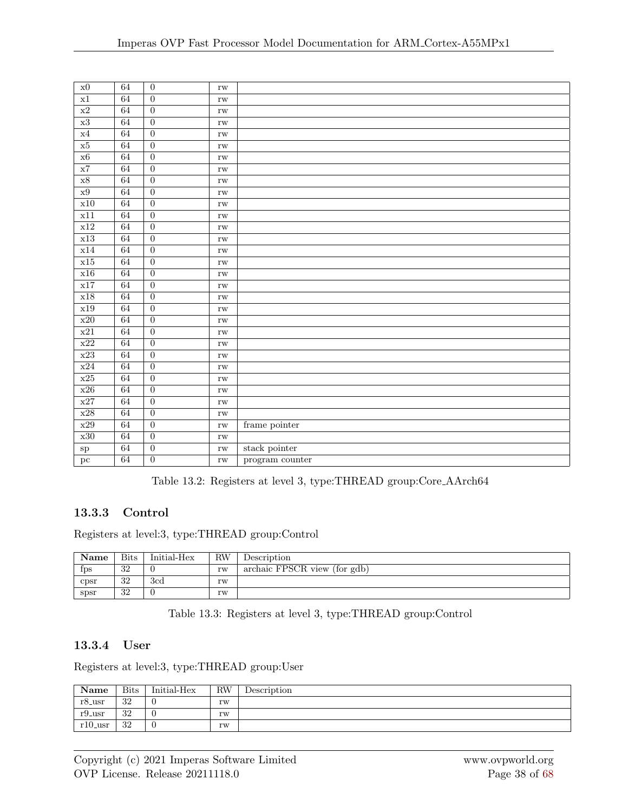| $\mathbf{x}0$            | 64              | $\boldsymbol{0}$ | $\rm rw$            |                       |
|--------------------------|-----------------|------------------|---------------------|-----------------------|
| $\overline{x1}$          | 64              | $\overline{0}$   | $\mathbf{rw}$       |                       |
| $\overline{x2}$          | 64              | $\overline{0}$   | $\mathbf{rw}$       |                       |
| x3                       | 64              | $\overline{0}$   | $\mathbf{rw}$       |                       |
| x4                       | 64              | $\overline{0}$   | $\mathbf{rw}$       |                       |
| $\overline{\textbf{x5}}$ | 64              | $\overline{0}$   | $\mathbf{rw}$       |                       |
| $\overline{\text{X}6}$   | 64              | $\overline{0}$   | $\mathbf{rw}$       |                       |
| $\rm x7$                 | 64              | $\overline{0}$   | $\mathbf{rw}$       |                       |
| $\overline{{\bf x}8}$    | $\overline{64}$ | $\overline{0}$   | $\mathbf{rw}$       |                       |
| $\overline{x9}$          | 64              | $\overline{0}$   | $\mathbf{rw}$       |                       |
| x10                      | 64              | $\overline{0}$   | $\mathbf{rw}$       |                       |
| x11                      | 64              | $\overline{0}$   | $\mathbf{rw}$       |                       |
| $\overline{\text{x}12}$  | 64              | $\overline{0}$   | $\mathbf{rw}$       |                       |
| x13                      | 64              | $\overline{0}$   | $\mathbf{rw}$       |                       |
| x14                      | 64              | $\overline{0}$   | $\mathbf{rw}$       |                       |
| x15                      | 64              | $\overline{0}$   | $\mathbf{rw}$       |                       |
| x16                      | 64              | $\overline{0}$   | $\mathbf{rw}$       |                       |
| x17                      | 64              | $\overline{0}$   | $\mathbf{rw}$       |                       |
| x18                      | 64              | $\overline{0}$   | $\mathbf{rw}$       |                       |
| x19                      | 64              | $\overline{0}$   | $\mathbf{rw}$       |                       |
| x20                      | 64              | $\overline{0}$   | $\mathbf{rw}$       |                       |
| x21                      | 64              | $\overline{0}$   | $\mathbf{rw}$       |                       |
| $\overline{x22}$         | 64              | $\overline{0}$   | $\mathbf{rw}$       |                       |
| $\overline{x23}$         | 64              | $\overline{0}$   | $\mathbf{rw}$       |                       |
| $\rm x24$                | 64              | $\overline{0}$   | $\mathbf{rw}$       |                       |
| x25                      | 64              | $\overline{0}$   | $\mathbf{rw}$       |                       |
| $\overline{x26}$         | 64              | $\overline{0}$   | $\mathbf{rw}$       |                       |
| $\overline{\text{x}27}$  | $64\,$          | $\overline{0}$   | $\mathbf{rw}$       |                       |
| x28                      | 64              | $\overline{0}$   | $\mathbf{rw}$       |                       |
| $\overline{x29}$         | 64              | $\overline{0}$   | $\mathbf{rw}$       | frame pointer         |
| x30                      | 64              | $\overline{0}$   | $\mathbf{rw}$       |                       |
| $_{\rm sp}$              | 64              | $\overline{0}$   | $\operatorname{rw}$ | ${\rm stack}$ pointer |
| pc                       | 64              | $\overline{0}$   | $\mathbf{rw}$       | program counter       |

Table 13.2: Registers at level 3, type:THREAD group:Core AArch64

### 13.3.3 Control

Registers at level:3, type:THREAD group:Control

| Name | <b>Bits</b>    | Initial-Hex | RW | Description                  |
|------|----------------|-------------|----|------------------------------|
| fps  | ാറ<br>$\sigma$ |             | rw | archaic FPSCR view (for gdb) |
| cpsr | ാറ<br>$\cdot$  | 3cd         | rw |                              |
| spsr | ാറ<br>$\sigma$ |             | rw |                              |

Table 13.3: Registers at level 3, type:THREAD group:Control

#### 13.3.4 User

Registers at level:3, type:THREAD group:User

| Name                 | <b>Bits</b> | Initial-Hex | <b>RW</b>     | Description |
|----------------------|-------------|-------------|---------------|-------------|
| $r8$ -usr            | 32          |             | rw            |             |
| $r9$ <sub>-usr</sub> | 32          |             | rw            |             |
| $r10$ -usr           | 32          |             | $\mathbf{rw}$ |             |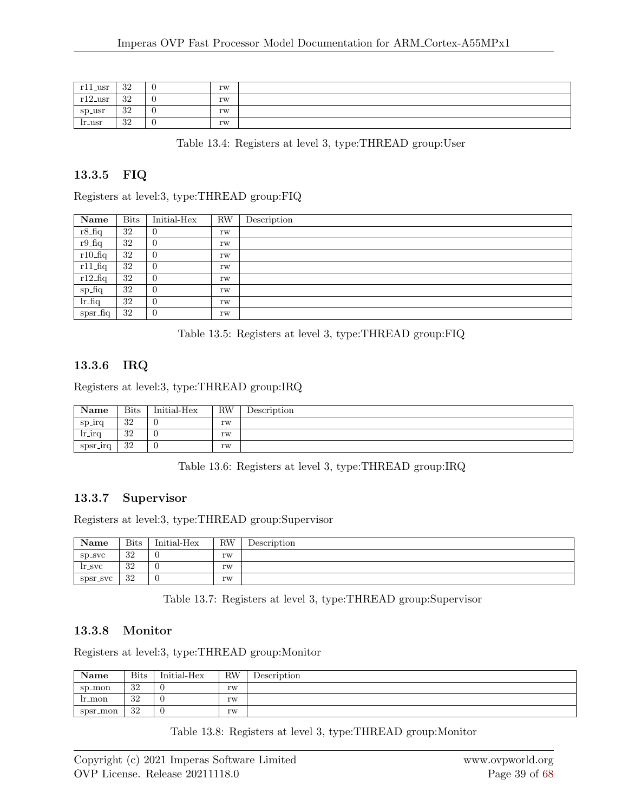| - 11 11<br>_usr<br>$\mathbf{r}$ | ാറ<br>∙J∠  | v | rw |  |
|---------------------------------|------------|---|----|--|
| r19<br>_usr                     | າາ<br>υZ   | v | rw |  |
| sp_usr                          | -20<br>∙J∠ | U | rw |  |
| lr_usr                          | 20<br>∙J∠  | v | rw |  |

Table 13.4: Registers at level 3, type:THREAD group:User

#### 13.3.5 FIQ

| Name       | <b>Bits</b> | Initial-Hex    | <b>RW</b> | Description |
|------------|-------------|----------------|-----------|-------------|
| $r8$ _fiq  | 32          | $\overline{0}$ | rw        |             |
| $r9_fq$    | 32          | $\overline{0}$ | rw        |             |
| $r10$ _fiq | 32          | $\overline{0}$ | rw        |             |
| $r11$ _fiq | 32          | $\overline{0}$ | rw        |             |
| $r12$ _fiq | 32          | $\theta$       | rw        |             |
| sp_fiq     | 32          | $\overline{0}$ | rw        |             |
| $lr_fiq$   | 32          | $\overline{0}$ | rw        |             |
| $spr_fiq$  | 32          | $\overline{0}$ | rw        |             |

Table 13.5: Registers at level 3, type:THREAD group:FIQ

#### 13.3.6 IRQ

Registers at level:3, type:THREAD group:IRQ

| Name      | <b>Bits</b> | Initial-Hex | <b>RW</b> | Description |
|-----------|-------------|-------------|-----------|-------------|
| sp_irq    | -20<br>∙J∠  | υ           | rw        |             |
| $l$ r_irq | 32          | U           | rw        |             |
| spsr_irq  | 32          | υ           | rw        |             |

Table 13.6: Registers at level 3, type:THREAD group:IRQ

#### 13.3.7 Supervisor

Registers at level:3, type:THREAD group:Supervisor

| Name      | <b>Bits</b> | Initial-Hex | <b>RW</b> | Description |
|-----------|-------------|-------------|-----------|-------------|
| Sp_SVC    | 32          |             | rw        |             |
| $lr\_svc$ | 32          |             | rw        |             |
| spsr_svc  | 32          |             | rw        |             |

Table 13.7: Registers at level 3, type:THREAD group:Supervisor

#### 13.3.8 Monitor

Registers at level:3, type:THREAD group:Monitor

| Name     | <b>Bits</b>               | Initial-Hex | <b>RW</b> | Description |
|----------|---------------------------|-------------|-----------|-------------|
| sp_mon   | -20<br>$\cdot$ ) $\angle$ | v           | rw        |             |
| lr_mon   | ാറ<br>υZ                  | - 0         | rw        |             |
| spsr_mon | ാറ<br>υZ                  | - 62        | rw        |             |

Table 13.8: Registers at level 3, type:THREAD group:Monitor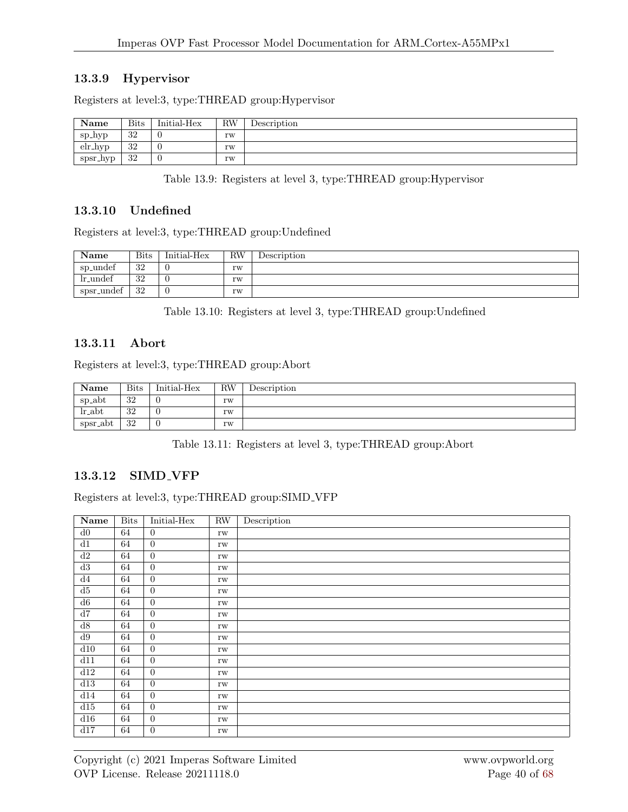## 13.3.9 Hypervisor

Registers at level:3, type:THREAD group:Hypervisor

| Name     | <b>Bits</b> | Initial-Hex | $\rm RW$ | Description |
|----------|-------------|-------------|----------|-------------|
| sp_hyp   | 32          |             | rw       |             |
| elr_hyp  | 32          |             | rw       |             |
| spsr_hyp | 32          |             | rw       |             |

Table 13.9: Registers at level 3, type:THREAD group:Hypervisor

#### 13.3.10 Undefined

Registers at level:3, type:THREAD group:Undefined

| Name        | <b>Bits</b> | Initial-Hex | $_{\rm RW}$ | Description |
|-------------|-------------|-------------|-------------|-------------|
| sp_undef    | -20<br>J۷   |             | rw          |             |
| $lr\_undef$ | 32          |             | rw          |             |
| spsr_undef  | -20<br>υZ   |             | rw          |             |

Table 13.10: Registers at level 3, type:THREAD group:Undefined

#### 13.3.11 Abort

Registers at level:3, type:THREAD group:Abort

| Name                 | <b>Bits</b> | Initial-Hex | <b>RW</b> | Description |
|----------------------|-------------|-------------|-----------|-------------|
| sp_abt               | 32          |             | rw        |             |
| $lr_abt$             | 32          |             | rw        |             |
| spsr <sub>-abt</sub> | 32          |             | rw        |             |

Table 13.11: Registers at level 3, type:THREAD group:Abort

### 13.3.12 SIMD VFP

Registers at level:3, type:THREAD group:SIMD VFP

| $\overline{\mathbf{Name}}$ | <b>Bits</b> | Initial-Hex      | RW                  | Description |
|----------------------------|-------------|------------------|---------------------|-------------|
| d0                         | 64          | $\overline{0}$   | rw                  |             |
| $\overline{d1}$            | 64          | $\overline{0}$   | $\rm rw$            |             |
| d2                         | 64          | $\overline{0}$   | $\rm rw$            |             |
| d3                         | 64          | $\overline{0}$   | rw                  |             |
| d4                         | 64          | $\overline{0}$   | rw                  |             |
| $\overline{d5}$            | 64          | $\overline{0}$   | rw                  |             |
| $\overline{d6}$            | 64          | $\overline{0}$   | $\rm rw$            |             |
| d7                         | 64          | $\overline{0}$   | $\rm rw$            |             |
| $\overline{d8}$            | 64          | $\overline{0}$   | $\rm rw$            |             |
| d9                         | 64          | $\overline{0}$   | $\rm rw$            |             |
| d10                        | 64          | $\overline{0}$   | rw                  |             |
| d11                        | 64          | $\boldsymbol{0}$ | rw                  |             |
| d12                        | 64          | $\overline{0}$   | rw                  |             |
| d13                        | 64          | $\overline{0}$   | rw                  |             |
| d14                        | 64          | $\overline{0}$   | $\mathbf{rw}$       |             |
| d15                        | 64          | $\overline{0}$   | rw                  |             |
| d16                        | 64          | $\overline{0}$   | $\rm rw$            |             |
| d17                        | 64          | $\boldsymbol{0}$ | $\operatorname{rw}$ |             |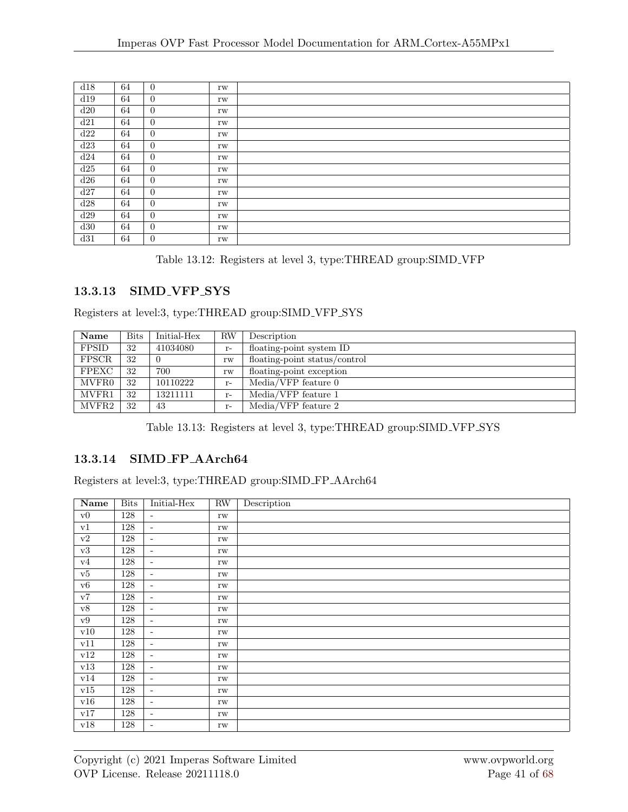| d18 | 64 | $\overline{0}$ | rw |  |
|-----|----|----------------|----|--|
| d19 | 64 | $\overline{0}$ | rw |  |
| d20 | 64 | $\overline{0}$ | rw |  |
| d21 | 64 | $\overline{0}$ | rw |  |
| d22 | 64 | $\overline{0}$ | rw |  |
| d23 | 64 | $\overline{0}$ | rw |  |
| d24 | 64 | $\overline{0}$ | rw |  |
| d25 | 64 | $\overline{0}$ | rw |  |
| d26 | 64 | $\overline{0}$ | rw |  |
| d27 | 64 | $\overline{0}$ | rw |  |
| d28 | 64 | $\overline{0}$ | rw |  |
| d29 | 64 | $\overline{0}$ | rw |  |
| d30 | 64 | $\overline{0}$ | rw |  |
| d31 | 64 | $\overline{0}$ | rw |  |

Table 13.12: Registers at level 3, type:THREAD group:SIMD VFP

## 13.3.13 SIMD VFP SYS

Registers at level:3, type:THREAD group:SIMD VFP SYS

| Name         | <b>Bits</b> | Initial-Hex | RW   | Description                   |
|--------------|-------------|-------------|------|-------------------------------|
| FPSID        | 32          | 41034080    | $r-$ | floating-point system ID      |
| FPSCR        | 32          | $\Omega$    | rw   | floating-point status/control |
| <b>FPEXC</b> | -32         | 700         | rw   | floating-point exception      |
| MVFR0        | -32         | 10110222    | $r-$ | Media/VFP feature 0           |
| MVFR1        | 32          | 13211111    | $r-$ | Media/VFP feature 1           |
| MVFR2        | 32          | 43          | $r-$ | Media/VFP feature 2           |

Table 13.13: Registers at level 3, type:THREAD group:SIMD VFP SYS

## 13.3.14 SIMD FP AArch64

Registers at level:3, type:THREAD group:SIMD FP AArch64

| Name                | <b>Bits</b> | Initial-Hex              | $\rm RW$            | Description |
|---------------------|-------------|--------------------------|---------------------|-------------|
| $\rm v0$            | 128         | $\overline{\phantom{a}}$ | $\operatorname{rw}$ |             |
| ${\rm v}1$          | 128         | $\blacksquare$           | rw                  |             |
| $\rm v2$            | 128         | $\overline{\phantom{a}}$ | rw                  |             |
| v3                  | 128         | $\overline{\phantom{a}}$ | $\operatorname{rw}$ |             |
| v4                  | 128         | $\sim$                   | rw                  |             |
| v5                  | 128         | $\overline{\phantom{0}}$ | rw                  |             |
| v6                  | 128         | $\overline{\phantom{a}}$ | rw                  |             |
| $\overline{\rm v7}$ | 128         | $\sim$                   | rw                  |             |
| v8                  | 128         | $\omega$                 | $\mathbf{rw}$       |             |
| v9                  | 128         | $\overline{\phantom{a}}$ | $\operatorname{rw}$ |             |
| v10                 | 128         | $\overline{\phantom{a}}$ | rw                  |             |
| v11                 | 128         | $\overline{\phantom{a}}$ | rw                  |             |
| ${\tt v}12$         | 128         | $\overline{\phantom{a}}$ | $\operatorname{rw}$ |             |
| v13                 | 128         | $\overline{\phantom{a}}$ | rw                  |             |
| v14                 | 128         | $\overline{\phantom{a}}$ | rw                  |             |
| v15                 | 128         | $\bar{\phantom{a}}$      | $\operatorname{rw}$ |             |
| v16                 | 128         | $\overline{\phantom{a}}$ | rw                  |             |
| v17                 | 128         | $\overline{\phantom{0}}$ | rw                  |             |
| v18                 | 128         | $\overline{\phantom{a}}$ | $\operatorname{rw}$ |             |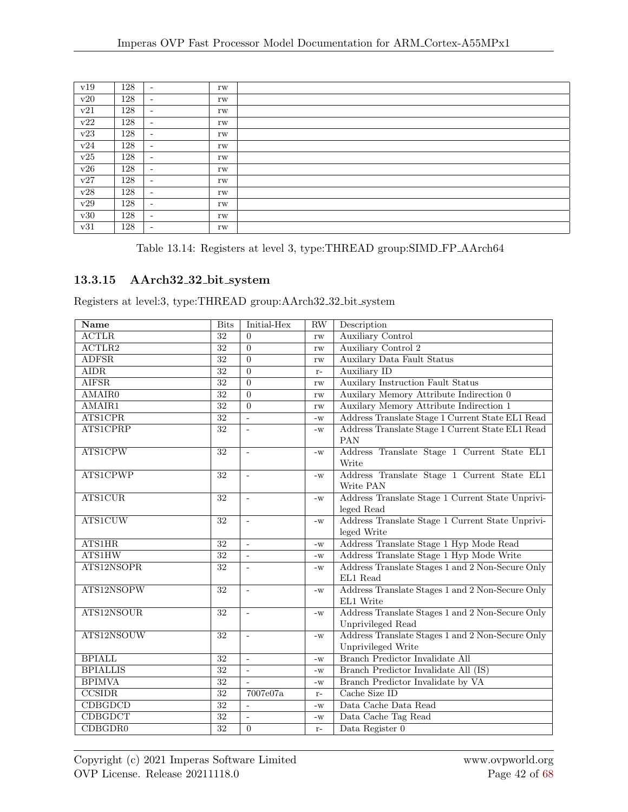| v19       | 128 | $\overline{\phantom{a}}$ | rw |  |
|-----------|-----|--------------------------|----|--|
| v20       | 128 | $\overline{\phantom{a}}$ | rw |  |
| v21       | 128 | $\overline{\phantom{a}}$ | rw |  |
| v22       | 128 | $\overline{\phantom{a}}$ | rw |  |
| v23       | 128 | $\overline{\phantom{a}}$ | rw |  |
| v24       | 128 | $\overline{\phantom{a}}$ | rw |  |
| $\rm v25$ | 128 | $\overline{\phantom{a}}$ | rw |  |
| v26       | 128 | $\overline{\phantom{a}}$ | rw |  |
| v27       | 128 | $\overline{\phantom{a}}$ | rw |  |
| v28       | 128 | $\overline{\phantom{a}}$ | rw |  |
| v29       | 128 | $\overline{\phantom{a}}$ | rw |  |
| v30       | 128 | $\overline{\phantom{a}}$ | rw |  |
| v31       | 128 | $\overline{\phantom{a}}$ | rw |  |

|  |  | Table 13.14: Registers at level 3, type: THREAD group: SIMD_FP_AArch64 |  |
|--|--|------------------------------------------------------------------------|--|
|  |  |                                                                        |  |

## 13.3.15 AArch32 32 bit system

Registers at level:3, type:THREAD group:AArch32 32 bit system

| <b>Name</b>                | <b>Bits</b>     | Initial-Hex              | <b>RW</b>              | Description                                      |
|----------------------------|-----------------|--------------------------|------------------------|--------------------------------------------------|
| <b>ACTLR</b>               | $\overline{32}$ | $\theta$                 | $\mathbf{rw}$          | <b>Auxiliary Control</b>                         |
| $\overline{\text{ACTLR2}}$ | 32              | $\theta$                 | rw                     | <b>Auxiliary Control 2</b>                       |
| <b>ADFSR</b>               | $\overline{32}$ | $\theta$                 | $\mathbf{rw}$          | <b>Auxilary Data Fault Status</b>                |
| <b>AIDR</b>                | $\overline{32}$ | $\overline{0}$           | $r-$                   | <b>Auxiliary ID</b>                              |
| <b>AIFSR</b>               | $\overline{32}$ | $\Omega$                 | rw                     | <b>Auxilary Instruction Fault Status</b>         |
| <b>AMAIR0</b>              | $\overline{32}$ | $\Omega$                 | rw                     | Auxilary Memory Attribute Indirection 0          |
| AMAIR1                     | $\overline{32}$ | $\overline{0}$           | rw                     | Auxilary Memory Attribute Indirection 1          |
| <b>ATS1CPR</b>             | $\overline{32}$ | $\overline{a}$           | $-W$                   | Address Translate Stage 1 Current State EL1 Read |
| <b>ATS1CPRP</b>            | 32              |                          | $-W$                   | Address Translate Stage 1 Current State EL1 Read |
|                            |                 |                          |                        | PAN                                              |
| <b>ATS1CPW</b>             | 32              |                          | $-W$                   | Address Translate Stage 1 Current State EL1      |
|                            |                 |                          |                        | Write                                            |
| <b>ATS1CPWP</b>            | 32              | $\sim$                   | $\mathbf{-}\mathbf{W}$ | Address Translate Stage 1 Current State EL1      |
|                            |                 |                          |                        | Write PAN                                        |
| <b>ATS1CUR</b>             | $32\,$          | $\sim$                   | $\mathbf{-}\mathbf{W}$ | Address Translate Stage 1 Current State Unprivi- |
|                            |                 |                          |                        | leged Read                                       |
| <b>ATS1CUW</b>             | 32              | $\bar{\phantom{a}}$      | $-W$                   | Address Translate Stage 1 Current State Unprivi- |
|                            |                 |                          |                        | leged Write                                      |
| <b>ATS1HR</b>              | 32              | $\sim$                   | $\mathbf{-}\mathbf{W}$ | Address Translate Stage 1 Hyp Mode Read          |
| <b>ATS1HW</b>              | $\overline{32}$ | $\sim$                   | $-W$                   | Address Translate Stage 1 Hyp Mode Write         |
| ATS12NSOPR                 | $\overline{32}$ | $\sim$                   | $-W$                   | Address Translate Stages 1 and 2 Non-Secure Only |
|                            |                 |                          |                        | EL1 Read                                         |
| ATS12NSOPW                 | $\overline{32}$ | $\sim$                   | $\mathbf{-}\mathbf{W}$ | Address Translate Stages 1 and 2 Non-Secure Only |
|                            |                 |                          |                        | EL1 Write                                        |
| ATS12NSOUR                 | $\overline{32}$ | $\overline{a}$           | $-W$                   | Address Translate Stages 1 and 2 Non-Secure Only |
|                            |                 |                          |                        | Unprivileged Read                                |
| ATS12NSOUW                 | $\overline{32}$ |                          | $-W$                   | Address Translate Stages 1 and 2 Non-Secure Only |
|                            |                 |                          |                        | Unprivileged Write                               |
| <b>BPIALL</b>              | $\overline{32}$ | $\sim$                   | $-W$                   | Branch Predictor Invalidate All                  |
| <b>BPIALLIS</b>            | $\overline{32}$ | $\overline{\phantom{a}}$ | $-W$                   | Branch Predictor Invalidate All (IS)             |
| <b>BPIMVA</b>              | $\overline{32}$ |                          | $-W$                   | Branch Predictor Invalidate by VA                |
| CCSIDR                     | 32              | 7007e07a                 | $r-$                   | Cache Size ID                                    |
| <b>CDBGDCD</b>             | $\overline{32}$ |                          | $-W$                   | Data Cache Data Read                             |
| <b>CDBGDCT</b>             | $\overline{32}$ | $\sim$                   | $-W$                   | Data Cache Tag Read                              |
| CDBGDR0                    | $\overline{32}$ | $\theta$                 | $\mathbf{r}$ –         | Data Register 0                                  |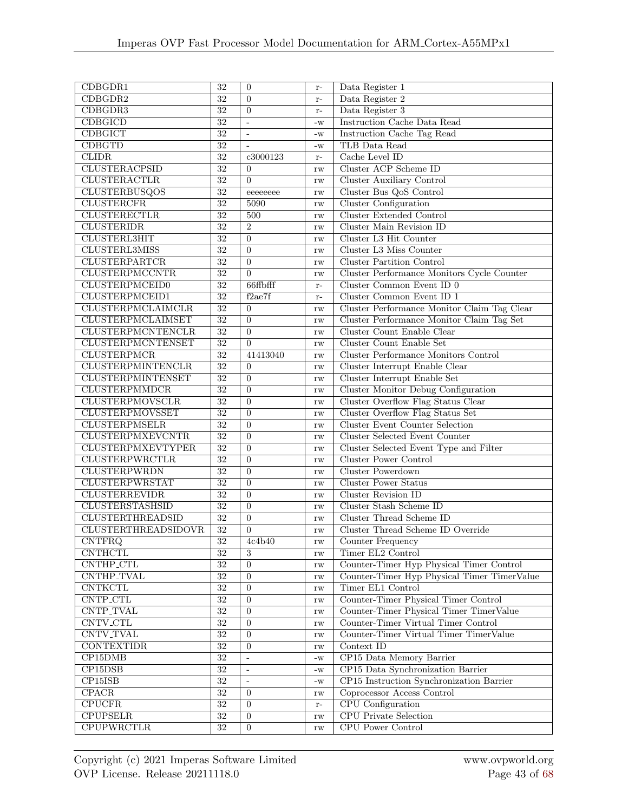| CDBGDR1                                              | $\overline{32}$                    | $\overline{0}$             | $r-$                   | Data Register 1                                               |
|------------------------------------------------------|------------------------------------|----------------------------|------------------------|---------------------------------------------------------------|
| CDBGDR2                                              | $\overline{32}$                    | $\overline{0}$             | $r-$                   | Data Register 2                                               |
| CDBGDR3                                              | $\overline{32}$                    | $\overline{0}$             | $r-$                   | Data Register 3                                               |
| <b>CDBGICD</b>                                       | 32                                 | $\overline{a}$             | $-W$                   | Instruction Cache Data Read                                   |
| <b>CDBGICT</b>                                       | $\overline{32}$                    | $\overline{a}$             | $-W$                   | Instruction Cache Tag Read                                    |
| <b>CDBGTD</b>                                        | $\overline{32}$                    |                            | $-W$                   | TLB Data Read                                                 |
| <b>CLIDR</b>                                         | $\overline{32}$                    | c3000123                   | $r-$                   | Cache Level ID                                                |
| <b>CLUSTERACPSID</b>                                 | $\overline{32}$                    | $\overline{0}$             | rw                     | Cluster ACP Scheme ID                                         |
| <b>CLUSTERACTLR</b>                                  | $\overline{32}$                    | $\Omega$                   | rw                     | <b>Cluster Auxiliary Control</b>                              |
| <b>CLUSTERBUSQOS</b>                                 | $\overline{32}$                    | eeeeeeee                   | rw                     | Cluster Bus QoS Control                                       |
| <b>CLUSTERCFR</b>                                    | 32                                 | 5090                       | rw                     | <b>Cluster Configuration</b>                                  |
| <b>CLUSTERECTLR</b>                                  | $\overline{32}$                    | 500                        | rw                     | <b>Cluster Extended Control</b>                               |
| <b>CLUSTERIDR</b>                                    | $\overline{32}$                    | $\overline{2}$             | rw                     | <b>Cluster Main Revision ID</b>                               |
| <b>CLUSTERL3HIT</b>                                  | $\overline{32}$                    | $\overline{0}$             | rw                     | Cluster L3 Hit Counter                                        |
| CLUSTERL3MISS                                        | $\overline{32}$                    | $\overline{0}$             | rw                     | Cluster L3 Miss Counter                                       |
| <b>CLUSTERPARTCR</b>                                 | $\overline{32}$                    | $\overline{0}$             |                        | <b>Cluster Partition Control</b>                              |
| <b>CLUSTERPMCCNTR</b>                                | $\overline{32}$                    | $\overline{0}$             | rw                     | Cluster Performance Monitors Cycle Counter                    |
| <b>CLUSTERPMCEID0</b>                                | 32                                 | 66ffbfff                   | rw                     | Cluster Common Event ID 0                                     |
| CLUSTERPMCEID1                                       | $\overline{32}$                    |                            | $\mathbf{r}$ –         | Cluster Common Event ID 1                                     |
|                                                      |                                    | f2ae7f                     | $\mathbf{r}$ –         |                                                               |
| CLUSTERPMCLAIMCLR                                    | 32<br>$\overline{32}$              | $\overline{0}$<br>$\Omega$ | rw                     | Cluster Performance Monitor Claim Tag Clear                   |
| CLUSTERPMCLAIMSET                                    |                                    |                            | rw                     | Cluster Performance Monitor Claim Tag Set                     |
| <b>CLUSTERPMCNTENCLR</b>                             | $\overline{32}$                    | $\overline{0}$             | rw                     | Cluster Count Enable Clear<br><b>Cluster Count Enable Set</b> |
| <b>CLUSTERPMCNTENSET</b><br><b>CLUSTERPMCR</b>       | $\overline{32}$<br>$\overline{32}$ | $\Omega$                   | rw                     |                                                               |
|                                                      | 32                                 | 41413040                   | rw                     | <b>Cluster Performance Monitors Control</b>                   |
| <b>CLUSTERPMINTENCLR</b><br><b>CLUSTERPMINTENSET</b> |                                    | $\Omega$                   | rw                     | Cluster Interrupt Enable Clear                                |
|                                                      | $\overline{32}$                    | $\theta$                   | rw                     | Cluster Interrupt Enable Set                                  |
| <b>CLUSTERPMMDCR</b>                                 | $\overline{32}$                    | $\overline{0}$             | rw                     | Cluster Monitor Debug Configuration                           |
| <b>CLUSTERPMOVSCLR</b>                               | $\overline{32}$                    | $\overline{0}$             | rw                     | Cluster Overflow Flag Status Clear                            |
| <b>CLUSTERPMOVSSET</b>                               | $\overline{32}$                    | $\overline{0}$             | rw                     | Cluster Overflow Flag Status Set                              |
| <b>CLUSTERPMSELR</b>                                 | $\overline{32}$<br>$\overline{32}$ | $\overline{0}$             | rw                     | <b>Cluster Event Counter Selection</b>                        |
| <b>CLUSTERPMXEVCNTR</b>                              | $\overline{32}$                    | $\overline{0}$             | rw                     | <b>Cluster Selected Event Counter</b>                         |
| <b>CLUSTERPMXEVTYPER</b>                             | $\overline{32}$                    | $\overline{0}$             | rw                     | Cluster Selected Event Type and Filter                        |
| <b>CLUSTERPWRCTLR</b>                                |                                    | $\overline{0}$             | rw                     | <b>Cluster Power Control</b>                                  |
| <b>CLUSTERPWRDN</b>                                  | $\overline{32}$                    | $\overline{0}$             | rw                     | Cluster Powerdown                                             |
| <b>CLUSTERPWRSTAT</b>                                | $\overline{32}$                    | $\overline{0}$             | rw                     | <b>Cluster Power Status</b>                                   |
| <b>CLUSTERREVIDR</b>                                 | 32                                 | $\overline{0}$             | rw                     | <b>Cluster Revision ID</b>                                    |
| <b>CLUSTERSTASHSID</b>                               | $\overline{32}$                    | $\boldsymbol{0}$           | rw                     | Cluster Stash Scheme ID                                       |
| <b>CLUSTERTHREADSID</b>                              | $\overline{32}$                    | $\overline{0}$             | rw                     | <b>Cluster Thread Scheme ID</b>                               |
| <b>CLUSTERTHREADSIDOVR</b>                           | 32                                 | $\overline{0}$             | rw                     | Cluster Thread Scheme ID Override                             |
| <b>CNTFRQ</b>                                        | $\overline{32}$                    | 4c4b40                     | rw                     | Counter Frequency                                             |
| <b>CNTHCTL</b>                                       | 32                                 | 3                          | rw                     | Timer EL2 Control                                             |
| CNTHP_CTL                                            | $\overline{32}$                    | $\Omega$                   | rw                     | Counter-Timer Hyp Physical Timer Control                      |
| CNTHP_TVAL                                           | 32                                 | $\overline{0}$             | rw                     | Counter-Timer Hyp Physical Timer TimerValue                   |
| <b>CNTKCTL</b>                                       | $\overline{32}$                    | $\overline{0}$             | rw                     | Timer EL1 Control                                             |
| CNTP_CTL                                             | 32                                 | $\overline{0}$             | $\mathbf{rw}$          | Counter-Timer Physical Timer Control                          |
| CNTP_TVAL                                            | 32                                 | $\overline{0}$             | $\mathbf{rw}$          | Counter-Timer Physical Timer TimerValue                       |
| CNTV_CTL                                             | 32                                 | $\overline{0}$             | $\mathbf{rw}$          | Counter-Timer Virtual Timer Control                           |
| <b>CNTV_TVAL</b>                                     | $\overline{32}$                    | $\overline{0}$             | $\mathbf{rw}$          | Counter-Timer Virtual Timer TimerValue                        |
| <b>CONTEXTIDR</b>                                    | 32                                 | $\overline{0}$             | $\mathbf{rw}$          | Context ID                                                    |
| CP15DMB                                              | 32                                 | $\blacksquare$             | $\mathbf{-}\mathbf{W}$ | CP15 Data Memory Barrier                                      |
| CP15DSB                                              | $\overline{32}$                    | ÷,                         | $\mathbf{-}\mathbf{W}$ | CP15 Data Synchronization Barrier                             |
| $CP15$ ISB                                           | $\overline{32}$                    | ÷,                         | $\mathbf{-}\mathbf{W}$ | CP15 Instruction Synchronization Barrier                      |
| CPACR                                                | 32                                 | $\overline{0}$             | rw                     | Coprocessor Access Control                                    |
| <b>CPUCFR</b>                                        | 32                                 | $\overline{0}$             | $\mathbf{r}$ –         | CPU Configuration                                             |
| <b>CPUPSELR</b>                                      | $32\,$                             | $\overline{0}$             | rw                     | <b>CPU Private Selection</b>                                  |
| <b>CPUPWRCTLR</b>                                    | $\overline{32}$                    | $\overline{0}$             | $\mathbf{rw}$          | <b>CPU Power Control</b>                                      |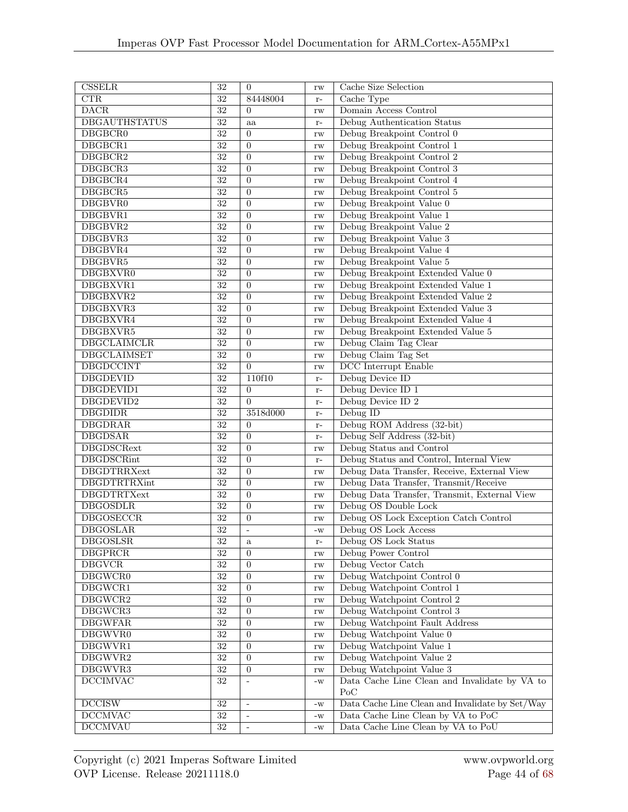| $\overline{\text{CSELR}}$        | $\overline{32}$           | $\overline{0}$           |                        | Cache Size Selection                                                     |
|----------------------------------|---------------------------|--------------------------|------------------------|--------------------------------------------------------------------------|
| $\overline{\text{CTR}}$          | $\overline{32}$           | 84448004                 | rw                     | Cache Type                                                               |
|                                  |                           |                          | $r-$                   |                                                                          |
| $\overline{\text{DACR}}$         | $\overline{32}$           | $\overline{0}$           | rw                     | Domain Access Control                                                    |
| <b>DBGAUTHSTATUS</b>             | $\overline{32}$           | aa                       | $r-$                   | Debug Authentication Status                                              |
| <b>DBGBCR0</b>                   | $\overline{32}$           | $\boldsymbol{0}$         | rw                     | Debug Breakpoint Control 0                                               |
| DBGBCR1                          | $\overline{32}$           | $\overline{0}$           | rw                     | Debug Breakpoint Control 1                                               |
| DBGBCR2                          | 32                        | $\theta$                 | rw                     | Debug Breakpoint Control 2                                               |
| DBGBCR3                          | 32                        | $\overline{0}$           | rw                     | Debug Breakpoint Control 3                                               |
| DBGBCR4                          | $\overline{32}$           | $\overline{0}$           | rw                     | Debug Breakpoint Control 4                                               |
| DBGBCR5                          | 32                        | $\theta$                 | rw                     | Debug Breakpoint Control 5                                               |
| DBGBVR0                          | 32                        | $\overline{0}$           | $\mathbf{rw}$          | Debug Breakpoint Value 0                                                 |
| DBGBVR1                          | $\overline{32}$           | $\theta$                 | rw                     | Debug Breakpoint Value 1                                                 |
| DBGBVR2                          | $\overline{32}$           | $\overline{0}$           | rw                     | Debug Breakpoint Value 2                                                 |
| DBGBVR3                          | $\overline{32}$           | $\overline{0}$           | rw                     | Debug Breakpoint Value 3                                                 |
| DBGBVR4                          | $\overline{32}$           | $\overline{0}$           | rw                     | Debug Breakpoint Value 4                                                 |
| DBGBVR5                          | $\overline{32}$           | $\overline{0}$           | rw                     | Debug Breakpoint Value 5                                                 |
| DBGBXVR0                         | $\overline{32}$           | $\overline{0}$           | rw                     | Debug Breakpoint Extended Value 0                                        |
| DBGBXVR1                         | $\overline{32}$           | $\overline{0}$           | rw                     | Debug Breakpoint Extended Value 1                                        |
| DBGBXVR2                         | $32\,$                    | $\boldsymbol{0}$         | rw                     | Debug Breakpoint Extended Value 2                                        |
| DBGBXVR3                         | 32                        | $\theta$                 |                        | Debug Breakpoint Extended Value 3                                        |
| DBGBXVR4                         | $\overline{32}$           | $\overline{0}$           | rw                     | Debug Breakpoint Extended Value 4                                        |
|                                  | $\overline{32}$           | $\overline{0}$           | rw                     | Debug Breakpoint Extended Value 5                                        |
| DBGBXVR5                         |                           |                          | rw                     |                                                                          |
| <b>DBGCLAIMCLR</b>               | $\overline{32}$           | $\overline{0}$           | $\mathbf{rw}$          | Debug Claim Tag Clear                                                    |
| <b>DBGCLAIMSET</b>               | $\overline{32}$           | $\boldsymbol{0}$         | $\mathbf{rw}$          | Debug Claim Tag Set                                                      |
| <b>DBGDCCINT</b>                 | $\overline{32}$           | $\theta$                 | $\mathbf{rw}$          | <b>DCC</b> Interrupt Enable                                              |
| <b>DBGDEVID</b>                  | $\overline{32}$           | 110f10                   | $r-$                   | Debug Device ID                                                          |
| DBGDEVID1                        | $\overline{32}$           | $\overline{0}$           | $r-$                   | Debug Device ID 1                                                        |
| DBGDEVID2                        | 32                        | $\overline{0}$           | $r-$                   | Debug Device ID 2                                                        |
| <b>DBGDIDR</b>                   | 32                        | 3518d000                 | $r-$                   | Debug ID                                                                 |
| <b>DBGDRAR</b>                   | $\overline{32}$           | $\theta$                 | $r-$                   | Debug ROM Address (32-bit)                                               |
| <b>DBGDSAR</b>                   | $\overline{32}$           | $\overline{0}$           | $r-$                   | Debug Self Address (32-bit)                                              |
| <b>DBGDSCRext</b>                | $\overline{32}$           | $\overline{0}$           | rw                     | Debug Status and Control                                                 |
| <b>DBGDSCRint</b>                | $\overline{32}$           | $\overline{0}$           | $r-$                   | Debug Status and Control, Internal View                                  |
| <b>DBGDTRRXext</b>               | $\overline{32}$           | $\overline{0}$           | rw                     | Debug Data Transfer, Receive, External View                              |
| <b>DBGDTRTRXint</b>              | $\overline{32}$           | $\overline{0}$           | rw                     | Debug Data Transfer, Transmit/Receive                                    |
| <b>DBGDTRTXext</b>               | 32                        | $\overline{0}$           | rw                     | Debug Data Transfer, Transmit, External View                             |
| <b>DBGOSDLR</b>                  | $\overline{32}$           | $\overline{0}$           | rw                     | Debug OS Double Lock                                                     |
| <b>DBGOSECCR</b>                 | 32                        | $\theta$                 | rw                     | Debug OS Lock Exception Catch Control                                    |
| <b>DBGOSLAR</b>                  | $\overline{32}$           | $\overline{\phantom{a}}$ | $\mathbf{-}\mathbf{W}$ | Debug OS Lock Access                                                     |
| <b>DBGOSLSR</b>                  | 32                        | a                        | $r-$                   | Debug OS Lock Status                                                     |
| <b>DBGPRCR</b>                   | 32                        | $\overline{0}$           | rw                     | Debug Power Control                                                      |
| <b>DBGVCR</b>                    | $\overline{32}$           | $\overline{0}$           | rw                     | Debug Vector Catch                                                       |
| DBGWCR0                          | $\overline{32}$           | $\boldsymbol{0}$         |                        | Debug Watchpoint Control 0                                               |
| DBGWCR1                          | $\overline{32}$           | $\overline{0}$           | $\mathbf{rw}$          | Debug Watchpoint Control 1                                               |
| DBGWCR2                          |                           |                          | $\mathbf{rw}$          |                                                                          |
|                                  | 32                        | $\theta$                 | $\mathbf{rw}$          | Debug Watchpoint Control 2                                               |
| DBGWCR3                          | 32                        | $\overline{0}$           | rw                     | Debug Watchpoint Control 3                                               |
| <b>DBGWFAR</b>                   |                           |                          | $\mathbf{rw}$          | Debug Watchpoint Fault Address                                           |
| DBGWVR0                          | $32\,$                    | $\overline{0}$           |                        |                                                                          |
|                                  | 32                        | $\overline{0}$           | rw                     | Debug Watchpoint Value 0                                                 |
| DBGWVR1                          | 32                        | $\mathbf{0}$             | $\mathbf{rw}$          | Debug Watchpoint Value 1                                                 |
| DBGWVR2                          | $\overline{32}$           | $\overline{0}$           | $\mathbf{rw}$          | Debug Watchpoint Value 2                                                 |
| DBGWVR3                          | $\overline{32}$           | $\overline{0}$           | $\mathbf{rw}$          | Debug Watchpoint Value 3                                                 |
| <b>DCCIMVAC</b>                  | $\overline{32}$           |                          | $\mathbf{-}\mathbf{W}$ | Data Cache Line Clean and Invalidate by VA to                            |
|                                  |                           |                          |                        | PoC                                                                      |
| DCCISW                           | 32                        | $\omega$                 | $-W$                   | Data Cache Line Clean and Invalidate by Set/Way                          |
| <b>DCCMVAC</b><br><b>DCCMVAU</b> | $32\,$<br>$\overline{32}$ | $\omega$                 | $\mathbf{-}\mathbf{W}$ | Data Cache Line Clean by VA to PoC<br>Data Cache Line Clean by VA to PoU |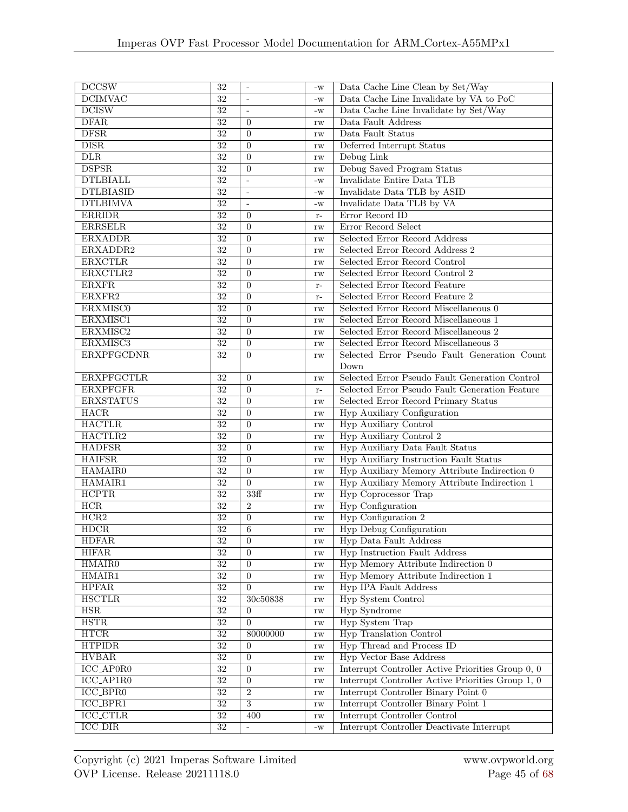| DCCSW                        | 32              | $\overline{\phantom{a}}$ | $-W$                   | Data Cache Line Clean by Set/Way                  |
|------------------------------|-----------------|--------------------------|------------------------|---------------------------------------------------|
| <b>DCIMVAC</b>               | $\overline{32}$ | ÷,                       | $-W$                   | Data Cache Line Invalidate by VA to PoC           |
| <b>DCISW</b>                 | $\overline{32}$ | $\overline{a}$           | $-W$                   | Data Cache Line Invalidate by Set/Way             |
| <b>DFAR</b>                  | 32              | $\theta$                 | rw                     | Data Fault Address                                |
| DFSR                         | $\overline{32}$ | $\theta$                 | rw                     | Data Fault Status                                 |
| $\overline{\text{DISR}}$     | 32              | $\overline{0}$           | rw                     | Deferred Interrupt Status                         |
| $\overline{\text{DLR}}$      | $\overline{32}$ | $\overline{0}$           | rw                     | Debug Link                                        |
| <b>DSPSR</b>                 | 32              | $\theta$                 | rw                     | Debug Saved Program Status                        |
| <b>DTLBIALL</b>              | $\overline{32}$ | ÷,                       | $-W$                   | Invalidate Entire Data TLB                        |
| <b>DTLBIASID</b>             | $\overline{32}$ | $\frac{1}{2}$            | $-W$                   | Invalidate Data TLB by ASID                       |
| <b>DTLBIMVA</b>              | 32              | $\overline{a}$           | $-W$                   | Invalidate Data TLB by VA                         |
| <b>ERRIDR</b>                | $\overline{32}$ | $\theta$                 | $\mathbf{r}$ –         | Error Record ID                                   |
| <b>ERRSELR</b>               | 32              | $\overline{0}$           | rw                     | Error Record Select                               |
| <b>ERXADDR</b>               | 32              | $\Omega$                 | rw                     | Selected Error Record Address                     |
| ERXADDR2                     | 32              | $\overline{0}$           |                        | Selected Error Record Address 2                   |
| <b>ERXCTLR</b>               | 32              | $\overline{0}$           | rw                     | Selected Error Record Control                     |
| ERXCTLR2                     | 32              | $\overline{0}$           | rw                     | Selected Error Record Control 2                   |
| <b>ERXFR</b>                 |                 |                          | rw                     | Selected Error Record Feature                     |
|                              | 32              | $\theta$                 | $\mathbf{r}$ –         |                                                   |
| ERXFR2                       | $\overline{32}$ | $\overline{0}$           | $r-$                   | Selected Error Record Feature 2                   |
| <b>ERXMISCO</b>              | $\overline{32}$ | $\overline{0}$           | rw                     | Selected Error Record Miscellaneous 0             |
| ERXMISC1                     | $\overline{32}$ | $\overline{0}$           | rw                     | Selected Error Record Miscellaneous 1             |
| ERXMISC2                     | 32              | $\overline{0}$           | rw                     | Selected Error Record Miscellaneous $2$           |
| ERXMISC3                     | $\overline{32}$ | $\overline{0}$           | rw                     | Selected Error Record Miscellaneous 3             |
| <b>ERXPFGCDNR</b>            | 32              | $\Omega$                 | rw                     | Selected Error Pseudo Fault Generation Count      |
|                              |                 |                          |                        | Down                                              |
| <b>ERXPFGCTLR</b>            | 32              | $\overline{0}$           | rw                     | Selected Error Pseudo Fault Generation Control    |
| <b>ERXPFGFR</b>              | 32              | $\Omega$                 | $r-$                   | Selected Error Pseudo Fault Generation Feature    |
| <b>ERXSTATUS</b>             | $\overline{32}$ | $\overline{0}$           | rw                     | Selected Error Record Primary Status              |
| HACR                         | $\overline{32}$ | $\overline{0}$           | rw                     | Hyp Auxiliary Configuration                       |
| <b>HACTLR</b>                | $\overline{32}$ | $\theta$                 | rw                     | <b>Hyp Auxiliary Control</b>                      |
| HACTLR2                      | 32              | $\overline{0}$           | rw                     | <b>Hyp Auxiliary Control 2</b>                    |
| <b>HADFSR</b>                | $\overline{32}$ | $\Omega$                 | rw                     | Hyp Auxiliary Data Fault Status                   |
| <b>HAIFSR</b>                | 32              | $\overline{0}$           | rw                     | Hyp Auxiliary Instruction Fault Status            |
| HAMAIR0                      | 32              | $\overline{0}$           | rw                     | Hyp Auxiliary Memory Attribute Indirection 0      |
| HAMAIR1                      | $\overline{32}$ | $\overline{0}$           | rw                     | Hyp Auxiliary Memory Attribute Indirection 1      |
| <b>HCPTR</b>                 | 32              | 33ff                     | rw                     | <b>Hyp Coprocessor Trap</b>                       |
| HCR                          | $\overline{32}$ | $\overline{2}$           | rw                     | <b>Hyp Configuration</b>                          |
| HCR2                         | $\overline{32}$ | $\boldsymbol{0}$         | rw                     | <b>Hyp Configuration 2</b>                        |
| HDCR                         | $\overline{32}$ | $\,$ 6 $\,$              | rw                     | <b>Hyp Debug Configuration</b>                    |
| <b>HDFAR</b>                 | $\overline{32}$ | $\overline{0}$           | $\operatorname{rw}$    | <b>Hyp Data Fault Address</b>                     |
| <b>HIFAR</b>                 | 32              | $\Omega$                 | rw                     | <b>Hyp Instruction Fault Address</b>              |
| <b>HMAIR0</b>                | 32              | $\overline{0}$           | rw                     | Hyp Memory Attribute Indirection 0                |
| HMAIR1                       | 32              | $\overline{0}$           | rw                     | Hyp Memory Attribute Indirection 1                |
| <b>HPFAR</b>                 | 32              | $\overline{0}$           | rw                     | <b>Hyp IPA Fault Address</b>                      |
| <b>HSCTLR</b>                | 32              | 30c50838                 | rw                     | <b>Hyp System Control</b>                         |
| <b>HSR</b>                   | 32              | $\overline{0}$           | rw                     | <b>Hyp Syndrome</b>                               |
| HSTR                         | $\overline{32}$ | $\overline{0}$           | rw                     | <b>Hyp System Trap</b>                            |
| HTCR                         | $\overline{32}$ | 80000000                 | rw                     | <b>Hyp Translation Control</b>                    |
| <b>HTPIDR</b>                | $\overline{32}$ | $\overline{0}$           | rw                     | Hyp Thread and Process ID                         |
| <b>HVBAR</b>                 | 32              | $\overline{0}$           | rw                     | <b>Hyp Vector Base Address</b>                    |
| ICC_AP0R0                    | 32              | $\overline{0}$           | rw                     | Interrupt Controller Active Priorities Group 0, 0 |
| $ICC_APIR0$                  | 32              | $\overline{0}$           | rw                     | Interrupt Controller Active Priorities Group 1, 0 |
| ICC_BPR0                     | 32              | $\overline{2}$           | rw                     | Interrupt Controller Binary Point 0               |
| $ICC\_BPR1$                  | $\overline{32}$ | $\overline{3}$           | rw                     | Interrupt Controller Binary Point 1               |
| <b>ICC_CTLR</b>              | $\overline{32}$ | 400                      |                        | Interrupt Controller Control                      |
| $\overline{\text{ICC\_DIR}}$ | $\overline{32}$ | $\frac{1}{2}$            | rw                     | Interrupt Controller Deactivate Interrupt         |
|                              |                 |                          | $\mathbf{-}\mathbf{W}$ |                                                   |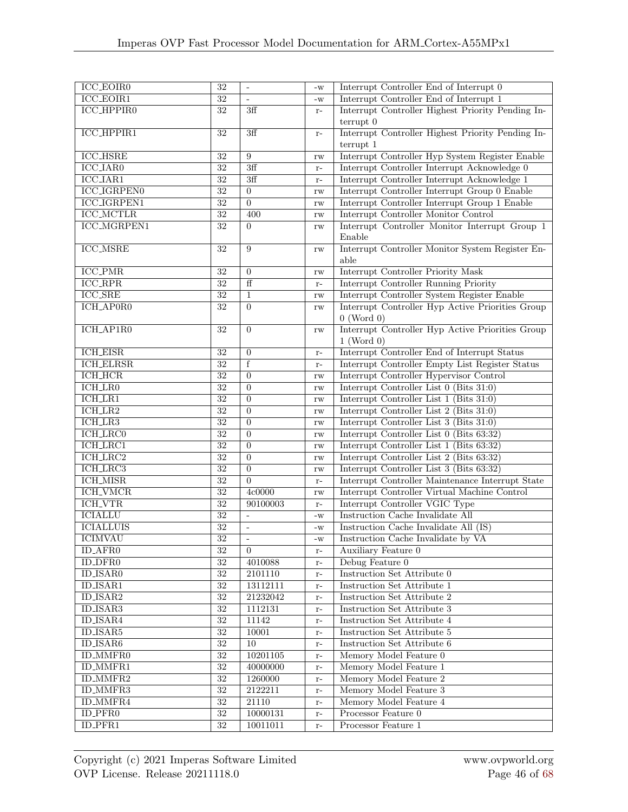| $ICC$ _ $EO$ $IR0$             | $\overline{32}$ | $\qquad \qquad \blacksquare$ | $-W$                   | Interrupt Controller End of Interrupt 0           |
|--------------------------------|-----------------|------------------------------|------------------------|---------------------------------------------------|
| $\overline{\text{ICC\_EOIR1}}$ | $\overline{32}$ | $\overline{\phantom{a}}$     | $-W$                   | Interrupt Controller End of Interrupt 1           |
| <b>ICC_HPPIR0</b>              | 32              | 3ff                          | $r-$                   | Interrupt Controller Highest Priority Pending In- |
|                                |                 |                              |                        | terrupt 0                                         |
| <b>ICC_HPPIR1</b>              | 32              | 3ff                          | $\mathbf{r}$ –         | Interrupt Controller Highest Priority Pending In- |
|                                |                 |                              |                        | terrupt 1                                         |
| <b>ICC_HSRE</b>                | 32              | 9                            | rw                     | Interrupt Controller Hyp System Register Enable   |
| <b>ICC_IAR0</b>                | 32              | 3ff                          | $\mathbf{r}$ –         | Interrupt Controller Interrupt Acknowledge 0      |
| <b>ICC_IAR1</b>                | 32              | 3ff                          | $r-$                   | Interrupt Controller Interrupt Acknowledge 1      |
| <b>ICC_IGRPEN0</b>             | $\overline{32}$ | $\overline{0}$               | rw                     | Interrupt Controller Interrupt Group 0 Enable     |
| <b>ICC_IGRPEN1</b>             | $\overline{32}$ | $\overline{0}$               | rw                     | Interrupt Controller Interrupt Group 1 Enable     |
| <b>ICC_MCTLR</b>               | $\overline{32}$ | 400                          | rw                     | Interrupt Controller Monitor Control              |
| <b>ICC_MGRPEN1</b>             | $\overline{32}$ | $\Omega$                     | rw                     | Interrupt Controller Monitor Interrupt Group 1    |
|                                |                 |                              |                        | Enable                                            |
| <b>ICC_MSRE</b>                | 32              | 9                            | rw                     | Interrupt Controller Monitor System Register En-  |
|                                |                 |                              |                        | able                                              |
| <b>ICC_PMR</b>                 | 32              | $\mathbf{0}$                 | rw                     | Interrupt Controller Priority Mask                |
| $\overline{\text{ICC\_RPR}}$   | $\overline{32}$ | ff                           | $r-$                   | Interrupt Controller Running Priority             |
| $\overline{\text{ICC\_SRE}}$   | 32              | $\mathbf{1}$                 | rw                     | Interrupt Controller System Register Enable       |
| ICH_AP0R0                      | $\overline{32}$ | $\overline{0}$               | $\mathbf{rw}$          | Interrupt Controller Hyp Active Priorities Group  |
|                                |                 |                              |                        | $0$ (Word $0$ )                                   |
| ICH_AP1R0                      | 32              | $\overline{0}$               | rw                     | Interrupt Controller Hyp Active Priorities Group  |
|                                |                 |                              |                        | $1$ (Word 0)                                      |
| <b>ICH_EISR</b>                | 32              | $\overline{0}$               | $r-$                   | Interrupt Controller End of Interrupt Status      |
| <b>ICH_ELRSR</b>               | 32              | f                            | $r-$                   | Interrupt Controller Empty List Register Status   |
| <b>ICH_HCR</b>                 | 32              | $\overline{0}$               | rw                     | Interrupt Controller Hypervisor Control           |
| <b>ICH_LR0</b>                 | $\overline{32}$ | $\overline{0}$               | rw                     | Interrupt Controller List 0 (Bits 31:0)           |
| ICH.LR1                        | $\overline{32}$ | $\overline{0}$               | rw                     | Interrupt Controller List 1 (Bits 31:0)           |
| $ICH_LR2$                      | $\overline{32}$ | $\Omega$                     | rw                     | Interrupt Controller List 2 (Bits 31:0)           |
| $ICH_LRR3$                     | 32              | $\overline{0}$               | rw                     | Interrupt Controller List 3 (Bits 31:0)           |
| <b>ICH_LRC0</b>                | $\overline{32}$ | $\overline{0}$               | rw                     | Interrupt Controller List 0 (Bits 63:32)          |
| <b>ICH_LRC1</b>                | 32              | $\overline{0}$               | rw                     | Interrupt Controller List 1 (Bits 63:32)          |
| ICH_LRC2                       | 32              | $\overline{0}$               | rw                     | Interrupt Controller List 2 (Bits 63:32)          |
| <b>ICH_LRC3</b>                | 32              | $\overline{0}$               | rw                     | Interrupt Controller List 3 (Bits 63:32)          |
| <b>ICH_MISR</b>                | 32              | $\overline{0}$               | $\mathbf{r}$ –         | Interrupt Controller Maintenance Interrupt State  |
| <b>ICH_VMCR</b>                | 32              | 4c0000                       | rw                     | Interrupt Controller Virtual Machine Control      |
| <b>ICH_VTR</b>                 | $\overline{32}$ | 90100003                     | $\mathbf{r}$ –         | Interrupt Controller VGIC Type                    |
| <b>ICIALLU</b>                 | $\overline{32}$ | ÷,                           | $-W$                   | Instruction Cache Invalidate All                  |
| <b>ICIALLUIS</b>               | 32              | $\overline{\phantom{a}}$     | $-W$                   | Instruction Cache Invalidate All (IS)             |
| <b>ICIMVAU</b>                 | $\overline{32}$ |                              | $\mathbf{-}\mathbf{W}$ | Instruction Cache Invalidate by VA                |
| ID_AFR0                        | 32              | $\overline{0}$               | $r-$                   | Auxiliary Feature 0                               |
| <b>ID_DFR0</b>                 | $32\,$          | 4010088                      | $\mathbf{r}$ –         | Debug Feature $0$                                 |
| <b>ID_ISAR0</b>                | 32              | 2101110                      | $\mathbf{r}$ –         | Instruction Set Attribute 0                       |
| <b>ID_ISAR1</b>                | $\overline{32}$ | 13112111                     | $\mathbf{r}$ –         | Instruction Set Attribute 1                       |
| ID_ISAR2                       | $\overline{32}$ | 21232042                     | $\mathbf{r}$ –         | <b>Instruction Set Attribute 2</b>                |
| <b>ID_ISAR3</b>                | $\overline{32}$ | 1112131                      | $r-$                   | Instruction Set Attribute 3                       |
| ID_ISAR4                       | $\overline{32}$ | 11142                        | $r-$                   | Instruction Set Attribute 4                       |
| ID_ISAR5                       | $\overline{32}$ | 10001                        | $r-$                   | Instruction Set Attribute 5                       |
| <b>ID_ISAR6</b>                | $\overline{32}$ | $\overline{10}$              | $\mathbf{r}$ –         | Instruction Set Attribute 6                       |
| <b>ID_MMFR0</b>                | $\overline{32}$ | 10201105                     | $\mathbf{r}$ –         | Memory Model Feature 0                            |
| ID_MMFR1                       | 32              | 40000000                     | $\mathbf{r}$ –         | Memory Model Feature 1                            |
| ID_MMFR2                       | 32              | 1260000                      | $\mathbf{r}$ –         | Memory Model Feature 2                            |
| <b>ID_MMFR3</b>                | $\overline{32}$ | 2122211                      | $\mathbf{r}$ –         | Memory Model Feature 3                            |
| ID_MMFR4                       | $\overline{32}$ | 21110                        | $\mathbf{r}$ –         | Memory Model Feature 4                            |
| ID_PFR0                        | $\overline{32}$ | 10000131                     | $\mathbf{r}$ –         | Processor Feature 0                               |
| ID.PFR1                        | $\overline{32}$ | 10011011                     | $\mathbf{r}$ –         | Processor Feature 1                               |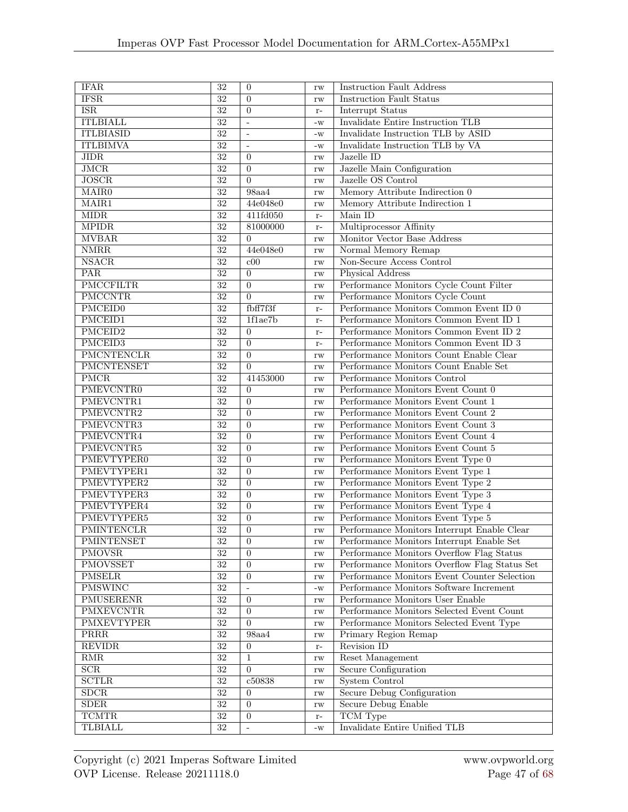| <b>IFAR</b>                   | $\overline{32}$                    | $\overline{0}$                   | rw                     | <b>Instruction Fault Address</b>                                         |  |  |
|-------------------------------|------------------------------------|----------------------------------|------------------------|--------------------------------------------------------------------------|--|--|
| <b>IFSR</b>                   | $\overline{32}$                    | $\overline{0}$                   | rw                     | <b>Instruction Fault Status</b>                                          |  |  |
| <b>ISR</b>                    | $\overline{32}$                    | $\boldsymbol{0}$                 | $r-$                   | <b>Interrupt Status</b>                                                  |  |  |
| <b>ITLBIALL</b>               | $\overline{32}$                    | $\overline{a}$                   | $-W$                   | Invalidate Entire Instruction TLB                                        |  |  |
| <b>ITLBIASID</b>              | $\overline{32}$                    | ÷,                               | $-W$                   | Invalidate Instruction TLB by ASID                                       |  |  |
| <b>ITLBIMVA</b>               | $\overline{32}$                    | $\overline{\phantom{a}}$         | $-W$                   | Invalidate Instruction TLB by VA                                         |  |  |
| JIDR                          | $\overline{32}$                    | $\Omega$                         | rw                     | Jazelle ID                                                               |  |  |
| JMCR                          | $\overline{32}$                    | $\overline{0}$                   | rw                     | Jazelle Main Configuration                                               |  |  |
| <b>JOSCR</b>                  | $\overline{32}$                    | $\Omega$                         | rw                     | Jazelle OS Control                                                       |  |  |
| $\overline{\text{MAIR0}}$     | $\overline{32}$                    | 98aa4                            | $\mathbf{rw}$          | Memory Attribute Indirection 0                                           |  |  |
| MAIR1                         | 32                                 | 44e048e0                         | $\mathbf{rw}$          | Memory Attribute Indirection 1                                           |  |  |
| $\overline{\text{MIDR}}$      | $\overline{32}$                    | 411fd050                         | $r-$                   | Main ID                                                                  |  |  |
| <b>MPIDR</b>                  | $\overline{32}$                    | 81000000                         | $r-$                   | Multiprocessor Affinity                                                  |  |  |
| <b>MVBAR</b>                  | $\overline{32}$                    | $\Omega$                         | rw                     | Monitor Vector Base Address                                              |  |  |
| <b>NMRR</b>                   | $\overline{32}$                    | 44e048e0                         | rw                     | Normal Memory Remap                                                      |  |  |
| <b>NSACR</b>                  | $\overline{32}$                    | c00                              | rw                     | Non-Secure Access Control                                                |  |  |
| PAR                           | $\overline{32}$                    | $\overline{0}$                   | rw                     | Physical Address                                                         |  |  |
| <b>PMCCFILTR</b>              | 32                                 | $\overline{0}$                   | rw                     | Performance Monitors Cycle Count Filter                                  |  |  |
| <b>PMCCNTR</b>                | 32                                 | $\overline{0}$                   |                        | Performance Monitors Cycle Count                                         |  |  |
| <b>PMCEID0</b>                | $\overline{32}$                    | fbff7f3f                         | rw                     | Performance Monitors Common Event ID 0                                   |  |  |
| PMCEID1                       | $\overline{32}$                    | 1f1ae7b                          | $r-$<br>$r-$           | Performance Monitors Common Event ID 1                                   |  |  |
| PMCEID2                       | $\overline{32}$                    | $\overline{0}$                   |                        | Performance Monitors Common Event ID $2$                                 |  |  |
| PMCEID3                       | $\overline{32}$                    | $\overline{0}$                   | $r-$                   | Performance Monitors Common Event ID 3                                   |  |  |
| PMCNTENCLR                    | $\overline{32}$                    | $\overline{0}$                   | $r-$                   | Performance Monitors Count Enable Clear                                  |  |  |
| <b>PMCNTENSET</b>             | $\overline{32}$                    | $\Omega$                         | rw                     | Performance Monitors Count Enable Set                                    |  |  |
| PMCR                          | $\overline{32}$                    | 41453000                         | rw                     | Performance Monitors Control                                             |  |  |
|                               | $\overline{32}$                    |                                  | rw                     |                                                                          |  |  |
| <b>PMEVCNTR0</b><br>PMEVCNTR1 | $\overline{32}$                    | $\overline{0}$<br>$\Omega$       | rw                     | Performance Monitors Event Count 0                                       |  |  |
|                               |                                    |                                  | $\mathbf{rw}$          | Performance Monitors Event Count 1                                       |  |  |
| PMEVCNTR2                     | 32                                 | $\theta$                         | rw                     | Performance Monitors Event Count 2                                       |  |  |
| PMEVCNTR3<br>PMEVCNTR4        | $\overline{32}$<br>$\overline{32}$ | $\overline{0}$<br>$\overline{0}$ | rw                     | Performance Monitors Event Count 3                                       |  |  |
| PMEVCNTR5                     | 32                                 | $\overline{0}$                   | rw                     | Performance Monitors Event Count 4<br>Performance Monitors Event Count 5 |  |  |
|                               | $\overline{32}$                    | $\overline{0}$                   | rw                     |                                                                          |  |  |
| <b>PMEVTYPER0</b>             | $\overline{32}$                    |                                  | $\mathbf{rw}$          | Performance Monitors Event Type 0                                        |  |  |
| PMEVTYPER1                    | $\overline{32}$                    | $\overline{0}$<br>$\overline{0}$ | rw                     | Performance Monitors Event Type 1                                        |  |  |
| PMEVTYPER2                    |                                    |                                  | rw                     | Performance Monitors Event Type 2                                        |  |  |
| PMEVTYPER3                    | $\overline{32}$                    | $\overline{0}$                   | rw                     | Performance Monitors Event Type 3                                        |  |  |
| PMEVTYPER4                    | 32                                 | $\theta$                         | rw                     | Performance Monitors Event Type 4                                        |  |  |
| PMEVTYPER5                    | 32                                 | $\overline{0}$                   | rw                     | Performance Monitors Event Type 5                                        |  |  |
| PMINTENCLR                    | $\overline{32}$                    | $\overline{0}$                   | rw                     | Performance Monitors Interrupt Enable Clear                              |  |  |
| PMINTENSET                    | $\overline{32}$                    | $\overline{0}$                   | rw                     | Performance Monitors Interrupt Enable Set                                |  |  |
| <b>PMOVSR</b>                 | $\overline{32}$                    | $\overline{0}$                   | $\mathbf{rw}$          | Performance Monitors Overflow Flag Status                                |  |  |
| PMOVSSET                      | $\overline{32}$                    | $\Omega$                         | $\mathbf{rw}$          | Performance Monitors Overflow Flag Status Set                            |  |  |
| <b>PMSELR</b>                 | $\overline{32}$                    | $\boldsymbol{0}$                 | rw                     | Performance Monitors Event Counter Selection                             |  |  |
| <b>PMSWINC</b>                | $\overline{32}$                    | $\overline{a}$                   | $-W$                   | Performance Monitors Software Increment                                  |  |  |
| PMUSERENR                     | 32                                 | $\theta$                         | rw                     | Performance Monitors User Enable                                         |  |  |
| <b>PMXEVCNTR</b>              | 32                                 | $\theta$                         | rw                     | Performance Monitors Selected Event Count                                |  |  |
| <b>PMXEVTYPER</b>             | 32                                 | $\theta$                         | $\mathbf{rw}$          | Performance Monitors Selected Event Type                                 |  |  |
| PRRR                          | $\overline{32}$                    | 98a44                            | $\mathbf{rw}$          | Primary Region Remap                                                     |  |  |
| <b>REVIDR</b>                 | $\overline{32}$                    | $\overline{0}$                   | $\mathbf{r}$ –         | Revision ID                                                              |  |  |
| RMR                           | $\overline{32}$                    | $\mathbf 1$                      | $\mathbf{rw}$          | Reset Management                                                         |  |  |
| $\overline{\text{SCR}}$       | $\overline{32}$                    | $\Omega$                         | $\mathbf{rw}$          | <b>Secure Configuration</b>                                              |  |  |
| <b>SCTLR</b>                  | $\overline{32}$                    | c50838                           | $\mathbf{rw}$          | <b>System Control</b>                                                    |  |  |
| SDCR                          | 32                                 | $\overline{0}$                   | $\mathbf{rw}$          | Secure Debug Configuration                                               |  |  |
| SDER                          | 32                                 | $\Omega$                         | rw                     | <b>Secure Debug Enable</b>                                               |  |  |
| <b>TCMTR</b>                  | $32\,$                             | $\overline{0}$                   | $\mathbf{r}$ –         | TCM Type                                                                 |  |  |
| <b>TLBIALL</b>                | $\overline{32}$                    | $\blacksquare$                   | $\mathbf{-}\mathbf{W}$ | Invalidate Entire Unified TLB                                            |  |  |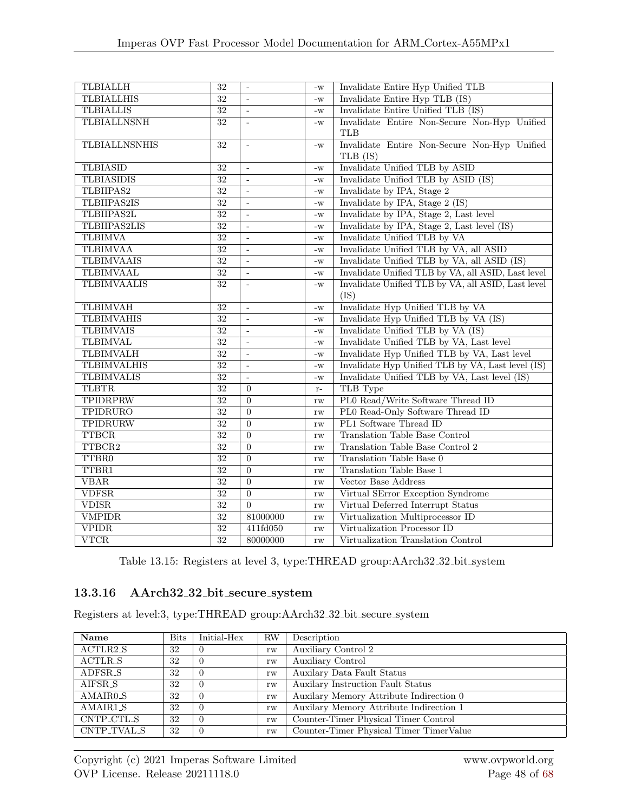| <b>TLBIALLH</b>      | $\overline{32}$ | $\overline{\phantom{a}}$ | $-W$ | Invalidate Entire Hyp Unified TLB                  |  |  |
|----------------------|-----------------|--------------------------|------|----------------------------------------------------|--|--|
| <b>TLBIALLHIS</b>    | $\overline{32}$ | $\overline{a}$           | $-W$ | Invalidate Entire Hyp TLB (IS)                     |  |  |
| <b>TLBIALLIS</b>     | $\overline{32}$ | $\overline{a}$           | $-W$ | Invalidate Entire Unified TLB (IS)                 |  |  |
| <b>TLBIALLNSNH</b>   | $\overline{32}$ | $\overline{a}$           | $-W$ | Invalidate Entire Non-Secure Non-Hyp Unified       |  |  |
|                      |                 |                          |      | <b>TLB</b>                                         |  |  |
| <b>TLBIALLNSNHIS</b> | $\overline{32}$ | $\overline{\phantom{a}}$ | $-W$ | Invalidate Entire Non-Secure Non-Hyp Unified       |  |  |
|                      |                 |                          |      | TLB (IS)                                           |  |  |
| <b>TLBIASID</b>      | 32              | $\overline{a}$           | $-W$ | Invalidate Unified TLB by ASID                     |  |  |
| <b>TLBIASIDIS</b>    | $\overline{32}$ | $\overline{a}$           | $-W$ | Invalidate Unified TLB by ASID (IS)                |  |  |
| TLBIIPAS2            | $\overline{32}$ | ÷,                       | $-W$ | Invalidate by IPA, Stage 2                         |  |  |
| <b>TLBIIPAS2IS</b>   | $\overline{32}$ | $\overline{a}$           | $-W$ | Invalidate by IPA, Stage $2$ (IS)                  |  |  |
| TLBIIPAS2L           | $\overline{32}$ | $\overline{a}$           | $-W$ | Invalidate by IPA, Stage 2, Last level             |  |  |
| <b>TLBIIPAS2LIS</b>  | $\overline{32}$ | $\overline{a}$           | $-W$ | Invalidate by IPA, Stage 2, Last level (IS)        |  |  |
| <b>TLBIMVA</b>       | 32              | ÷,                       | $-W$ | Invalidate Unified TLB by VA                       |  |  |
| <b>TLBIMVAA</b>      | $\overline{32}$ | ÷,                       | $-W$ | Invalidate Unified TLB by VA, all ASID             |  |  |
| <b>TLBIMVAAIS</b>    | $\overline{32}$ | $\overline{a}$           | $-W$ | Invalidate Unified TLB by VA, all ASID (IS)        |  |  |
| <b>TLBIMVAAL</b>     | $\overline{32}$ | $\overline{a}$           | $-W$ | Invalidate Unified TLB by VA, all ASID, Last level |  |  |
| <b>TLBIMVAALIS</b>   | $\overline{32}$ | $\overline{a}$           | $-W$ | Invalidate Unified TLB by VA, all ASID, Last level |  |  |
|                      |                 |                          |      | (IS)                                               |  |  |
| <b>TLBIMVAH</b>      | $\overline{32}$ | $\overline{a}$           | $-W$ | Invalidate Hyp Unified TLB by VA                   |  |  |
| <b>TLBIMVAHIS</b>    | $\overline{32}$ | $\overline{a}$           | $-W$ | Invalidate Hyp Unified TLB by VA (IS)              |  |  |
| <b>TLBIMVAIS</b>     | $\overline{32}$ | $\overline{\phantom{a}}$ | $-W$ | Invalidate Unified TLB by VA (IS)                  |  |  |
| <b>TLBIMVAL</b>      | $\overline{32}$ | ÷,                       | $-W$ | Invalidate Unified TLB by VA, Last level           |  |  |
| <b>TLBIMVALH</b>     | $\overline{32}$ | $\overline{a}$           | $-W$ | Invalidate Hyp Unified TLB by VA, Last level       |  |  |
| <b>TLBIMVALHIS</b>   | $\overline{32}$ | $\overline{a}$           | $-W$ | Invalidate Hyp Unified TLB by VA, Last level (IS)  |  |  |
| <b>TLBIMVALIS</b>    | $\overline{32}$ | $\overline{a}$           | $-W$ | Invalidate Unified TLB by VA, Last level (IS)      |  |  |
| <b>TLBTR</b>         | $\overline{32}$ | $\Omega$                 | $r-$ | TLB Type                                           |  |  |
| <b>TPIDRPRW</b>      | $\overline{32}$ | $\overline{0}$           | rw   | PL0 Read/Write Software Thread ID                  |  |  |
| <b>TPIDRURO</b>      | 32              | $\overline{0}$           | rw   | PL0 Read-Only Software Thread ID                   |  |  |
| TPIDRURW             | $\overline{32}$ | $\Omega$                 | rw   | PL1 Software Thread ID                             |  |  |
| <b>TTBCR</b>         | $\overline{32}$ | $\overline{0}$           | rw   | <b>Translation Table Base Control</b>              |  |  |
| TTBCR2               | $\overline{32}$ | $\overline{0}$           | rw   | Translation Table Base Control 2                   |  |  |
| <b>TTBR0</b>         | $\overline{32}$ | $\overline{0}$           | rw   | Translation Table Base 0                           |  |  |
| TTBR1                | $\overline{32}$ | $\overline{0}$           | rw   | <b>Translation Table Base 1</b>                    |  |  |
| <b>VBAR</b>          | $\overline{32}$ | $\Omega$                 | rw   | Vector Base Address                                |  |  |
| <b>VDFSR</b>         | $\overline{32}$ | $\overline{0}$           | rw   | Virtual SError Exception Syndrome                  |  |  |
| <b>VDISR</b>         | $\overline{32}$ | $\overline{0}$           | rw   | Virtual Deferred Interrupt Status                  |  |  |
| <b>VMPIDR</b>        | 32              | 81000000                 | rw   | Virtualization Multiprocessor ID                   |  |  |
| <b>VPIDR</b>         | $\overline{32}$ | 411fd050                 | rw   | Virtualization Processor ID                        |  |  |
| <b>VTCR</b>          | 32              | 80000000                 | rw   | Virtualization Translation Control                 |  |  |

Table 13.15: Registers at level 3, type:THREAD group:AArch32 32 bit system

#### 13.3.16 AArch32 32 bit secure system

Registers at level:3, type:THREAD group:AArch32 32 bit secure system

| Name                  | <b>Bits</b> | Initial-Hex      | <b>RW</b> | Description                               |
|-----------------------|-------------|------------------|-----------|-------------------------------------------|
| ACTLR2_S              | 32          | -0               | rw        | Auxiliary Control 2                       |
| ACTLR_S               | 32          | $\left( \right)$ | rw        | Auxiliary Control                         |
| ADFSR_S               | 32          | $\theta$         | rw        | Auxilary Data Fault Status                |
| AIFSR_S               | 32          |                  | rw        | <b>Auxiliary Instruction Fault Status</b> |
| AMAIR <sub>0</sub> _S | 32          | $\theta$         | rw        | Auxilary Memory Attribute Indirection 0   |
| AMAIR1_S              | 32          | $\Omega$         | rw        | Auxilary Memory Attribute Indirection 1   |
| CNTP_CTL_S            | 32          | $\Omega$         | rw        | Counter-Timer Physical Timer Control      |
| CNTP_TVAL_S           | 32          |                  | rw        | Counter-Timer Physical Timer TimerValue   |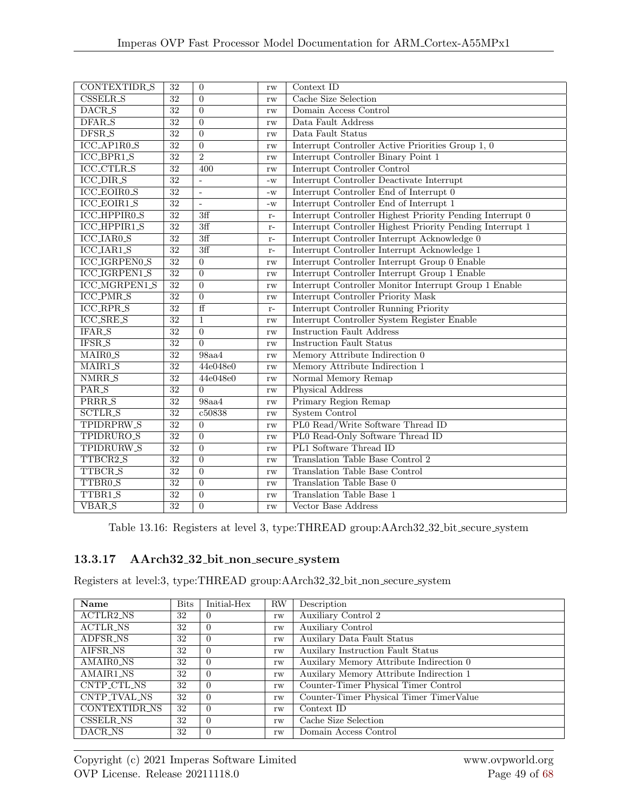| <b>CONTEXTIDR_S</b>    | 32              | $\overline{0}$           | rw                     | Context ID                                                |  |  |
|------------------------|-----------------|--------------------------|------------------------|-----------------------------------------------------------|--|--|
| <b>CSSELR_S</b>        | $\overline{32}$ | $\overline{0}$           | rw                     | Cache Size Selection                                      |  |  |
| DACR_S                 | $\overline{32}$ | $\overline{0}$           | rw                     | Domain Access Control                                     |  |  |
| DFAR_S                 | $\overline{32}$ | $\overline{0}$           | rw                     | Data Fault Address                                        |  |  |
| DFSR_S                 | $\overline{32}$ | $\Omega$                 | rw                     | Data Fault Status                                         |  |  |
| ICC_AP1R0_S            | $\overline{32}$ | $\Omega$                 | rw                     | Interrupt Controller Active Priorities Group 1, 0         |  |  |
| ICC_BPR1_S             | $\overline{32}$ | $\overline{2}$           | rw                     | Interrupt Controller Binary Point 1                       |  |  |
| <b>ICC_CTLR_S</b>      | 32              | 400                      | rw                     | Interrupt Controller Control                              |  |  |
| <b>ICC_DIR_S</b>       | $\overline{32}$ | ÷,                       | $-W$                   | Interrupt Controller Deactivate Interrupt                 |  |  |
| <b>ICC_EOIR0_S</b>     | $\overline{32}$ | $\overline{\phantom{a}}$ | $-W$                   | Interrupt Controller End of Interrupt 0                   |  |  |
| <b>ICC_EOIR1_S</b>     | $\overline{32}$ | $\sim$                   | $\mathbf{-}\mathbf{W}$ | Interrupt Controller End of Interrupt 1                   |  |  |
| ICC_HPPIR0_S           | $\overline{32}$ | 3ff                      | $\mathbf{r}$ –         | Interrupt Controller Highest Priority Pending Interrupt 0 |  |  |
| ICC_HPPIR1_S           | $\overline{32}$ | $\overline{3ff}$         | $\mathbf{r}$ –         | Interrupt Controller Highest Priority Pending Interrupt 1 |  |  |
| <b>ICC_IAR0_S</b>      | $\overline{32}$ | $\overline{3f}$          | $\mathbf{r}$ –         | Interrupt Controller Interrupt Acknowledge 0              |  |  |
| $ICC_IAR1_S$           | 32              | 3ff                      | $r-$                   | Interrupt Controller Interrupt Acknowledge 1              |  |  |
| <b>ICC_IGRPEN0_S</b>   | $\overline{32}$ | $\overline{0}$           | rw                     | Interrupt Controller Interrupt Group 0 Enable             |  |  |
| <b>ICC_IGRPEN1_S</b>   | $\overline{32}$ | $\theta$                 | rw                     | Interrupt Controller Interrupt Group 1 Enable             |  |  |
| ICC_MGRPEN1_S          | $\overline{32}$ | $\Omega$                 | rw                     | Interrupt Controller Monitor Interrupt Group 1 Enable     |  |  |
| ICC_PMR_S              | $\overline{32}$ | $\theta$                 | rw                     | Interrupt Controller Priority Mask                        |  |  |
| <b>ICC_RPR_S</b>       | $\overline{32}$ | $\overline{f}$           | $r-$                   | Interrupt Controller Running Priority                     |  |  |
| <b>ICC_SRE_S</b>       | 32              | $\mathbf{1}$             | rw                     | Interrupt Controller System Register Enable               |  |  |
| IFAR_S                 | 32              | $\overline{0}$           | rw                     | <b>Instruction Fault Address</b>                          |  |  |
| IFSR_S                 | $\overline{32}$ | $\theta$                 | rw                     | <b>Instruction Fault Status</b>                           |  |  |
| MAIR0 <sub>-S</sub>    | 32              | 98aa4                    | rw                     | Memory Attribute Indirection 0                            |  |  |
| MAIR1_S                | 32              | 44e048e0                 | rw                     | Memory Attribute Indirection 1                            |  |  |
| NMRR <sub>S</sub>      | 32              | 44e048e0                 | rw                     | Normal Memory Remap                                       |  |  |
| PAR_S                  | $\overline{32}$ | $\theta$                 | rw                     | Physical Address                                          |  |  |
| PRRR_S                 | $\overline{32}$ | 98a44                    | rw                     | Primary Region Remap                                      |  |  |
| <b>SCTLR_S</b>         | 32              | c50838                   | rw                     | <b>System Control</b>                                     |  |  |
| TPIDRPRW <sub>-S</sub> | $\overline{32}$ | $\theta$                 | rw                     | PL0 Read/Write Software Thread ID                         |  |  |
| TPIDRURO_S             | $\overline{32}$ | $\theta$                 | rw                     | PL0 Read-Only Software Thread ID                          |  |  |
| TPIDRURW_S             | $\overline{32}$ | $\overline{0}$           | rw                     | PL1 Software Thread ID                                    |  |  |
| TTBCR2 <sub>-S</sub>   | $\overline{32}$ | $\theta$                 | rw                     | Translation Table Base Control 2                          |  |  |
| TTBCR_S                | $\overline{32}$ | $\theta$                 | rw                     | <b>Translation Table Base Control</b>                     |  |  |
| TTBR0 <sub>-S</sub>    | $\overline{32}$ | $\theta$                 | rw                     | Translation Table Base 0                                  |  |  |
| TTBR1 <sub>-S</sub>    | $\overline{32}$ | $\overline{0}$           | rw                     | <b>Translation Table Base 1</b>                           |  |  |
| <b>VBAR_S</b>          | $\overline{32}$ | $\overline{0}$           | rw                     | Vector Base Address                                       |  |  |

Table 13.16: Registers at level 3, type:THREAD group:AArch32 32 bit secure system

## 13.3.17 AArch32 32 bit non secure system

Registers at level:3, type:THREAD group:AArch32 32 bit non secure system

| Name                 | <b>Bits</b> | Initial-Hex | $\rm RW$ | Description                             |
|----------------------|-------------|-------------|----------|-----------------------------------------|
| ACTLR2_NS            | 32          | $\Omega$    | rw       | Auxiliary Control 2                     |
| <b>ACTLR_NS</b>      | 32          | $\theta$    | rw       | Auxiliary Control                       |
| ADFSR_NS             | 32          | $\theta$    | rw       | Auxilary Data Fault Status              |
| AIFSR_NS             | 32          | $\theta$    | rw       | Auxilary Instruction Fault Status       |
| AMAIR0_NS            | 32          | $\theta$    | rw       | Auxilary Memory Attribute Indirection 0 |
| AMAIR1 <sub>NS</sub> | 32          | $\theta$    | rw       | Auxilary Memory Attribute Indirection 1 |
| CNTP_CTL_NS          | 32          | $\Omega$    | rw       | Counter-Timer Physical Timer Control    |
| CNTP_TVAL_NS         | 32          | $\theta$    | rw       | Counter-Timer Physical Timer TimerValue |
| CONTEXTIDR NS        | 32          | $\theta$    | rw       | Context ID                              |
| <b>CSSELR_NS</b>     | 32          | $\theta$    | rw       | Cache Size Selection                    |
| DACR_NS              | 32          | $\theta$    | rw       | Domain Access Control                   |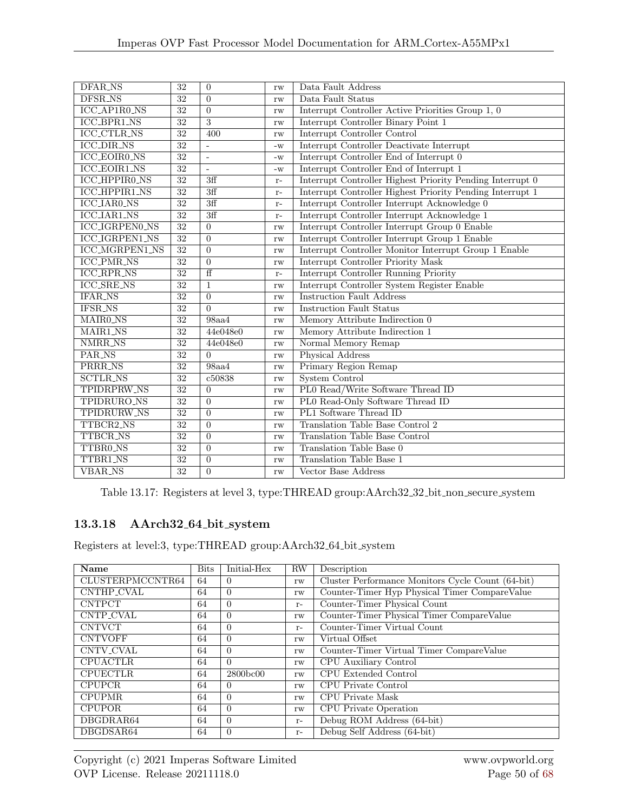| DFAR_NS               | 32              | $\Omega$       | rw            | Data Fault Address                                        |
|-----------------------|-----------------|----------------|---------------|-----------------------------------------------------------|
| DFSR_NS               | 32              | $\Omega$       | rw            | Data Fault Status                                         |
| ICC_AP1R0_NS          | $\overline{32}$ | $\Omega$       | rw            | Interrupt Controller Active Priorities Group 1, 0         |
| ICC_BPR1_NS           | 32              | 3              | rw            | Interrupt Controller Binary Point 1                       |
| <b>ICC_CTLR_NS</b>    | 32              | 400            | $\mathbf{rw}$ | Interrupt Controller Control                              |
| <b>ICC_DIR_NS</b>     | $\overline{32}$ | $\sim$         | $-W$          | Interrupt Controller Deactivate Interrupt                 |
| <b>ICC_EOIR0_NS</b>   | $\overline{32}$ | $\mathbb{L}$   | $-W$          | Interrupt Controller End of Interrupt 0                   |
| <b>ICC_EOIR1_NS</b>   | 32              | $\sim$         | $-W$          | Interrupt Controller End of Interrupt 1                   |
| ICC_HPPIR0_NS         | $\overline{32}$ | 3ff            | $r-$          | Interrupt Controller Highest Priority Pending Interrupt 0 |
| ICC_HPPIR1_NS         | $\overline{32}$ | 3ff            | $r-$          | Interrupt Controller Highest Priority Pending Interrupt 1 |
| ICC_IAR0_NS           | 32              | 3ff            | $r-$          | Interrupt Controller Interrupt Acknowledge 0              |
| <b>ICC_IAR1_NS</b>    | $\overline{32}$ | 3ff            | $r-$          | Interrupt Controller Interrupt Acknowledge 1              |
| <b>ICC_IGRPEN0_NS</b> | $\overline{32}$ | $\Omega$       | rw            | Interrupt Controller Interrupt Group 0 Enable             |
| <b>ICC_IGRPEN1_NS</b> | $\overline{32}$ | $\overline{0}$ | rw            | Interrupt Controller Interrupt Group 1 Enable             |
| <b>ICC_MGRPEN1_NS</b> | $\overline{32}$ | $\overline{0}$ | rw            | Interrupt Controller Monitor Interrupt Group 1 Enable     |
| <b>ICC_PMR_NS</b>     | $\overline{32}$ | $\Omega$       | rw            | Interrupt Controller Priority Mask                        |
| <b>ICC_RPR_NS</b>     | 32              | $\overline{f}$ | $r-$          | Interrupt Controller Running Priority                     |
| <b>ICC_SRE_NS</b>     | $\overline{32}$ | $\mathbf{1}$   | rw            | Interrupt Controller System Register Enable               |
| <b>IFAR_NS</b>        | $\overline{32}$ | $\theta$       | rw            | <b>Instruction Fault Address</b>                          |
| <b>IFSR_NS</b>        | $\overline{32}$ | $\Omega$       | rw            | <b>Instruction Fault Status</b>                           |
| MAIR0_NS              | 32              | 98aa4          | rw            | Memory Attribute Indirection 0                            |
| MAIR1_NS              | 32              | 44e048e0       | rw            | Memory Attribute Indirection 1                            |
| <b>NMRR_NS</b>        | $\overline{32}$ | 44e048e0       | rw            | Normal Memory Remap                                       |
| PAR_NS                | $\overline{32}$ | $\Omega$       | rw            | Physical Address                                          |
| PRRR_NS               | 32              | <b>98aa4</b>   | rw            | Primary Region Remap                                      |
| <b>SCTLR_NS</b>       | 32              | c50838         | rw            | <b>System Control</b>                                     |
| TPIDRPRW_NS           | $\overline{32}$ | $\overline{0}$ | rw            | PL0 Read/Write Software Thread ID                         |
| TPIDRURO_NS           | $\overline{32}$ | $\Omega$       | rw            | PL0 Read-Only Software Thread ID                          |
| TPIDRURW_NS           | 32              | $\overline{0}$ | rw            | PL1 Software Thread ID                                    |
| TTBCR2_NS             | $\overline{32}$ | $\Omega$       | rw            | Translation Table Base Control 2                          |
| <b>TTBCR_NS</b>       | $\overline{32}$ | $\Omega$       | rw            | Translation Table Base Control                            |
| TTBR0_NS              | $\overline{32}$ | $\Omega$       | rw            | Translation Table Base 0                                  |
| TTBR1_NS              | $\overline{32}$ | $\overline{0}$ | rw            | Translation Table Base 1                                  |
| <b>VBAR_NS</b>        | $\overline{32}$ | $\overline{0}$ | $\mathbf{rw}$ | Vector Base Address                                       |

Table 13.17: Registers at level 3, type:THREAD group:AArch32 32 bit non secure system

## 13.3.18 AArch32 64 bit system

Registers at level:3, type:THREAD group:AArch32 64 bit system

| Name             | <b>Bits</b> | Initial-Hex | RW   | Description                                       |
|------------------|-------------|-------------|------|---------------------------------------------------|
| CLUSTERPMCCNTR64 | 64          | $\Omega$    | rw   | Cluster Performance Monitors Cycle Count (64-bit) |
| CNTHP_CVAL       | 64          | $\Omega$    | rw   | Counter-Timer Hyp Physical Timer CompareValue     |
| <b>CNTPCT</b>    | 64          | $\Omega$    | $r-$ | Counter-Timer Physical Count                      |
| CNTP_CVAL        | 64          | $\Omega$    | rw   | Counter-Timer Physical Timer CompareValue         |
| <b>CNTVCT</b>    | 64          | $\Omega$    | $r-$ | Counter-Timer Virtual Count                       |
| <b>CNTVOFF</b>   | 64          | $\Omega$    | rw   | Virtual Offset                                    |
| CNTV_CVAL        | 64          | $\Omega$    | rw   | Counter-Timer Virtual Timer CompareValue          |
| <b>CPUACTLR</b>  | 64          | $\Omega$    | rw   | CPU Auxiliary Control                             |
| <b>CPUECTLR</b>  | 64          | 2800bc00    | rw   | CPU Extended Control                              |
| <b>CPUPCR</b>    | 64          | $\Omega$    | rw   | CPU Private Control                               |
| <b>CPUPMR</b>    | 64          | $\Omega$    | rw   | CPU Private Mask                                  |
| <b>CPUPOR</b>    | 64          | $\Omega$    | rw   | CPU Private Operation                             |
| DBGDRAR64        | 64          | $\Omega$    | $r-$ | Debug ROM Address (64-bit)                        |
| DBGDSAR64        | 64          | $\Omega$    | $r-$ | Debug Self Address (64-bit)                       |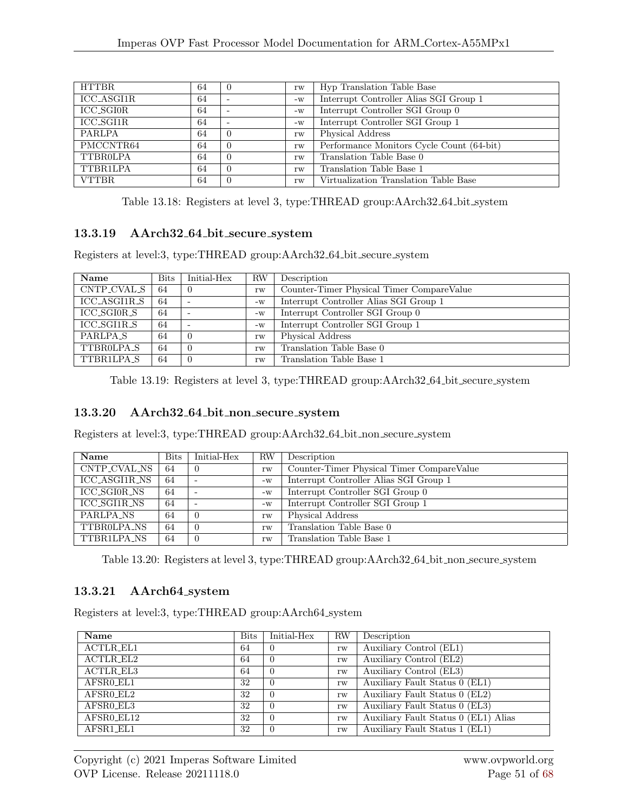| <b>HTTBR</b> | 64 | $\theta$ | rw   | Hyp Translation Table Base                |
|--------------|----|----------|------|-------------------------------------------|
| ICC_ASGI1R   | 64 |          | $-W$ | Interrupt Controller Alias SGI Group 1    |
| ICC_SGI0R    | 64 |          | $-W$ | Interrupt Controller SGI Group 0          |
| ICC_SGI1R    | 64 |          | $-W$ | Interrupt Controller SGI Group 1          |
| PARLPA       | 64 | $\Omega$ | rw   | Physical Address                          |
| PMCCNTR64    | 64 |          | rw   | Performance Monitors Cycle Count (64-bit) |
| TTBROLPA     | 64 | $\Omega$ | rw   | Translation Table Base 0                  |
| TTBR1LPA     | 64 | $\Omega$ | rw   | Translation Table Base 1                  |
| <b>VTTBR</b> | 64 |          | rw   | Virtualization Translation Table Base     |

Table 13.18: Registers at level 3, type:THREAD group:AArch32 64 bit system

#### 13.3.19 AArch32 64 bit secure system

Registers at level:3, type:THREAD group:AArch32 64 bit secure system

| Name                | <b>Bits</b> | Initial-Hex              | <b>RW</b> | Description                               |
|---------------------|-------------|--------------------------|-----------|-------------------------------------------|
| CNTP_CVAL_S         | 64          |                          | rw        | Counter-Timer Physical Timer CompareValue |
| ICC_ASGI1R_S        | 64          | $\overline{\phantom{0}}$ | $-W$      | Interrupt Controller Alias SGI Group 1    |
| ICC_SGI0R_S         | 64          | $\overline{\phantom{a}}$ | $-W$      | Interrupt Controller SGI Group 0          |
| ICC_SGI1R_S         | 64          | $\overline{\phantom{0}}$ | $-W$      | Interrupt Controller SGI Group 1          |
| PARLPA <sub>S</sub> | 64          |                          | rw        | Physical Address                          |
| TTBROLPA_S          | 64          |                          | rw        | Translation Table Base 0                  |
| TTBR1LPA_S          | 64          |                          | rw        | Translation Table Base 1                  |

Table 13.19: Registers at level 3, type:THREAD group:AArch32 64 bit secure system

#### 13.3.20 AArch32 64 bit non secure system

Registers at level:3, type:THREAD group:AArch32 64 bit non secure system

| Name                 | <b>Bits</b> | Initial-Hex              | ${\rm RW}$ | Description                               |
|----------------------|-------------|--------------------------|------------|-------------------------------------------|
| CNTP_CVAL_NS         | 64          | $\theta$                 | rw         | Counter-Timer Physical Timer CompareValue |
| ICC_ASGI1R_NS        | 64          | $\overline{\phantom{a}}$ | $-W$       | Interrupt Controller Alias SGI Group 1    |
| ICC_SGI0R_NS         | 64          | $\overline{\phantom{0}}$ | $-W$       | Interrupt Controller SGI Group 0          |
| <b>ICC_SGI1R_NS</b>  | 64          |                          | $-W$       | Interrupt Controller SGI Group 1          |
| PARLPA <sub>NS</sub> | 64          |                          | rw         | Physical Address                          |
| TTBROLPA NS          | 64          | $\theta$                 | rw         | Translation Table Base 0                  |
| TTBR1LPA_NS          | 64          |                          | rw         | Translation Table Base 1                  |

Table 13.20: Registers at level 3, type:THREAD group:AArch32 64 bit non secure system

#### 13.3.21 AArch64 system

Registers at level: 3, type: THREAD group: AArch64\_system

| Name             | <b>Bits</b> | Initial-Hex | <b>RW</b> | Description                          |
|------------------|-------------|-------------|-----------|--------------------------------------|
| <b>ACTLR_EL1</b> | 64          |             | rw        | Auxiliary Control (EL1)              |
| ACTLR_EL2        | 64          | U           | rw        | Auxiliary Control (EL2)              |
| ACTLR_EL3        | 64          | 0           | rw        | Auxiliary Control (EL3)              |
| AFSR0_EL1        | 32          | -0          | rw        | Auxiliary Fault Status 0 (EL1)       |
| AFSR0_EL2        | 32          | U           | rw        | Auxiliary Fault Status 0 (EL2)       |
| AFSR0_EL3        | 32          | -0          | rw        | Auxiliary Fault Status 0 (EL3)       |
| AFSR0_EL12       | 32          | 0           | rw        | Auxiliary Fault Status 0 (EL1) Alias |
| AFSR1_EL1        | 32          |             | rw        | Auxiliary Fault Status 1 (EL1)       |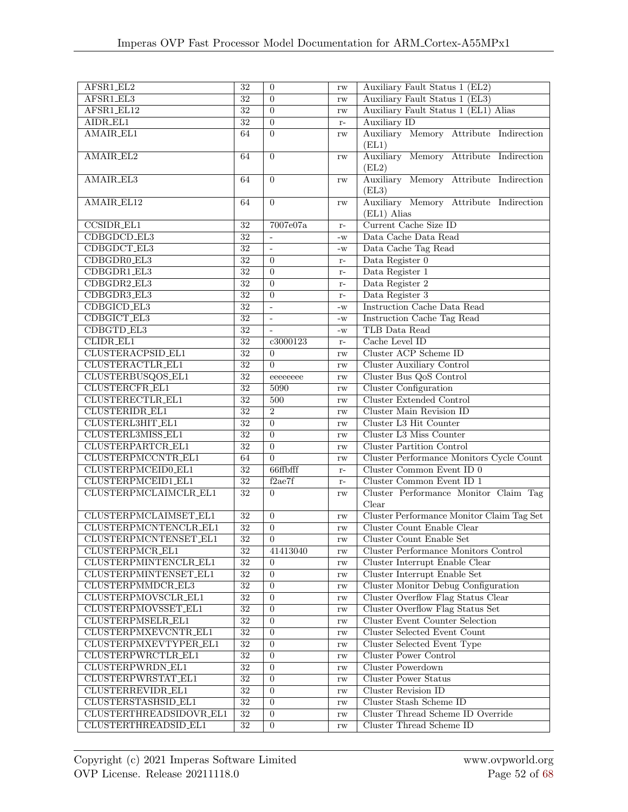| AFSR1_EL2                   | $\overline{32}$ | $\overline{0}$           | rw            | Auxiliary Fault Status 1 (EL2)            |
|-----------------------------|-----------------|--------------------------|---------------|-------------------------------------------|
| AFSR1_EL3                   | $\overline{32}$ | $\overline{0}$           | rw            | Auxiliary Fault Status 1 (EL3)            |
| AFSR1_EL12                  | $\overline{32}$ | $\overline{0}$           | rw            | Auxiliary Fault Status 1 (EL1) Alias      |
| AIDR_EL1                    | $\overline{32}$ | $\overline{0}$           | $r-$          | Auxiliary ID                              |
| AMAIR_EL1                   | 64              | $\overline{0}$           | $\mathbf{rw}$ | Auxiliary Memory Attribute Indirection    |
|                             |                 |                          |               | (EL1)                                     |
| AMAIR_EL2                   | 64              | $\overline{0}$           | rw            | Auxiliary Memory Attribute Indirection    |
|                             |                 |                          |               | (EL2)                                     |
| AMAIR_EL3                   | 64              | $\overline{0}$           | rw            | Auxiliary Memory Attribute Indirection    |
|                             |                 |                          |               | (EL3)                                     |
| AMAIR_EL12                  | 64              | $\overline{0}$           | rw            | Auxiliary Memory Attribute Indirection    |
|                             |                 |                          |               | (EL1) Alias                               |
| <b>CCSIDR_EL1</b>           | 32              | 7007e07a                 | $r-$          | Current Cache Size ID                     |
| CDBGDCD_EL3                 | $\overline{32}$ | $\sim$                   | $-W$          | Data Cache Data Read                      |
| CDBGDCT_EL3                 | 32              | $\overline{\phantom{a}}$ | $-W$          | Data Cache Tag Read                       |
| CDBGDR0_EL3                 | $\overline{32}$ | $\overline{0}$           | $r-$          | Data Register 0                           |
| CDBGDR1_EL3                 | $\overline{32}$ | $\overline{0}$           | $r-$          | Data Register 1                           |
| CDBGDR2_EL3                 | $\overline{32}$ | $\overline{0}$           | $r-$          | Data Register 2                           |
| CDBGDR3_EL3                 | $\overline{32}$ | $\overline{0}$           | $r-$          | Data Register 3                           |
| CDBGICD_EL3                 | $\overline{32}$ | $\overline{a}$           | $-W$          | <b>Instruction Cache Data Read</b>        |
| CDBGICT_EL3                 | $\overline{32}$ | $\overline{\phantom{a}}$ | $-W$          | Instruction Cache Tag Read                |
| CDBGTD_EL3                  | $\overline{32}$ | $\mathbf{r}$             | $-W$          | TLB Data Read                             |
| CLIDR_EL1                   | $\overline{32}$ | c3000123                 | $r-$          | Cache Level ID                            |
| CLUSTERACPSID_EL1           | $\overline{32}$ | $\overline{0}$           | rw            | Cluster ACP Scheme ID                     |
| CLUSTERACTLR_EL1            | $\overline{32}$ | $\overline{0}$           | rw            | <b>Cluster Auxiliary Control</b>          |
| CLUSTERBUSQOS_EL1           | $\overline{32}$ | eeeeeeee                 | rw            | Cluster Bus QoS Control                   |
| CLUSTERCFR_EL1              | $\overline{32}$ | 5090                     | rw            | <b>Cluster Configuration</b>              |
| CLUSTERECTLR_EL1            | $\overline{32}$ | 500                      | rw            | <b>Cluster Extended Control</b>           |
| CLUSTERIDR_EL1              | $\overline{32}$ | $\overline{2}$           | rw            | <b>Cluster Main Revision ID</b>           |
| CLUSTERL3HIT_EL1            | $\overline{32}$ | $\overline{0}$           | rw            | Cluster L3 Hit Counter                    |
| CLUSTERL3MISS_EL1           | $\overline{32}$ | $\overline{0}$           | rw            | Cluster L3 Miss Counter                   |
| CLUSTERPARTCR_EL1           | $\overline{32}$ | $\overline{0}$           | rw            | <b>Cluster Partition Control</b>          |
| CLUSTERPMCCNTR_EL1          | 64              | $\overline{0}$           | rw            | Cluster Performance Monitors Cycle Count  |
| CLUSTERPMCEID0_EL1          | $\overline{32}$ | 66ffbfff                 | $r-$          | Cluster Common Event ID 0                 |
| CLUSTERPMCEID1_EL1          | $\overline{32}$ | f2ae7f                   | $r-$          | Cluster Common Event ID 1                 |
| CLUSTERPMCLAIMCLR_EL1       | $\overline{32}$ | $\Omega$                 | rw            | Cluster Performance Monitor Claim Tag     |
|                             |                 |                          |               | Clear                                     |
| CLUSTERPMCLAIMSET_EL1       | $\overline{32}$ | $\overline{0}$           | rw            | Cluster Performance Monitor Claim Tag Set |
| CLUSTERPMCNTENCLR_EL1       | $\overline{32}$ | $\overline{0}$           | rw            | Cluster Count Enable Clear                |
| CLUSTERPMCNTENSET_EL1       | $32\,$          | $\overline{0}$           | rw            | Cluster Count Enable Set                  |
| $\textbf{CLUSTERPMCR\_EL1}$ | 32              | 41413040                 | rw            | Cluster Performance Monitors Control      |
| CLUSTERPMINTENCLR_EL1       | $\overline{32}$ | 0                        | rw            | Cluster Interrupt Enable Clear            |
| CLUSTERPMINTENSET_EL1       | $\overline{32}$ | $\overline{0}$           | $\mathbf{rw}$ | Cluster Interrupt Enable Set              |
| CLUSTERPMMDCR_EL3           | $32\,$          | $\boldsymbol{0}$         | $\mathbf{rw}$ | Cluster Monitor Debug Configuration       |
| CLUSTERPMOVSCLR_EL1         | $\overline{32}$ | $\boldsymbol{0}$         | rw            | Cluster Overflow Flag Status Clear        |
| CLUSTERPMOVSSET_EL1         | $\overline{32}$ | $\boldsymbol{0}$         | rw            | Cluster Overflow Flag Status Set          |
| CLUSTERPMSELR_EL1           | $\overline{32}$ | $\boldsymbol{0}$         | rw            | <b>Cluster Event Counter Selection</b>    |
| CLUSTERPMXEVCNTR_EL1        | $\overline{32}$ | $\boldsymbol{0}$         | rw            | <b>Cluster Selected Event Count</b>       |
| CLUSTERPMXEVTYPER_EL1       | $\overline{32}$ | $\boldsymbol{0}$         | rw            | Cluster Selected Event Type               |
| CLUSTERPWRCTLR_EL1          | $\overline{32}$ | $\overline{0}$           | rw            | Cluster Power Control                     |
| CLUSTERPWRDN_EL1            | $32\,$          | $\overline{0}$           | rw            | Cluster Powerdown                         |
| CLUSTERPWRSTAT_EL1          | $\overline{32}$ | $\overline{0}$           | rw            | <b>Cluster Power Status</b>               |
| CLUSTERREVIDR_EL1           | $32\,$          | 0                        | rw            | Cluster Revision ID                       |
| CLUSTERSTASHSID_EL1         | $\overline{32}$ | $\overline{0}$           | rw            | Cluster Stash Scheme ID                   |
| CLUSTERTHREADSIDOVR_EL1     | $\overline{32}$ | $\mathbf{0}$             | $\mathbf{rw}$ | Cluster Thread Scheme ID Override         |
| CLUSTERTHREADSID_EL1        | $\overline{32}$ | $\boldsymbol{0}$         | $\mathbf{rw}$ | Cluster Thread Scheme ID                  |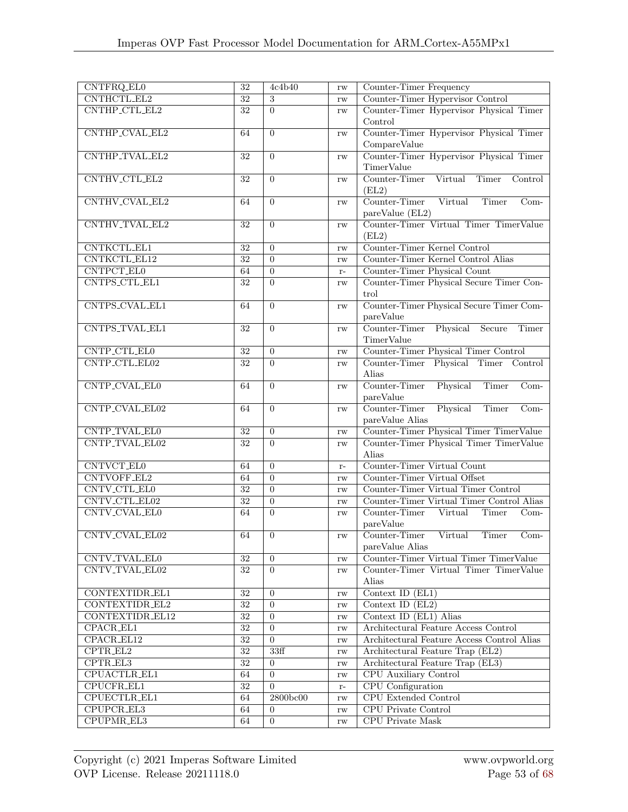| CNTFRQ_EL0               | 32                         | 4c4b40           | rw            | Counter-Timer Frequency                             |
|--------------------------|----------------------------|------------------|---------------|-----------------------------------------------------|
| CNTHCTL_EL2              | $\overline{32}$            | 3                | rw            | Counter-Timer Hypervisor Control                    |
| CNTHP_CTL_EL2            | $\overline{32}$            | $\overline{0}$   | rw            | Counter-Timer Hypervisor Physical Timer             |
|                          |                            |                  |               | Control                                             |
| CNTHP_CVAL_EL2           | 64                         | $\Omega$         | rw            | Counter-Timer Hypervisor Physical Timer             |
|                          |                            |                  |               | CompareValue                                        |
| CNTHP_TVAL_EL2           | $32\,$                     | $\overline{0}$   | rw            | Counter-Timer Hypervisor Physical Timer             |
|                          |                            |                  |               | TimerValue                                          |
| CNTHV_CTL_EL2            | 32                         | $\overline{0}$   | rw            | Counter-Timer<br>Virtual<br>Timer<br>Control        |
|                          |                            |                  |               | (EL2)                                               |
| CNTHV_CVAL_EL2           | 64                         | $\overline{0}$   | rw            | Counter-Timer<br>Virtual<br>Timer<br>$Com-$         |
|                          |                            |                  |               | pareValue (EL2)                                     |
| CNTHV_TVAL_EL2           | 32                         | $\overline{0}$   | rw            | Counter-Timer Virtual Timer TimerValue              |
|                          |                            |                  |               | (EL2)                                               |
| <b>CNTKCTL_EL1</b>       | 32                         | $\overline{0}$   | rw            | Counter-Timer Kernel Control                        |
| CNTKCTL_EL12             | 32                         | $\overline{0}$   | rw            | Counter-Timer Kernel Control Alias                  |
| CNTPCT_EL0               | 64                         | $\overline{0}$   | $r-$          | Counter-Timer Physical Count                        |
| CNTPS_CTL_EL1            | 32                         | $\overline{0}$   | rw            | Counter-Timer Physical Secure Timer Con-            |
|                          |                            |                  |               | trol                                                |
| CNTPS_CVAL_EL1           | 64                         | $\Omega$         | rw            | Counter-Timer Physical Secure Timer Com-            |
|                          |                            |                  |               | pareValue                                           |
| CNTPS_TVAL_EL1           | $32\,$                     | $\overline{0}$   |               | Counter-Timer Physical Secure<br><b>Timer</b>       |
|                          |                            |                  | rw            | TimerValue                                          |
| CNTP_CTL_EL0             | $\overline{3}\overline{2}$ | $\boldsymbol{0}$ |               | Counter-Timer Physical Timer Control                |
| CNTP_CTL_EL02            | $\overline{32}$            | $\overline{0}$   | rw            | Counter-Timer Physical Timer Control                |
|                          |                            |                  | $\mathbf{rw}$ | Alias                                               |
| CNTP_CVAL_EL0            | 64                         | $\overline{0}$   | rw            | Counter-Timer<br>Physical<br><b>Timer</b><br>$Com-$ |
|                          |                            |                  |               | pareValue                                           |
| CNTP_CVAL_EL02           | 64                         | $\overline{0}$   | rw            | Physical<br>Timer<br>Counter-Timer<br>$Com-$        |
|                          |                            |                  |               | pareValue Alias                                     |
| CNTP_TVAL_EL0            | 32                         | $\boldsymbol{0}$ | rw            | Counter-Timer Physical Timer TimerValue             |
| CNTP_TVAL_EL02           | $\overline{32}$            | $\Omega$         | rw            | Counter-Timer Physical Timer TimerValue             |
|                          |                            |                  |               | Alias                                               |
| CNTVCT_EL0               | 64                         | $\overline{0}$   | $r-$          | Counter-Timer Virtual Count                         |
| CNTVOFF_EL2              | 64                         | $\overline{0}$   | rw            | Counter-Timer Virtual Offset                        |
| CNTV_CTL_EL0             | 32                         | $\overline{0}$   | rw            | Counter-Timer Virtual Timer Control                 |
| CNTV_CTL_EL02            | $\overline{32}$            | $\overline{0}$   | rw            | Counter-Timer Virtual Timer Control Alias           |
| CNTV_CVAL_EL0            | 64                         | $\overline{0}$   | rw            | Counter-Timer<br>Virtual<br>Timer<br>$Com-$         |
|                          |                            |                  |               | pareValue                                           |
| CNTV_CVAL_EL02           | 64                         | $\overline{0}$   | $\mathbf{rw}$ | Counter-Timer<br>Virtual<br>Timer<br>$Com-$         |
|                          |                            |                  |               | pareValue Alias                                     |
| CNTV_TVAL_EL0            | 32                         | $\overline{0}$   | rw            | Counter-Timer Virtual Timer TimerValue              |
| CNTV_TVAL_EL02           | 32                         | $\Omega$         | $\mathbf{rw}$ | Counter-Timer Virtual Timer TimerValue              |
|                          |                            |                  |               | Alias                                               |
| CONTEXTIDR_EL1           | 32                         | $\overline{0}$   | rw            | Context ID (EL1)                                    |
| CONTEXTIDR_EL2           | 32                         | $\overline{0}$   | rw            | Context ID $(EL2)$                                  |
| CONTEXTIDR_EL12          | 32                         | $\overline{0}$   | $\mathbf{rw}$ | Context ID (EL1) Alias                              |
| $CPACR$ _EL1             | $\overline{32}$            | $\mathbf{0}$     | rw            | Architectural Feature Access Control                |
| $C\overline{PACR\_EL12}$ | $32\,$                     | $\boldsymbol{0}$ | rw            | Architectural Feature Access Control Alias          |
| $CPTR_EL2$               | $\overline{32}$            | 33ff             | $\mathbf{rw}$ | Architectural Feature Trap (EL2)                    |
| $CPTR_EL3$               | $\overline{32}$            | $\overline{0}$   | rw            | Architectural Feature Trap (EL3)                    |
| CPUACTLR_EL1             | 64                         | $\overline{0}$   | rw            | CPU Auxiliary Control                               |
| CPUCFR_EL1               | 32                         | $\overline{0}$   | $r-$          | CPU Configuration                                   |
| CPUECTLR_EL1             | 64                         | 2800bc00         | rw            | <b>CPU</b> Extended Control                         |
| CPUPCR_EL3               | 64                         | $\overline{0}$   | $\mathbf{rw}$ | CPU Private Control                                 |
| CPUPMR_EL3               | 64                         | $\mathbf{0}$     | $\mathbf{rw}$ | <b>CPU</b> Private Mask                             |
|                          |                            |                  |               |                                                     |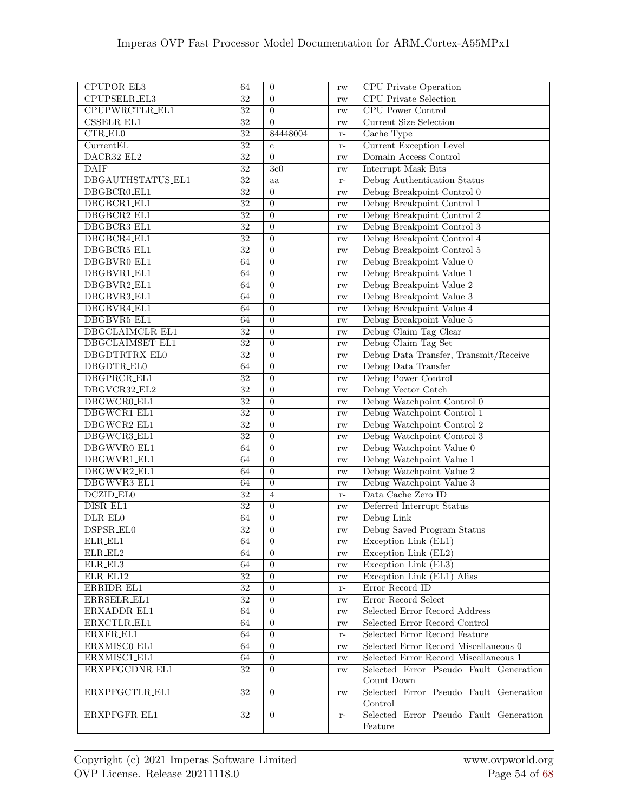| CPUPOR_EL3                 | 64              | $\overline{0}$                     | rw             | <b>CPU</b> Private Operation                 |
|----------------------------|-----------------|------------------------------------|----------------|----------------------------------------------|
| CPUPSELR_EL3               | 32              | $\overline{0}$                     | rw             | <b>CPU</b> Private Selection                 |
| CPUPWRCTLR_EL1             | $\overline{32}$ | $\overline{0}$                     | rw             | <b>CPU</b> Power Control                     |
| <b>CSSELR_EL1</b>          | 32              | $\overline{0}$                     | rw             | <b>Current Size Selection</b>                |
| $CTR$ <sub>-EL0</sub>      | $\overline{32}$ | 84448004                           | $r-$           | Cache Type                                   |
| CurrentEL                  | $\overline{32}$ | $\mathbf c$                        | $r-$           | <b>Current Exception Level</b>               |
| DACR32_EL2                 | 32              | $\overline{0}$                     | rw             | Domain Access Control                        |
| <b>DAIF</b>                | $\overline{32}$ | 3c0                                | rw             | <b>Interrupt Mask Bits</b>                   |
| DBGAUTHSTATUS_EL1          | $\overline{32}$ | aa                                 | $\mathbf{r}$ – | Debug Authentication Status                  |
| DBGBCR0_EL1                | $\overline{32}$ | $\overline{0}$                     | rw             | Debug Breakpoint Control 0                   |
| DBGBCR1_EL1                | $\overline{32}$ | $\overline{0}$                     | rw             | Debug Breakpoint Control 1                   |
| DBGBCR2_EL1                | $\overline{32}$ | $\boldsymbol{0}$                   | rw             | Debug Breakpoint Control 2                   |
| DBGBCR3_EL1                | $\overline{32}$ | $\overline{0}$                     | rw             | Debug Breakpoint Control 3                   |
| DBGBCR4_EL1                | $\overline{32}$ | $\overline{0}$                     | rw             | Debug Breakpoint Control 4                   |
| DBGBCR5_EL1                | 32              | $\overline{0}$                     |                | Debug Breakpoint Control 5                   |
| DBGBVR0_EL1                | 64              | $\overline{0}$                     | rw             | Debug Breakpoint Value 0                     |
| DBGBVR1_EL1                | 64              | $\overline{0}$                     | rw             | Debug Breakpoint Value 1                     |
| DBGBVR2_EL1                | 64              | $\overline{0}$                     | rw             | Debug Breakpoint Value 2                     |
|                            |                 |                                    | rw             | Debug Breakpoint Value 3                     |
| DBGBVR3_EL1<br>DBGBVR4_EL1 | 64              | $\overline{0}$                     | rw             | Debug Breakpoint Value 4                     |
| DBGBVR5_EL1                | 64<br>64        | $\boldsymbol{0}$<br>$\overline{0}$ | rw             | Debug Breakpoint Value 5                     |
| DBGCLAIMCLR_EL1            | $\overline{32}$ | $\overline{0}$                     | rw             |                                              |
| DBGCLAIMSET_EL1            | $\overline{32}$ | $\overline{0}$                     | rw             | Debug Claim Tag Clear<br>Debug Claim Tag Set |
| DBGDTRTRX_EL0              | $\overline{32}$ | $\overline{0}$                     | rw             | Debug Data Transfer, Transmit/Receive        |
| DBGDTR_EL0                 | 64              | $\overline{0}$                     | rw             | Debug Data Transfer                          |
| DBGPRCR_EL1                | $\overline{32}$ | $\overline{0}$                     | rw             | Debug Power Control                          |
| DBGVCR32_EL2               | $32\,$          | $\overline{0}$                     | rw             | Debug Vector Catch                           |
| DBGWCR0_EL1                | 32              | $\overline{0}$                     | rw             | Debug Watchpoint Control 0                   |
| DBGWCR1_EL1                | $\overline{32}$ | $\overline{0}$                     | rw<br>rw       | Debug Watchpoint Control 1                   |
| DBGWCR2_EL1                | $\overline{32}$ | $\overline{0}$                     | $\mathbf{rw}$  | Debug Watchpoint Control 2                   |
| DBGWCR3_EL1                | $\overline{32}$ | $\boldsymbol{0}$                   | rw             | Debug Watchpoint Control 3                   |
| DBGWVR0_EL1                | 64              | $\overline{0}$                     | rw             | Debug Watchpoint Value 0                     |
| DBGWVR1_EL1                | 64              | $\overline{0}$                     | rw             | Debug Watchpoint Value 1                     |
| DBGWVR2_EL1                | 64              | $\overline{0}$                     | rw             | Debug Watchpoint Value 2                     |
| DBGWVR3_EL1                | 64              | $\boldsymbol{0}$                   | rw             | Debug Watchpoint Value 3                     |
| DCZID_EL0                  | $32\,$          | $\overline{4}$                     | $r-$           | Data Cache Zero ID                           |
| DISR_EL1                   | $\overline{32}$ | $\overline{0}$                     | $\mathbf{rw}$  | Deferred Interrupt Status                    |
| DLR_EL0                    | 64              | $\overline{0}$                     | $\mathbf{rw}$  | Debug Link                                   |
| DSPSR_EL0                  | $\overline{32}$ | $\overline{0}$                     | $\mathbf{rw}$  | Debug Saved Program Status                   |
| ELR_EL1                    | 64              | $\overline{0}$                     | rw             | Exception Link (EL1)                         |
| ELR_EL2                    | 64              | $\overline{0}$                     | rw             | Exception Link (EL2)                         |
| ELR_EL3                    | 64              | $\overline{0}$                     | rw             | Exception Link (EL3)                         |
| ELR_EL12                   | $32\,$          | $\overline{0}$                     | rw             | Exception Link (EL1) Alias                   |
| ERRIDR_EL1                 | $32\,$          | $\overline{0}$                     | $\mathbf{r}$ – | Error Record ID                              |
| ERRSELR_EL1                | $32\,$          | $\overline{0}$                     | rw             | Error Record Select                          |
| ERXADDR_EL1                | 64              | $\overline{0}$                     | rw             | Selected Error Record Address                |
| ERXCTLR_EL1                | 64              | $\overline{0}$                     | rw             | Selected Error Record Control                |
| ERXFR_EL1                  | 64              | $\boldsymbol{0}$                   | $\mathbf{r}$ – | Selected Error Record Feature                |
| ERXMISC0_EL1               | 64              | $\overline{0}$                     | $\mathbf{rw}$  | Selected Error Record Miscellaneous 0        |
| ERXMISC1_EL1               | 64              | $\overline{0}$                     | $\mathbf{rw}$  | Selected Error Record Miscellaneous 1        |
| ERXPFGCDNR_EL1             | 32              | $\Omega$                           | $\mathbf{rw}$  | Selected Error Pseudo Fault Generation       |
|                            |                 |                                    |                | Count Down                                   |
| ERXPFGCTLR_EL1             | 32              | $\overline{0}$                     | $\mathbf{rw}$  | Selected Error Pseudo Fault Generation       |
|                            |                 |                                    |                | Control                                      |
| ERXPFGFR_EL1               | $32\,$          | $\overline{0}$                     | $r-$           | Selected Error Pseudo Fault Generation       |
|                            |                 |                                    |                | Feature                                      |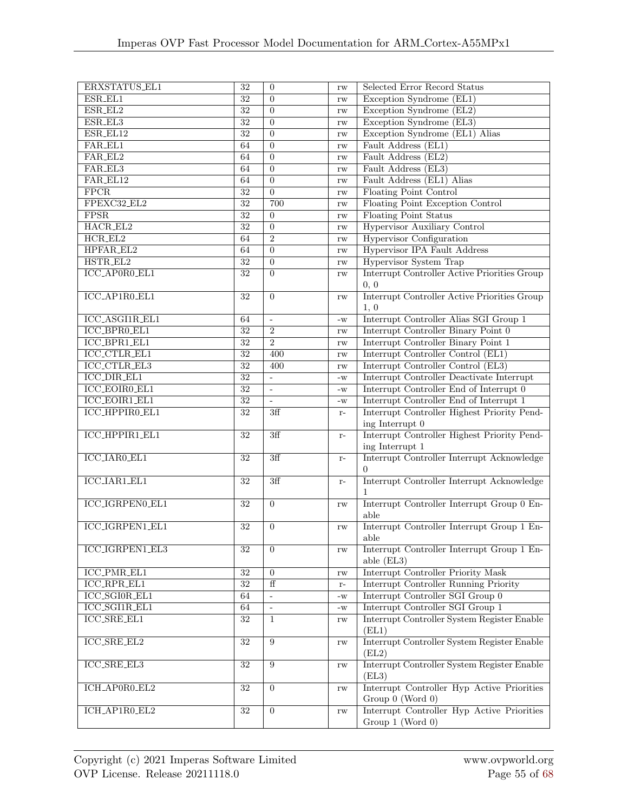| ERXSTATUS_EL1            | $32\,$          | $\boldsymbol{0}$ | rw                     | Selected Error Record Status                 |
|--------------------------|-----------------|------------------|------------------------|----------------------------------------------|
| ESR_EL1                  | $\overline{32}$ | $\theta$         | rw                     | Exception Syndrome (EL1)                     |
| ESR_EL2                  | 32              | $\overline{0}$   | rw                     | Exception Syndrome (EL2)                     |
| ESR_EL3                  | $32\,$          | $\overline{0}$   | rw                     | Exception Syndrome (EL3)                     |
| ESR_EL12                 | $\overline{32}$ | $\overline{0}$   | rw                     | Exception Syndrome (EL1) Alias               |
| FAR_EL1                  | 64              | $\overline{0}$   | rw                     | Fault Address (EL1)                          |
| FAR_EL2                  | 64              | $\overline{0}$   | rw                     | Fault Address (EL2)                          |
| FAR_EL3                  | 64              | $\overline{0}$   | rw                     | Fault Address (EL3)                          |
| FAR_EL12                 | 64              | $\overline{0}$   | rw                     | Fault Address (EL1) Alias                    |
| $\overline{\text{FPCR}}$ | $\overline{32}$ | $\overline{0}$   | rw                     | <b>Floating Point Control</b>                |
| FPEXC32_EL2              | $\overline{32}$ | 700              | rw                     | Floating Point Exception Control             |
| FPSR                     | $\overline{32}$ | $\overline{0}$   |                        | <b>Floating Point Status</b>                 |
| HACR_EL2                 | $\overline{32}$ | $\overline{0}$   | rw                     | <b>Hypervisor Auxiliary Control</b>          |
|                          |                 |                  | rw                     |                                              |
| $HCR_EL2$                | 64              | $\overline{2}$   | rw                     | <b>Hypervisor Configuration</b>              |
| HPFAR_EL2                | 64              | $\boldsymbol{0}$ | rw                     | Hypervisor IPA Fault Address                 |
| HSTR_EL2                 | $\overline{32}$ | $\overline{0}$   | rw                     | <b>Hypervisor System Trap</b>                |
| ICC_AP0R0_EL1            | $32\,$          | $\overline{0}$   | rw                     | Interrupt Controller Active Priorities Group |
|                          |                 |                  |                        | 0, 0                                         |
| ICC_AP1R0_EL1            | $32\,$          | $\overline{0}$   | rw                     | Interrupt Controller Active Priorities Group |
|                          |                 |                  |                        | 1, 0                                         |
| ICC_ASGI1R_EL1           | 64              | $\mathbf{r}$     | $-W$                   | Interrupt Controller Alias SGI Group 1       |
| ICC_BPR0_EL1             | 32              | $\overline{2}$   | rw                     | Interrupt Controller Binary Point 0          |
| ICC_BPR1_EL1             | $\overline{32}$ | $\overline{2}$   | rw                     | Interrupt Controller Binary Point 1          |
| <b>ICC_CTLR_EL1</b>      | $\overline{32}$ | 400              | rw                     | Interrupt Controller Control (EL1)           |
| <b>ICC_CTLR_EL3</b>      | $\overline{32}$ | 400              | rw                     | Interrupt Controller Control (EL3)           |
| <b>ICC_DIR_EL1</b>       | $\overline{32}$ | $\overline{a}$   | $-W$                   | Interrupt Controller Deactivate Interrupt    |
| ICC_EOIR0_EL1            | $\overline{32}$ | $\overline{a}$   | $-W$                   | Interrupt Controller End of Interrupt 0      |
| ICC_EOIR1_EL1            | $\overline{32}$ | $\overline{a}$   | $-W$                   | Interrupt Controller End of Interrupt 1      |
| ICC_HPPIR0_EL1           | 32              | 3ff              | $r-$                   | Interrupt Controller Highest Priority Pend-  |
|                          |                 |                  |                        | ing Interrupt 0                              |
| ICC_HPPIR1_EL1           | $32\,$          | 3ff              | $r-$                   | Interrupt Controller Highest Priority Pend-  |
|                          |                 |                  |                        | ing Interrupt 1                              |
| ICC_IAR0_EL1             | $32\,$          | 3ff              | $r-$                   | Interrupt Controller Interrupt Acknowledge   |
|                          |                 |                  |                        |                                              |
| <b>ICC_IAR1_EL1</b>      | $32\,$          | 3ff              | $r-$                   | Interrupt Controller Interrupt Acknowledge   |
|                          |                 |                  |                        |                                              |
| ICC_IGRPEN0_EL1          | $32\,$          | $\overline{0}$   | rw                     | Interrupt Controller Interrupt Group 0 En-   |
|                          |                 |                  |                        | able                                         |
| ICC_IGRPEN1_EL1          | 32              | $\overline{0}$   | rw                     | Interrupt Controller Interrupt Group 1 En-   |
|                          |                 |                  |                        | able                                         |
| ICC_IGRPEN1_EL3          | $32\,$          | $\overline{0}$   |                        | Interrupt Controller Interrupt Group 1 En-   |
|                          |                 |                  | rw                     | able (EL3)                                   |
|                          |                 |                  |                        |                                              |
| <b>ICC_PMR_EL1</b>       | $32\,$          | $\overline{0}$   | rw                     | <b>Interrupt Controller Priority Mask</b>    |
| <b>ICC_RPR_EL1</b>       | $32\,$          | $\overline{f}$   | $\mathbf{r}$ -         | Interrupt Controller Running Priority        |
| ICC_SGI0R_EL1            | 64              | $\Box$           | $-W$                   | Interrupt Controller SGI Group 0             |
| ICC_SGI1R_EL1            | 64              | $\Box$           | $\mathbf{-}\mathbf{W}$ | Interrupt Controller SGI Group 1             |
| ICC_SRE_EL1              | $32\,$          | $\mathbf{1}$     | $\mathbf{rw}$          | Interrupt Controller System Register Enable  |
|                          |                 |                  |                        | (EL1)                                        |
| ICC_SRE_EL2              | $\overline{32}$ | $\boldsymbol{9}$ | $\mathbf{rw}$          | Interrupt Controller System Register Enable  |
|                          |                 |                  |                        | (EL2)                                        |
| <b>ICC_SRE_EL3</b>       | $32\,$          | 9                | $\mathbf{rw}$          | Interrupt Controller System Register Enable  |
|                          |                 |                  |                        | (EL3)                                        |
| ICH_AP0R0_EL2            | $32\,$          | $\overline{0}$   | rw                     | Interrupt Controller Hyp Active Priorities   |
|                          |                 |                  |                        | Group 0 (Word 0)                             |
| ICH_AP1R0_EL2            | $\overline{32}$ | $\overline{0}$   | $\mathbf{rw}$          | Interrupt Controller Hyp Active Priorities   |
|                          |                 |                  |                        | Group 1 (Word 0)                             |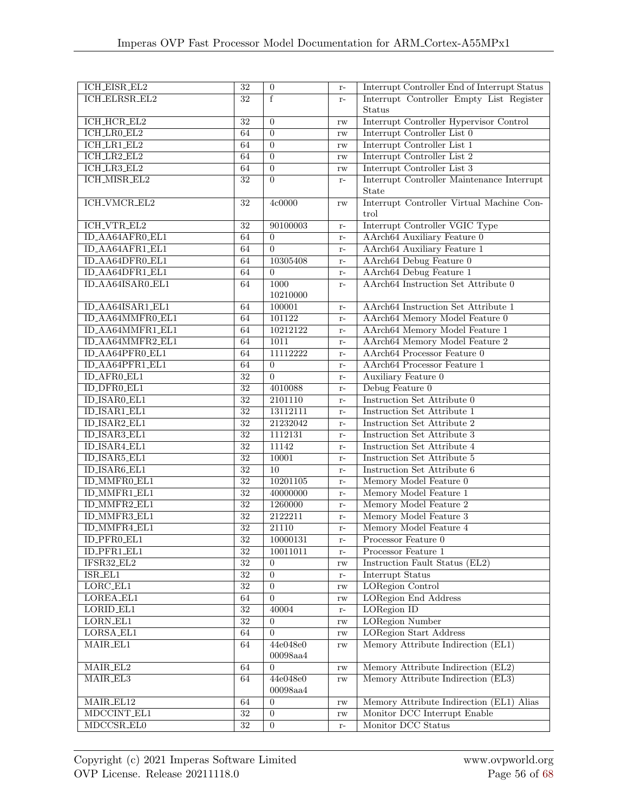| ICH_EISR_EL2           | $\overline{32}$ | $\boldsymbol{0}$ | $\mathbf{r}$ – | Interrupt Controller End of Interrupt Status |
|------------------------|-----------------|------------------|----------------|----------------------------------------------|
| <b>ICH_ELRSR_EL2</b>   | $\overline{32}$ | $\overline{f}$   | $r-$           | Interrupt Controller Empty List Register     |
|                        |                 |                  |                | <b>Status</b>                                |
| ICH_HCR_EL2            | $\overline{32}$ | $\overline{0}$   | rw             | Interrupt Controller Hypervisor Control      |
| ICH_LR0_EL2            | 64              | $\overline{0}$   | rw             | Interrupt Controller List 0                  |
| ICH_LR1_EL2            | 64              | $\overline{0}$   | rw             | Interrupt Controller List 1                  |
| $ICH_LR2_EL2$          | 64              | $\overline{0}$   | rw             | Interrupt Controller List 2                  |
| $ICH_LR3_EL2$          | 64              | $\overline{0}$   | rw             | Interrupt Controller List 3                  |
| <b>ICH_MISR_EL2</b>    | $\overline{32}$ | $\overline{0}$   |                | Interrupt Controller Maintenance Interrupt   |
|                        |                 |                  | $\mathbf{r}$ – | State                                        |
| ICH_VMCR_EL2           | $32\,$          | 4c0000           |                | Interrupt Controller Virtual Machine Con-    |
|                        |                 |                  | rw             | trol                                         |
| <b>ICH_VTR_EL2</b>     | 32              | 90100003         |                | Interrupt Controller VGIC Type               |
| ID_AA64AFR0_EL1        | 64              | $\Omega$         | $r-$           | AArch64 Auxiliary Feature 0                  |
| ID_AA64AFR1_EL1        | 64              | $\overline{0}$   | $r-$           | AArch64 Auxiliary Feature 1                  |
|                        |                 |                  | $r-$           |                                              |
| ID_AA64DFR0_EL1        | 64              | 10305408         | $\mathbf{r}$ – | AArch64 Debug Feature 0                      |
| ID_AA64DFR1_EL1        | 64              | $\overline{0}$   | $r-$           | AArch64 Debug Feature 1                      |
| ID_AA64ISAR0_EL1       | 64              | 1000             | $\mathbf{r}$ – | AArch64 Instruction Set Attribute 0          |
|                        |                 | 10210000         |                |                                              |
| ID_AA64ISAR1_EL1       | 64              | 100001           | $r-$           | AArch64 Instruction Set Attribute 1          |
| ID_AA64MMFR0_EL1       | 64              | 101122           | $\mathbf{r}$ – | AArch64 Memory Model Feature 0               |
| ID_AA64MMFR1_EL1       | 64              | 10212122         | $r-$           | AArch64 Memory Model Feature 1               |
| ID_AA64MMFR2_EL1       | 64              | 1011             | $r-$           | AArch64 Memory Model Feature 2               |
| ID_AA64PFR0_EL1        | 64              | 11112222         | $r-$           | AArch64 Processor Feature 0                  |
| ID_AA64PFR1_EL1        | 64              | $\overline{0}$   | $r-$           | AArch64 Processor Feature 1                  |
| ID_AFR0_EL1            | $\overline{32}$ | $\overline{0}$   | $r-$           | Auxiliary Feature 0                          |
| <b>ID_DFR0_EL1</b>     | $\overline{32}$ | 4010088          | $r-$           | Debug Feature 0                              |
| <b>ID_ISAR0_EL1</b>    | $\overline{32}$ | 2101110          | $r-$           | Instruction Set Attribute 0                  |
| ID_ISAR1_EL1           | $\overline{32}$ | 13112111         | $r-$           | Instruction Set Attribute 1                  |
| ID_ISAR2_EL1           | $\overline{32}$ | 21232042         | $r-$           | Instruction Set Attribute 2                  |
| <b>ID_ISAR3_EL1</b>    | $\overline{32}$ | 1112131          | $r-$           | Instruction Set Attribute 3                  |
| ID_ISAR4_EL1           | $32\,$          | 11142            | $r-$           | Instruction Set Attribute 4                  |
| ID_ISAR5_EL1           | $\overline{32}$ | 10001            | $r-$           | Instruction Set Attribute 5                  |
| ID_ISAR6_EL1           | $\overline{32}$ | $\overline{10}$  | $r-$           | Instruction Set Attribute 6                  |
| ID_MMFR0_EL1           | $\overline{32}$ | 10201105         | $r-$           | Memory Model Feature 0                       |
| ID_MMFR1_EL1           | $\overline{32}$ | 40000000         | $\mathbf{r}$ – | Memory Model Feature 1                       |
| ID_MMFR2_EL1           | $\overline{32}$ | 1260000          | $r-$           | Memory Model Feature 2                       |
| ID_MMFR3_EL1           | $\overline{32}$ | 2122211          | $r-$           | Memory Model Feature 3                       |
| ID_MMFR4_EL1           | $\overline{32}$ | 21110            | $r-$           | Memory Model Feature 4                       |
| ID_PFR0_EL1            | $32\,$          | 10000131         | $r-$           | Processor Feature $0$                        |
| ID_PFR1_EL1            | $\overline{32}$ | 10011011         | $\mathbf{r}$ – | Processor Feature 1                          |
| IFSR32_EL2             | $32\,$          | $\overline{0}$   | rw             | Instruction Fault Status (EL2)               |
| $ISR$ <sub>-EL1</sub>  | $\overline{32}$ | $\overline{0}$   | $\mathbf{r}$ – | Interrupt Status                             |
| $LORC$ $ELI$           | 32              | $\overline{0}$   | rw             | <b>LORegion Control</b>                      |
| LOREA_EL1              | 64              | $\overline{0}$   | rw             | <b>LORegion End Address</b>                  |
| LORID_EL1              | $\overline{32}$ | 40004            | $\mathbf{r}$ – | LORegion ID                                  |
| $LORN$ <sub>-EL1</sub> | $32\,$          | $\overline{0}$   | rw             | <b>LORegion Number</b>                       |
| LORSA_EL1              | 64              | $\overline{0}$   | $\mathbf{rw}$  | <b>LORegion Start Address</b>                |
| MAIR_EL1               | 64              | 44e048e0         | $\mathbf{rw}$  | Memory Attribute Indirection (EL1)           |
|                        |                 | 00098aa4         |                |                                              |
| MAIR_EL2               | 64              | $\overline{0}$   | rw             | Memory Attribute Indirection (EL2)           |
| MAIR_EL3               | 64              | 44e048e0         | $\mathbf{rw}$  | Memory Attribute Indirection (EL3)           |
|                        |                 | 00098aa4         |                |                                              |
| MAIR_EL12              | 64              | $\overline{0}$   | rw             | Memory Attribute Indirection (EL1) Alias     |
| MDCCINT_EL1            | $\overline{32}$ | $\boldsymbol{0}$ | $\mathbf{rw}$  | Monitor DCC Interrupt Enable                 |
| MDCCSR_EL0             | $\overline{32}$ | $\overline{0}$   | $\mathbf{r}$ – | Monitor DCC Status                           |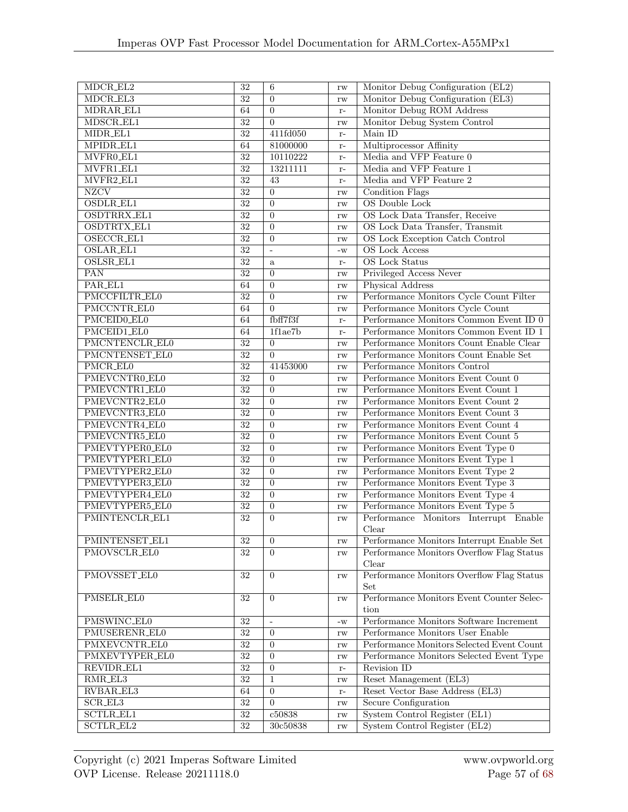| $MDCR$ <sub>-EL2</sub> | $\overline{32}$                    | $\,6\,$                            | rw                  | Monitor Debug Configuration (EL2)                |  |
|------------------------|------------------------------------|------------------------------------|---------------------|--------------------------------------------------|--|
| MDCR_EL3               | $\overline{32}$                    | $\overline{0}$                     | rw                  | Monitor Debug Configuration (EL3)                |  |
| MDRAR_EL1              | 64                                 | $\overline{0}$                     | $r-$                | Monitor Debug ROM Address                        |  |
| MDSCR_EL1              | $\overline{32}$                    | $\overline{0}$                     | rw                  | Monitor Debug System Control                     |  |
| MIDR_EL1               | $\overline{32}$                    | 411fd050                           | $r-$                | Main ID                                          |  |
| MPIDR_EL1              | 64                                 | 81000000                           | $r-$                | Multiprocessor Affinity                          |  |
| MVFR0_EL1              | $\overline{32}$                    | 10110222                           | $r-$                | Media and VFP Feature 0                          |  |
| MVFR1_EL1              | $\overline{32}$                    | 13211111                           | $r-$                | Media and VFP Feature 1                          |  |
| MVFR2_EL1              | $\overline{32}$                    | $\overline{43}$                    | $r-$                | Media and VFP Feature 2                          |  |
| <b>NZCV</b>            | $\overline{32}$                    | $\boldsymbol{0}$                   | rw                  | <b>Condition Flags</b>                           |  |
| OSDLR_EL1              | 32                                 | $\boldsymbol{0}$                   | rw                  | <b>OS</b> Double Lock                            |  |
| OSDTRRX_EL1            | $\overline{32}$                    | $\overline{0}$                     | rw                  | OS Lock Data Transfer, Receive                   |  |
| <b>OSDTRTX_EL1</b>     | $\overline{32}$                    | $\boldsymbol{0}$                   | rw                  | OS Lock Data Transfer, Transmit                  |  |
| OSECCR_EL1             | 32                                 | $\boldsymbol{0}$                   | rw                  | OS Lock Exception Catch Control                  |  |
| OSLAR_EL1              | 32                                 | $\omega$                           | $-W$                | <b>OS</b> Lock Access                            |  |
| OSLSR_EL1              | $\overline{32}$                    | $\mathbf{a}$                       | $r-$                | <b>OS</b> Lock Status                            |  |
| $\overline{PAN}$       | $\overline{32}$                    | $\overline{0}$                     | rw                  | Privileged Access Never                          |  |
| PAR_EL1                | 64                                 | $\overline{0}$                     | rw                  | Physical Address                                 |  |
| PMCCFILTR_EL0          | $\overline{32}$                    | $\boldsymbol{0}$                   | rw                  | Performance Monitors Cycle Count Filter          |  |
| PMCCNTR_EL0            | 64                                 | $\boldsymbol{0}$                   | rw                  | Performance Monitors Cycle Count                 |  |
| PMCEID0_EL0            | 64                                 | fbff7f3f                           | $r-$                | Performance Monitors Common Event ID 0           |  |
| PMCEID1_EL0            | 64                                 | 1f1ae7b                            | $r-$                | Performance Monitors Common Event ID 1           |  |
| PMCNTENCLR_EL0         | $\overline{32}$                    | $\overline{0}$                     | rw                  | Performance Monitors Count Enable Clear          |  |
| PMCNTENSET_EL0         | $\overline{32}$                    | $\overline{0}$                     | rw                  | Performance Monitors Count Enable Set            |  |
| PMCR_EL0               | 32                                 | 41453000                           | rw                  | Performance Monitors Control                     |  |
| PMEVCNTR0_EL0          | $\overline{32}$                    | $\overline{0}$                     | rw                  | Performance Monitors Event Count 0               |  |
| PMEVCNTR1_EL0          | $\overline{32}$                    | $\overline{0}$                     |                     | Performance Monitors Event Count 1               |  |
| PMEVCNTR2_EL0          | $\overline{32}$                    | $\overline{0}$                     | rw                  | Performance Monitors Event Count 2               |  |
| PMEVCNTR3_EL0          | $\overline{32}$                    | $\boldsymbol{0}$                   | rw                  | Performance Monitors Event Count 3               |  |
| PMEVCNTR4_EL0          | $\overline{32}$                    | $\boldsymbol{0}$                   | rw                  | Performance Monitors Event Count 4               |  |
| PMEVCNTR5_EL0          | $\overline{32}$                    | $\overline{0}$                     | rw                  | Performance Monitors Event Count 5               |  |
| PMEVTYPER0_EL0         | 32                                 | $\overline{0}$                     | rw                  | Performance Monitors Event Type 0                |  |
| PMEVTYPER1_EL0         | $\overline{32}$                    | $\overline{0}$                     | rw                  | Performance Monitors Event Type 1                |  |
| PMEVTYPER2_EL0         | $\overline{32}$                    | $\boldsymbol{0}$                   | rw                  | Performance Monitors Event Type 2                |  |
| PMEVTYPER3_EL0         | $\overline{32}$                    | $\overline{0}$                     | rw                  | Performance Monitors Event Type 3                |  |
| PMEVTYPER4_EL0         | $\overline{32}$                    | $\overline{0}$                     | rw                  | Performance Monitors Event Type 4                |  |
|                        |                                    |                                    | rw                  |                                                  |  |
| PMEVTYPER5_EL0         | $\overline{32}$<br>$\overline{32}$ | $\boldsymbol{0}$<br>$\overline{0}$ | rw                  | Performance Monitors Event Type 5                |  |
| PMINTENCLR_EL1         |                                    |                                    | rw                  | Performance Monitors Interrupt Enable            |  |
|                        |                                    |                                    |                     | Clear                                            |  |
| PMINTENSET_EL1         | $\overline{32}$                    | $\overline{0}$                     | $\operatorname{rw}$ | Performance Monitors Interrupt Enable Set        |  |
| PMOVSCLR_EL0           | 32                                 | 0                                  | rw                  | Performance Monitors Overflow Flag Status        |  |
|                        |                                    |                                    |                     | Clear                                            |  |
| PMOVSSET_EL0           | $32\,$                             | $\overline{0}$                     | rw                  | Performance Monitors Overflow Flag Status        |  |
|                        |                                    |                                    |                     | Set<br>Performance Monitors Event Counter Selec- |  |
| PMSELR_EL0             | $32\,$                             | $\overline{0}$                     | $\mathbf{rw}$       |                                                  |  |
|                        |                                    |                                    |                     | tion                                             |  |
| PMSWINC_EL0            | 32                                 | $\overline{a}$                     | $-W$                | Performance Monitors Software Increment          |  |
| PMUSERENR_EL0          | 32                                 | $\overline{0}$                     | rw                  | Performance Monitors User Enable                 |  |
| PMXEVCNTR_EL0          | $32\,$                             | $\overline{0}$                     | rw                  | Performance Monitors Selected Event Count        |  |
| PMXEVTYPER_EL0         | $32\,$                             | $\overline{0}$                     | rw                  | Performance Monitors Selected Event Type         |  |
| REVIDR_EL1             | $32\,$                             | $\overline{0}$                     | $r-$                | Revision ID                                      |  |
| RMR_EL3                | 32                                 | 1                                  | rw                  | Reset Management (EL3)                           |  |
| RVBAR_EL3              | 64                                 | $\boldsymbol{0}$                   | $r-$                | Reset Vector Base Address (EL3)                  |  |
| $\rm{SCR\_EL3}$        | $32\,$                             | $\overline{0}$                     | rw                  | Secure Configuration                             |  |
| <b>SCTLR_EL1</b>       | $\overline{32}$                    | c50838                             | $\mathbf{rw}$       | System Control Register (EL1)                    |  |
| SCTLR_EL2              | $\overline{32}$                    | 30c50838                           | $\mathbf{rw}$       | System Control Register (EL2)                    |  |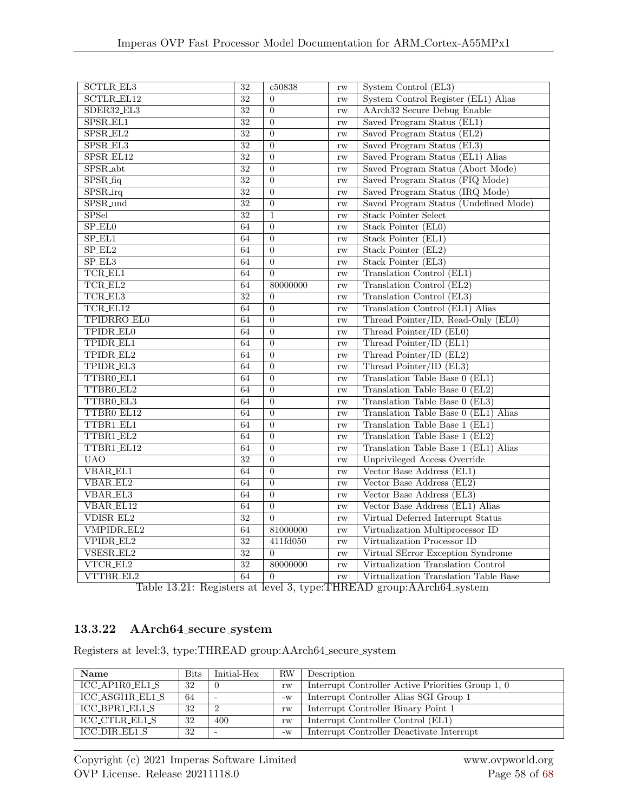| <b>SCTLR_EL3</b>      | $\overline{32}$ | c50838         | rw | System Control (EL3)                  |
|-----------------------|-----------------|----------------|----|---------------------------------------|
| <b>SCTLR_EL12</b>     | $\overline{32}$ | $\Omega$       | rw | System Control Register (EL1) Alias   |
| SDER32_EL3            | $\overline{32}$ | $\overline{0}$ | rw | <b>AArch32 Secure Debug Enable</b>    |
| SPSR_EL1              | $\overline{32}$ | $\overline{0}$ | rw | Saved Program Status (EL1)            |
| SPSR_EL2              | $\overline{32}$ | $\theta$       | rw | Saved Program Status (EL2)            |
| SPSR_EL3              | $\overline{32}$ | $\overline{0}$ | rw | Saved Program Status (EL3)            |
| SPSR_EL12             | $\overline{32}$ | $\theta$       | rw | Saved Program Status (EL1) Alias      |
| SPSR_abt              | $\overline{32}$ | $\overline{0}$ | rw | Saved Program Status (Abort Mode)     |
| $SPSR$ _fiq           | $\overline{32}$ | $\overline{0}$ | rw | Saved Program Status (FIQ Mode)       |
| $SPSR$ <sub>irq</sub> | $\overline{32}$ | $\overline{0}$ | rw | Saved Program Status (IRQ Mode)       |
| SPSR_und              | $\overline{32}$ | $\overline{0}$ | rw | Saved Program Status (Undefined Mode) |
| <b>SPSel</b>          | $\overline{32}$ | $\mathbf{1}$   | rw | <b>Stack Pointer Select</b>           |
| SP_EL0                | 64              | $\overline{0}$ | rw | Stack Pointer (EL0)                   |
| $SP_EL1$              | 64              | $\theta$       | rw | Stack Pointer (EL1)                   |
| $SP_EL2$              | 64              | $\overline{0}$ | rw | Stack Pointer (EL2)                   |
| SP <sub>EL3</sub>     | 64              | $\overline{0}$ | rw | Stack Pointer (EL3)                   |
| TCR_EL1               | 64              | $\theta$       | rw | Translation Control (EL1)             |
| TCR_EL2               | 64              | 80000000       | rw | Translation Control (EL2)             |
| TCR_EL3               | $\overline{32}$ | $\overline{0}$ | rw | Translation Control (EL3)             |
| TCR_EL12              | $\overline{64}$ | $\overline{0}$ | rw | Translation Control (EL1) Alias       |
| TPIDRRO_EL0           | 64              | $\Omega$       | rw | Thread Pointer/ID, Read-Only (EL0)    |
| TPIDR_EL0             | 64              | $\overline{0}$ | rw | Thread Pointer/ID (EL0)               |
| TPIDR_EL1             | 64              | $\Omega$       | rw | Thread Pointer/ID (EL1)               |
| TPIDR_EL2             | 64              | $\overline{0}$ | rw | Thread Pointer/ID (EL2)               |
| TPIDR_EL3             | 64              | $\Omega$       | rw | Thread Pointer/ID (EL3)               |
| TTBR0_EL1             | 64              | $\overline{0}$ | rw | Translation Table Base $0$ (EL1)      |
| TTBR0_EL2             | 64              | $\overline{0}$ | rw | Translation Table Base 0 (EL2)        |
| TTBR0_EL3             | 64              | $\overline{0}$ | rw | Translation Table Base 0 (EL3)        |
| TTBR0_EL12            | 64              | $\overline{0}$ | rw | Translation Table Base 0 (EL1) Alias  |
| TTBR1_EL1             | 64              | $\overline{0}$ | rw | Translation Table Base 1 (EL1)        |
| TTBR1_EL2             | 64              | $\overline{0}$ | rw | Translation Table Base 1 (EL2)        |
| TTBR1_EL12            | 64              | $\overline{0}$ | rw | Translation Table Base 1 (EL1) Alias  |
| <b>UAO</b>            | $\overline{32}$ | $\overline{0}$ | rw | <b>Unprivileged Access Override</b>   |
| VBAR_EL1              | 64              | $\Omega$       | rw | Vector Base Address (EL1)             |
| VBAR_EL2              | 64              | $\overline{0}$ | rw | Vector Base Address (EL2)             |
| VBAR_EL3              | 64              | $\overline{0}$ | rw | Vector Base Address (EL3)             |
| VBAR_EL12             | 64              | $\Omega$       | rw | Vector Base Address (EL1) Alias       |
| VDISR_EL2             | $\overline{32}$ | $\theta$       | rw | Virtual Deferred Interrupt Status     |
| VMPIDR_EL2            | 64              | 81000000       | rw | Virtualization Multiprocessor ID      |
| VPIDR_EL2             | $\overline{32}$ | 411fd050       | rw | Virtualization Processor ID           |
| VSESR_EL2             | $\overline{32}$ | $\Omega$       | rw | Virtual SError Exception Syndrome     |
| VTCR_EL2              | $\overline{32}$ | 80000000       | rw | Virtualization Translation Control    |
| VTTBR_EL2             | 64              | $\overline{0}$ | rw | Virtualization Translation Table Base |

Table 13.21: Registers at level 3, type:THREAD group:AArch64 system

## 13.3.22 AArch64 secure system

Registers at level:3, type:THREAD group:AArch64 secure system

| Name             | <b>Bits</b> | Initial-Hex | <b>RW</b> | Description                                       |
|------------------|-------------|-------------|-----------|---------------------------------------------------|
| ICC_AP1R0_EL1_S  | 32          |             | rw        | Interrupt Controller Active Priorities Group 1, 0 |
| ICC_ASGI1R_EL1_S | 64          |             | $-W$      | Interrupt Controller Alias SGI Group 1            |
| ICC_BPR1_EL1_S   | 32          |             | rw        | Interrupt Controller Binary Point 1               |
| ICC_CTLR_EL1_S   | 32          | 400         | rw        | Interrupt Controller Control (EL1)                |
| ICC_DIR_EL1_S    | 32          |             | $-W$      | Interrupt Controller Deactivate Interrupt         |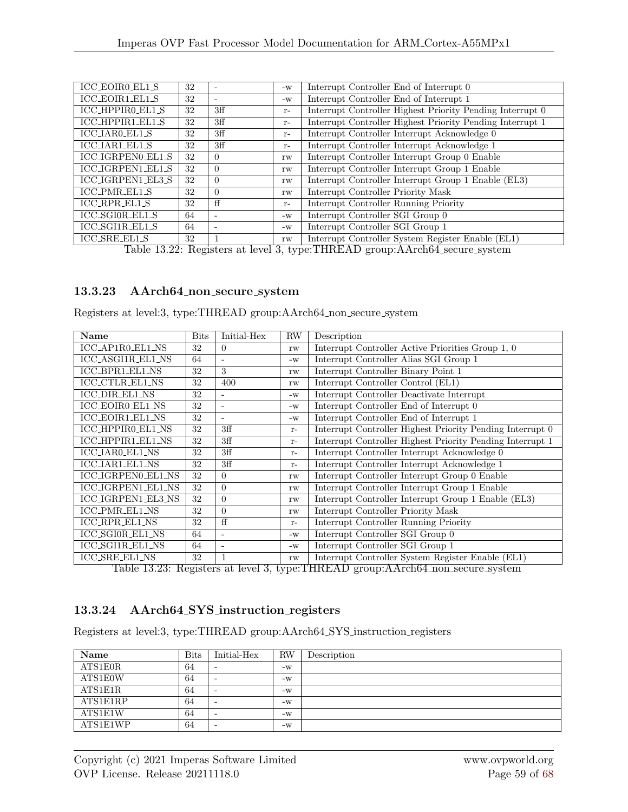| ICC_EOIR0_EL1_S      | 32 |                              | $-W$ | Interrupt Controller End of Interrupt 0                   |
|----------------------|----|------------------------------|------|-----------------------------------------------------------|
| ICC_EOIR1_EL1_S      | 32 | -                            | $-W$ | Interrupt Controller End of Interrupt 1                   |
| ICC_HPPIR0_EL1_S     | 32 | 3ff                          | $r-$ | Interrupt Controller Highest Priority Pending Interrupt 0 |
| ICC_HPPIR1_EL1_S     | 32 | 3ff                          | $r-$ | Interrupt Controller Highest Priority Pending Interrupt 1 |
| ICC_IAR0_EL1_S       | 32 | 3ff                          | $r-$ | Interrupt Controller Interrupt Acknowledge 0              |
| ICC_IAR1_EL1_S       | 32 | 3ff                          | $r-$ | Interrupt Controller Interrupt Acknowledge 1              |
| ICC_IGRPEN0_EL1_S    | 32 | $\Omega$                     | rw   | Interrupt Controller Interrupt Group 0 Enable             |
| ICC_IGRPEN1_EL1_S    | 32 | $\Omega$                     | rw   | Interrupt Controller Interrupt Group 1 Enable             |
| ICC_IGRPEN1_EL3_S    | 32 | $\Omega$                     | rw   | Interrupt Controller Interrupt Group 1 Enable (EL3)       |
| ICC_PMR_EL1_S        | 32 | $\Omega$                     | rw   | Interrupt Controller Priority Mask                        |
| <b>ICC_RPR_EL1_S</b> | 32 | ff                           | $r-$ | Interrupt Controller Running Priority                     |
| ICC_SGI0R_EL1_S      | 64 | $\qquad \qquad \blacksquare$ | $-W$ | Interrupt Controller SGI Group 0                          |
| ICC_SGI1R_EL1_S      | 64 | $\qquad \qquad \blacksquare$ | $-W$ | Interrupt Controller SGI Group 1                          |
| <b>ICC_SRE_EL1_S</b> | 32 |                              | rw   | Interrupt Controller System Register Enable (EL1)         |

Table 13.22: Registers at level 3, type:THREAD group:AArch64 secure system

#### 13.3.23 AArch64 non secure system

Registers at level:3, type:THREAD group:AArch64 non secure system

| Name                     | <b>Bits</b> | Initial-Hex              | RW   | Description                                               |
|--------------------------|-------------|--------------------------|------|-----------------------------------------------------------|
| ICC_AP1R0_EL1_NS         | 32          | $\Omega$                 | rw   | Interrupt Controller Active Priorities Group 1, 0         |
| ICC_ASGI1R_EL1_NS        | 64          | $\overline{\phantom{a}}$ | $-W$ | Interrupt Controller Alias SGI Group 1                    |
| <b>ICC_BPR1_EL1_NS</b>   | 32          | 3                        | rw   | Interrupt Controller Binary Point 1                       |
| <b>ICC_CTLR_EL1_NS</b>   | 32          | 400                      | rw   | Interrupt Controller Control (EL1)                        |
| <b>ICC_DIR_EL1_NS</b>    | 32          |                          | $-W$ | Interrupt Controller Deactivate Interrupt                 |
| <b>ICC_EOIR0_EL1_NS</b>  | 32          | $\sim$                   | $-W$ | Interrupt Controller End of Interrupt 0                   |
| <b>ICC_EOIR1_EL1_NS</b>  | 32          | $\sim$                   | $-W$ | Interrupt Controller End of Interrupt 1                   |
| ICC_HPPIR0_EL1_NS        | 32          | 3ff                      | $r-$ | Interrupt Controller Highest Priority Pending Interrupt 0 |
| <b>ICC_HPPIR1_EL1_NS</b> | 32          | 3ff                      | $r-$ | Interrupt Controller Highest Priority Pending Interrupt 1 |
| <b>ICC_IAR0_EL1_NS</b>   | 32          | 3ff                      | $r-$ | Interrupt Controller Interrupt Acknowledge 0              |
| <b>ICC_IAR1_EL1_NS</b>   | 32          | 3ff                      | $r-$ | Interrupt Controller Interrupt Acknowledge 1              |
| ICC_IGRPEN0_EL1_NS       | 32          | $\Omega$                 | rw   | Interrupt Controller Interrupt Group 0 Enable             |
| ICC_IGRPEN1_EL1_NS       | 32          | $\Omega$                 | rw   | Interrupt Controller Interrupt Group 1 Enable             |
| ICC_IGRPEN1_EL3_NS       | 32          | $\Omega$                 | rw   | Interrupt Controller Interrupt Group 1 Enable (EL3)       |
| ICC_PMR_EL1_NS           | 32          | $\Omega$                 | rw   | Interrupt Controller Priority Mask                        |
| <b>ICC_RPR_EL1_NS</b>    | 32          | ff                       | $r-$ | Interrupt Controller Running Priority                     |
| <b>ICC_SGI0R_EL1_NS</b>  | 64          | ÷.                       | $-W$ | Interrupt Controller SGI Group 0                          |
| <b>ICC_SGI1R_EL1_NS</b>  | 64          | $\overline{\phantom{a}}$ | $-W$ | Interrupt Controller SGI Group 1                          |
| <b>ICC_SRE_EL1_NS</b>    | 32          |                          | rw   | Interrupt Controller System Register Enable (EL1)         |

Table 13.23: Registers at level 3, type:THREAD group:AArch64 non secure system

#### 13.3.24 AArch64 SYS instruction registers

Registers at level:3, type:THREAD group:AArch64 SYS instruction registers

| Name     | <b>Bits</b> | Initial-Hex              | RW   | Description |
|----------|-------------|--------------------------|------|-------------|
| ATS1E0R  | 64          | $\overline{\phantom{0}}$ | $-W$ |             |
| ATS1E0W  | 64          | $\overline{\phantom{0}}$ | $-W$ |             |
| ATS1E1R  | 64          | $\overline{\phantom{0}}$ | $-W$ |             |
| ATS1E1RP | 64          | -                        | $-W$ |             |
| ATS1E1W  | 64          | $\overline{\phantom{0}}$ | $-W$ |             |
| ATS1E1WP | 64          |                          | $-W$ |             |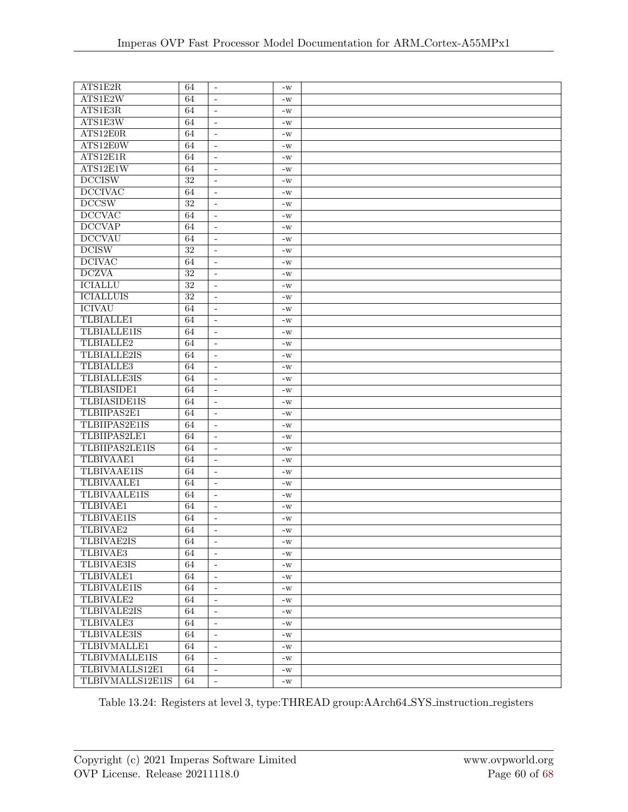| ATS1E2W<br>64<br>$\blacksquare$<br>$-W$<br>ATS1E3R<br>64<br>$\overline{\phantom{a}}$<br>$-W$<br>ATS1E3W<br>64<br>$\sim$<br>$-W$<br>64<br>$\blacksquare$ | ATS1E2R  | 64 | $\blacksquare$ | $-W$ |  |
|---------------------------------------------------------------------------------------------------------------------------------------------------------|----------|----|----------------|------|--|
|                                                                                                                                                         |          |    |                |      |  |
|                                                                                                                                                         |          |    |                |      |  |
|                                                                                                                                                         |          |    |                |      |  |
|                                                                                                                                                         | ATS12E0R |    |                | $-W$ |  |
| ATS12E0W<br>64<br>$\overline{\phantom{a}}$<br>$\mathbf{-}\mathbf{W}$                                                                                    |          |    |                |      |  |
| ATS12E1R<br>64<br>$\overline{\phantom{a}}$<br>$-W$                                                                                                      |          |    |                |      |  |
| ATS12E1W<br>64<br>$\overline{\phantom{a}}$<br>$-W$                                                                                                      |          |    |                |      |  |
| <b>DCCISW</b><br>32<br>$\sim$<br>$-W$                                                                                                                   |          |    |                |      |  |
| <b>DCCIVAC</b><br>64<br>$\overline{\phantom{a}}$<br>$-W$                                                                                                |          |    |                |      |  |
| DCCSW<br>$\overline{32}$<br>$\overline{\phantom{a}}$<br>$-W$                                                                                            |          |    |                |      |  |
| <b>DCCVAC</b><br>64<br>$\overline{\phantom{a}}$<br>$-W$                                                                                                 |          |    |                |      |  |
| DCCVAP<br>64<br>$\blacksquare$<br>$-W$                                                                                                                  |          |    |                |      |  |
| <b>DCCVAU</b><br>64<br>$\omega$<br>$-W$                                                                                                                 |          |    |                |      |  |
| <b>DCISW</b><br>$\overline{32}$<br>$\overline{\phantom{a}}$<br>$\mathbf{-}\mathbf{W}$                                                                   |          |    |                |      |  |
| <b>DCIVAC</b><br>64<br>$\overline{\phantom{a}}$<br>$\mathbf{-}\mathbf{W}$                                                                               |          |    |                |      |  |
| <b>DCZVA</b><br>32<br>$\overline{\phantom{a}}$<br>$-W$                                                                                                  |          |    |                |      |  |
| <b>ICIALLU</b><br>32<br>$\overline{\phantom{a}}$<br>$-W$                                                                                                |          |    |                |      |  |
| <b>ICIALLUIS</b><br>32<br>$\blacksquare$<br>$-W$                                                                                                        |          |    |                |      |  |
| <b>ICIVAU</b><br>64<br>$\overline{\phantom{a}}$<br>$\mathbf{-}\mathbf{W}$                                                                               |          |    |                |      |  |
| <b>TLBIALLE1</b><br>64<br>$\overline{\phantom{a}}$<br>$-W$                                                                                              |          |    |                |      |  |
| <b>TLBIALLE1IS</b><br>64<br>$\overline{\phantom{a}}$<br>$-W$                                                                                            |          |    |                |      |  |
| TLBIALLE2<br>64<br>$\sim$<br>$-W$                                                                                                                       |          |    |                |      |  |
| <b>TLBIALLE2IS</b><br>64<br>$\overline{\phantom{a}}$<br>$\mathbf{-}\mathbf{W}$                                                                          |          |    |                |      |  |
| <b>TLBIALLE3</b><br>64<br>$\overline{\phantom{a}}$<br>$\mathbf{-}\mathbf{W}$                                                                            |          |    |                |      |  |
| <b>TLBIALLE3IS</b><br>64<br>$-W$<br>$\overline{\phantom{a}}$                                                                                            |          |    |                |      |  |
| TLBIASIDE1<br>64<br>$\overline{\phantom{a}}$<br>$-W$                                                                                                    |          |    |                |      |  |
| <b>TLBIASIDE1IS</b><br>64<br>$\blacksquare$<br>$-W$                                                                                                     |          |    |                |      |  |
| TLBIIPAS2E1<br>64<br>$\overline{\phantom{a}}$<br>$-W$                                                                                                   |          |    |                |      |  |
| TLBIIPAS2E1IS<br>64<br>$\overline{\phantom{a}}$<br>$\mathbf{-}\mathbf{W}$                                                                               |          |    |                |      |  |
| TLBIIPAS2LE1<br>64<br>$\overline{\phantom{a}}$<br>$-W$                                                                                                  |          |    |                |      |  |
| TLBIIPAS2LE1IS<br>64<br>$\sim$<br>$-W$                                                                                                                  |          |    |                |      |  |
| <b>TLBIVAAE1</b><br>64<br>$\blacksquare$<br>$-W$                                                                                                        |          |    |                |      |  |
| <b>TLBIVAAE1IS</b><br>64<br>$\overline{\phantom{a}}$<br>$\mathbf{-}\mathbf{W}$                                                                          |          |    |                |      |  |
| <b>TLBIVAALE1</b><br>64<br>$\overline{\phantom{a}}$<br>$-W$                                                                                             |          |    |                |      |  |
| TLBIVAALE1IS<br>64<br>$\overline{\phantom{a}}$<br>$-W$                                                                                                  |          |    |                |      |  |
| TLBIVAE1<br>64<br>$\sim$<br>$-W$                                                                                                                        |          |    |                |      |  |
| <b>TLBIVAE1IS</b><br>64<br>$\bar{a}$<br>$-W$                                                                                                            |          |    |                |      |  |
| TLBIVAE2<br>64<br>$\overline{\phantom{a}}$<br>$-W$                                                                                                      |          |    |                |      |  |
| TLBIVAE2IS<br>$\overline{64}$<br>$\mathbf{-}\mathbf{W}$                                                                                                 |          |    |                |      |  |
| TLBIVAE3<br>64<br>$\blacksquare$<br>$-W$                                                                                                                |          |    |                |      |  |
| <b>TLBIVAE3IS</b><br>64<br>$\omega$<br>$-W$                                                                                                             |          |    |                |      |  |
| TLBIVALE1<br>64<br>$\omega$<br>$-W$                                                                                                                     |          |    |                |      |  |
| <b>TLBIVALE1IS</b><br>64<br>$\blacksquare$<br>$\mathbf{-}\mathbf{W}$                                                                                    |          |    |                |      |  |
| TLBIVALE2<br>64<br>$\mathbf{-}\mathbf{W}$<br>$\overline{\phantom{a}}$                                                                                   |          |    |                |      |  |
| TLBIVALE2IS<br>64<br>$\blacksquare$<br>$-W$                                                                                                             |          |    |                |      |  |
| TLBIVALE3<br>64<br>$\omega$<br>$-W$                                                                                                                     |          |    |                |      |  |
| <b>TLBIVALE3IS</b><br>64<br>$\overline{\phantom{a}}$<br>$\mathbf{-}\mathbf{W}$                                                                          |          |    |                |      |  |
| TLBIVMALLE1<br>64<br>$\overline{\phantom{a}}$<br>$-W$                                                                                                   |          |    |                |      |  |
| TLBIVMALLE1IS<br>64<br>$\overline{\phantom{a}}$<br>$-W$                                                                                                 |          |    |                |      |  |
| TLBIVMALLS12E1<br>64<br>$\omega$<br>$-W$                                                                                                                |          |    |                |      |  |
| TLBIVMALLS12E1IS<br>64<br>$\blacksquare$<br>$\mathbf{-}\mathbf{W}$                                                                                      |          |    |                |      |  |

Table 13.24: Registers at level 3, type:THREAD group:AArch64 SYS instruction registers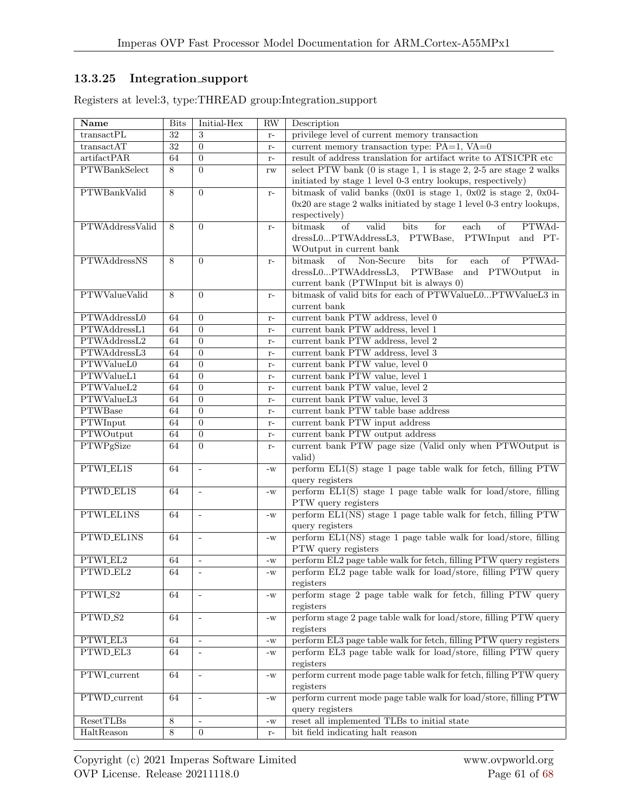## 13.3.25 Integration support

Registers at level:3, type:THREAD group:Integration support

| Name                  | <b>Bits</b> | Initial-Hex              | <b>RW</b>              | Description                                                                                  |
|-----------------------|-------------|--------------------------|------------------------|----------------------------------------------------------------------------------------------|
| transactPL            | 32          | 3                        | $r-$                   | privilege level of current memory transaction                                                |
| transactAT            | 32          | $\overline{0}$           | $r-$                   | current memory transaction type: $PA=1$ , $VA=0$                                             |
| artifactPAR           | 64          | $\overline{0}$           | $\mathbf{r}$ –         | result of address translation for artifact write to ATS1CPR etc                              |
| PTWBankSelect         | 8           | $\Omega$                 | rw                     | select PTW bank (0 is stage 1, 1 is stage 2, 2-5 are stage 2 walks                           |
|                       |             |                          |                        | initiated by stage 1 level 0-3 entry lookups, respectively)                                  |
| PTWBankValid          | 8           | $\overline{0}$           | $\mathbf{r}$ –         | bitmask of valid banks $(0x01$ is stage 1, $0x02$ is stage 2, $0x04$ -                       |
|                       |             |                          |                        | 0x20 are stage 2 walks initiated by stage 1 level 0-3 entry lookups,                         |
|                       |             |                          |                        | respectively)                                                                                |
| PTWAddressValid       | 8           | $\Omega$                 | $r-$                   | bitmask<br>bits<br>for<br>$\overline{\text{each}}$<br>PTWAd-<br><sub>of</sub><br>valid<br>of |
|                       |             |                          |                        | dressL0PTWAddressL3, PTWBase, PTWInput<br>and PT-                                            |
|                       |             |                          |                        | WOutput in current bank                                                                      |
| <b>PTWAddressNS</b>   | 8           | $\overline{0}$           | $r-$                   | bitmask<br>of Non-Secure<br>bits<br>for<br>$\overline{\text{each}}$<br>PTWAd-<br>οf          |
|                       |             |                          |                        | dressL0PTWAddressL3, PTWBase and PTWOutput in                                                |
|                       |             |                          |                        | current bank (PTWInput bit is always 0)                                                      |
| PTWValueValid         | 8           | $\Omega$                 | $r-$                   | bitmask of valid bits for each of PTWValueL0PTWValueL3 in                                    |
|                       |             |                          |                        | current bank                                                                                 |
| PTWAddressL0          | 64          | $\Omega$                 |                        | current bank PTW address, level 0                                                            |
| PTWAddressL1          |             |                          | $r-$                   |                                                                                              |
|                       | 64          | $\Omega$                 | $\mathbf{r}$ –         | current bank PTW address, level 1                                                            |
| PTWAddressL2          | 64          | $\overline{0}$           | $r-$                   | current bank PTW address, level 2                                                            |
| PTWAddressL3          | 64          | $\Omega$                 | $\mathbf{r}$ –         | current bank PTW address, level 3                                                            |
| PTWValueL0            | 64          | $\theta$                 | $\mathbf{r}$ –         | current bank PTW value, level 0                                                              |
| PTWValueL1            | 64          | $\overline{0}$           | $r-$                   | current bank PTW value, level $1$                                                            |
| PTWValueL2            | 64          | $\overline{0}$           | $r-$                   | current bank PTW value, level 2                                                              |
| PTWValueL3            | 64          | $\overline{0}$           | $r-$                   | current bank PTW value, level 3                                                              |
| <b>PTWBase</b>        | 64          | $\theta$                 | $r-$                   | current bank PTW table base address                                                          |
| PTWInput              | 64          | $\overline{0}$           | $r-$                   | current bank PTW input address                                                               |
| PTWOutput             | 64          | $\overline{0}$           | $\mathbf{r}$ –         | current bank PTW output address                                                              |
| PTWPgSize             | 64          | $\overline{0}$           | $r-$                   | current bank PTW page size (Valid only when PTWOutput is                                     |
|                       |             |                          |                        | valid)                                                                                       |
| PTWLEL1S              | 64          | $\overline{\phantom{a}}$ | $\mathbf{-}\mathbf{W}$ | perform $EL1(S)$ stage 1 page table walk for fetch, filling PTW                              |
|                       |             |                          |                        | query registers                                                                              |
| PTWD <sub>-EL1S</sub> | 64          | ÷,                       | $\mathbf{-}\mathbf{W}$ | perform EL1(S) stage 1 page table walk for load/store, filling                               |
|                       |             |                          |                        | PTW query registers                                                                          |
| PTWLEL1NS             | 64          | $\sim$                   | $\mathbf{-}\mathbf{W}$ | perform EL1(NS) stage 1 page table walk for fetch, filling PTW                               |
|                       |             |                          |                        | query registers                                                                              |
| PTWD_EL1NS            | 64          | $\overline{\phantom{a}}$ | $\mathbf{-}\mathbf{W}$ | perform EL1(NS) stage 1 page table walk for load/store, filling                              |
|                       |             |                          |                        | PTW query registers                                                                          |
| PTWLEL2               | 64          | $\mathbb{Z}^2$           | $\mathbf{-}\mathbf{W}$ | perform EL2 page table walk for fetch, filling PTW query registers                           |
| PTWD_EL2              | 64          | $\Box$                   | $\mathbf{-}\mathbf{W}$ | perform EL2 page table walk for load/store, filling PTW query                                |
|                       |             |                          |                        | registers                                                                                    |
| PTWLS2                | 64          | L.                       | $\mathbf{-}\mathbf{W}$ | perform stage 2 page table walk for fetch, filling PTW query                                 |
|                       |             |                          |                        | registers                                                                                    |
| PTWD <sub>-S2</sub>   | 64          | $\bar{\phantom{a}}$      | $\mathbf{-}\mathbf{W}$ | perform stage 2 page table walk for load/store, filling PTW query                            |
|                       |             |                          |                        | registers                                                                                    |
| PTWLEL3               | 64          | $\sim$                   | $-W$                   | perform EL3 page table walk for fetch, filling PTW query registers                           |
| PTWD_EL3              | 64          | $\overline{\phantom{a}}$ |                        | perform EL3 page table walk for load/store, filling PTW query                                |
|                       |             |                          | $\mathbf{-}\mathbf{W}$ | registers                                                                                    |
| <b>PTWL</b> current   | 64          |                          |                        | perform current mode page table walk for fetch, filling PTW query                            |
|                       |             | $\overline{\phantom{a}}$ | $\mathbf{-}\mathbf{W}$ |                                                                                              |
| PTWD_current          |             |                          |                        | registers                                                                                    |
|                       | 64          | ÷,                       | $\mathbf{-}\mathbf{W}$ | perform current mode page table walk for load/store, filling PTW                             |
|                       |             |                          |                        | query registers                                                                              |
| ResetTLBs             | 8           | $\overline{\phantom{a}}$ | $\mathbf{-}\mathbf{W}$ | reset all implemented TLBs to initial state                                                  |
| HaltReason            | 8           | $\overline{0}$           | $\mathbf{r}$ –         | bit field indicating halt reason                                                             |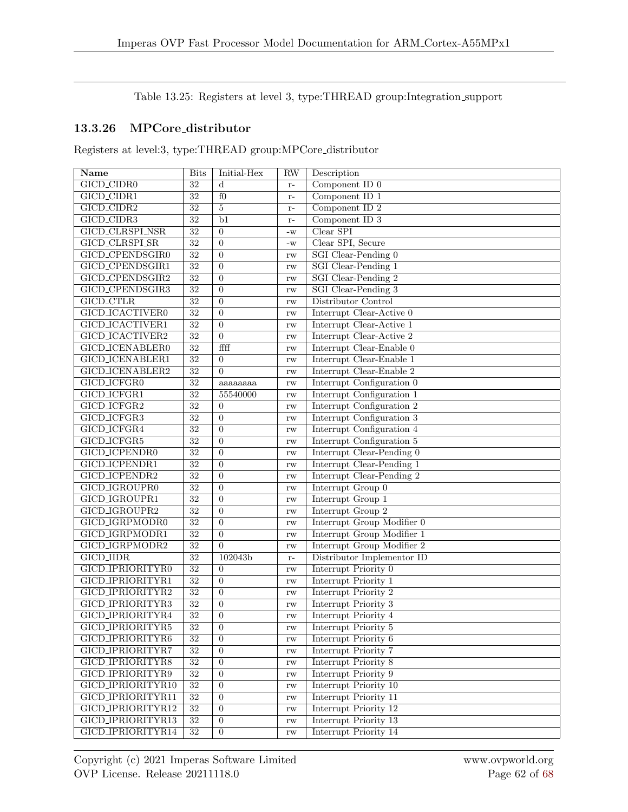Table 13.25: Registers at level 3, type:THREAD group:Integration support

## 13.3.26 MPCore distributor

Registers at level:3, type:THREAD group:MPCore distributor

| Name                    | <b>Bits</b>     | Initial-Hex      | <b>RW</b>              | Description                |
|-------------------------|-----------------|------------------|------------------------|----------------------------|
| GICD_CIDR0              | $\overline{32}$ | d                | $r-$                   | Component ID $0$           |
| GICD_CIDR1              | $\overline{32}$ | $f_{0}$          | $r-$                   | Component ID $1$           |
| GICD_CIDR2              | $\overline{32}$ | $\bf 5$          | $r-$                   | Component ID $2$           |
| GICD_CIDR3              | $\overline{32}$ | b1               | $\mathbf{r}$ –         | Component ID 3             |
| GICD_CLRSPLNSR          | $\overline{32}$ | $\theta$         | $\mathbf{-}\mathbf{W}$ | Clear SPI                  |
| GICD_CLRSPLSR           | $\overline{32}$ | $\overline{0}$   | $\mathbf{-}\mathbf{W}$ | Clear SPI, Secure          |
| GICD_CPENDSGIR0         | $\overline{32}$ | $\overline{0}$   | rw                     | SGI Clear-Pending 0        |
| GICD_CPENDSGIR1         | 32              | $\overline{0}$   | rw                     | <b>SGI</b> Clear-Pending 1 |
| GICD_CPENDSGIR2         | $\overline{32}$ | $\boldsymbol{0}$ | rw                     | <b>SGI</b> Clear-Pending 2 |
| GICD_CPENDSGIR3         | $\overline{32}$ | $\overline{0}$   | rw                     | <b>SGI</b> Clear-Pending 3 |
| <b>GICD_CTLR</b>        | $\overline{32}$ | $\overline{0}$   | rw                     | Distributor Control        |
| GICD_ICACTIVER0         | $\overline{32}$ | $\overline{0}$   | rw                     | Interrupt Clear-Active 0   |
| <b>GICD_ICACTIVER1</b>  | $\overline{32}$ | $\overline{0}$   | $\mathbf{rw}$          | Interrupt Clear-Active 1   |
| GICD_ICACTIVER2         | $\overline{32}$ | $\overline{0}$   | $\mathbf{rw}$          | Interrupt Clear-Active 2   |
| GICD_ICENABLER0         | $\overline{32}$ | ffff             | $\mathbf{rw}$          | Interrupt Clear-Enable 0   |
| <b>GICD_ICENABLER1</b>  | $\overline{32}$ | $\boldsymbol{0}$ | rw                     | Interrupt Clear-Enable 1   |
| GICD_ICENABLER2         | $\overline{32}$ | $\overline{0}$   | rw                     | Interrupt Clear-Enable 2   |
| GICD_ICFGR0             | $\overline{32}$ | aaaaaaaa         | rw                     | Interrupt Configuration 0  |
| GICD_ICFGR1             | 32              | 55540000         | $\mathbf{rw}$          | Interrupt Configuration 1  |
| GICD_ICFGR2             | $\overline{32}$ | $\overline{0}$   | $\mathbf{rw}$          | Interrupt Configuration 2  |
| GICD_ICFGR3             | $\overline{32}$ | $\overline{0}$   | $\mathbf{rw}$          | Interrupt Configuration 3  |
| GICD_ICFGR4             | $\overline{32}$ | $\overline{0}$   | rw                     | Interrupt Configuration 4  |
| GICD_ICFGR5             | $32\,$          | $\overline{0}$   | rw                     | Interrupt Configuration 5  |
| <b>GICD_ICPENDR0</b>    | 32              | $\overline{0}$   | rw                     | Interrupt Clear-Pending 0  |
| GICD_ICPENDR1           | $\overline{32}$ | $\overline{0}$   | rw                     | Interrupt Clear-Pending 1  |
| GICD_ICPENDR2           | $\overline{32}$ | $\overline{0}$   | rw                     | Interrupt Clear-Pending 2  |
| GICD_IGROUPR0           | $\overline{32}$ | $\overline{0}$   | rw                     | Interrupt Group 0          |
| GICD_IGROUPR1           | $\overline{32}$ | $\overline{0}$   | $\mathbf{rw}$          | Interrupt Group 1          |
| GICD_IGROUPR2           | 32              | $\overline{0}$   | $\mathbf{rw}$          | Interrupt Group 2          |
| GICD_IGRPMODR0          | $\overline{32}$ | $\overline{0}$   | $\mathbf{rw}$          | Interrupt Group Modifier 0 |
| GICD_IGRPMODR1          | $\overline{32}$ | $\boldsymbol{0}$ | rw                     | Interrupt Group Modifier 1 |
| GICD_IGRPMODR2          | $32\,$          | $\overline{0}$   | rw                     | Interrupt Group Modifier 2 |
| <b>GICD_IIDR</b>        | $\overline{32}$ | 102043b          | $\mathbf{r}$ –         | Distributor Implementor ID |
| GICD_IPRIORITYR0        | $\overline{32}$ | $\overline{0}$   | $\mathbf{rw}$          | Interrupt Priority 0       |
| <b>GICD_IPRIORITYR1</b> | $\overline{32}$ | $\theta$         | $\mathbf{rw}$          | Interrupt Priority 1       |
| GICD_IPRIORITYR2        | $\overline{32}$ | $\boldsymbol{0}$ | rw                     | Interrupt Priority 2       |
| GICD_IPRIORITYR3        | $\overline{32}$ | $\boldsymbol{0}$ | $\mathbf{rw}$          | Interrupt Priority 3       |
| GICD_IPRIORITYR4        | $\overline{32}$ | $\boldsymbol{0}$ | $\mathbf{rw}$          | Interrupt Priority 4       |
| GICD_IPRIORITYR5        | $\overline{32}$ | $\boldsymbol{0}$ | $\mathbf{rw}$          | Interrupt Priority 5       |
| GICD_IPRIORITYR6        | 32              | $\overline{0}$   | $\mathbf{rw}$          | Interrupt Priority 6       |
| GICD_IPRIORITYR7        | $32\,$          | $\overline{0}$   | $\mathbf{rw}$          | Interrupt Priority 7       |
| GICD_IPRIORITYR8        | $\overline{32}$ | $\overline{0}$   | $\mathbf{rw}$          | Interrupt Priority 8       |
| GICD_IPRIORITYR9        | $32\,$          | $\boldsymbol{0}$ | $\mathbf{rw}$          | Interrupt Priority 9       |
| GICD_IPRIORITYR10       | $\overline{32}$ | $\boldsymbol{0}$ | $\mathbf{rw}$          | Interrupt Priority 10      |
| GICD_IPRIORITYR11       | $\overline{32}$ | $\overline{0}$   | $\mathbf{rw}$          | Interrupt Priority 11      |
| GICD_IPRIORITYR12       | $\overline{32}$ | $\boldsymbol{0}$ | $\mathbf{rw}$          | Interrupt Priority 12      |
| GICD_IPRIORITYR13       | $\overline{32}$ | $\overline{0}$   | $\mathbf{rw}$          | Interrupt Priority 13      |
| GICD_IPRIORITYR14       | $\overline{32}$ | $\overline{0}$   | $\mathbf{rw}$          | Interrupt Priority 14      |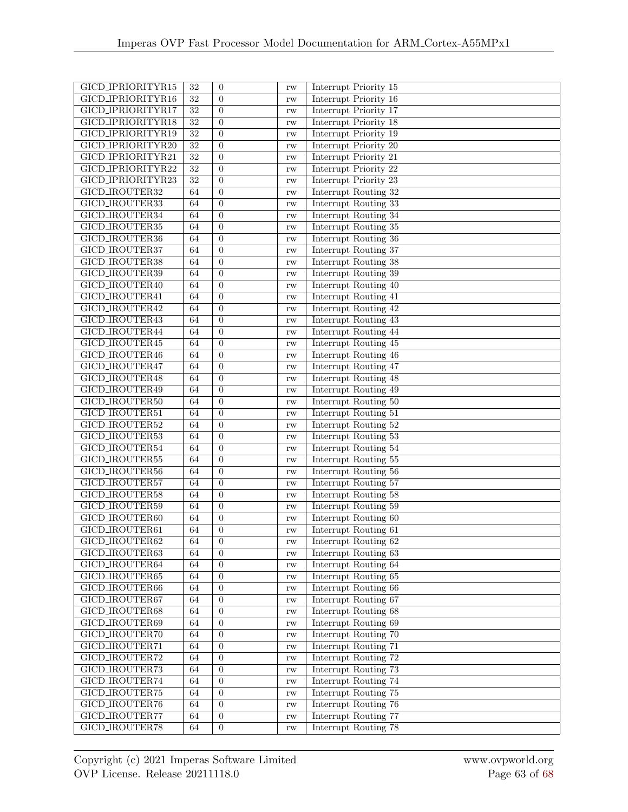| GICD_IPRIORITYR15     | 32              | $\overline{0}$   | rw            | Interrupt Priority 15        |
|-----------------------|-----------------|------------------|---------------|------------------------------|
| GICD_IPRIORITYR16     | $32\,$          | $\Omega$         | rw            | Interrupt Priority 16        |
| GICD_IPRIORITYR17     | $\overline{32}$ | $\overline{0}$   | rw            | Interrupt Priority 17        |
| GICD_IPRIORITYR18     | $\overline{32}$ | $\Omega$         | rw            | <b>Interrupt Priority 18</b> |
| GICD_IPRIORITYR19     | $\overline{32}$ | $\overline{0}$   | rw            | Interrupt Priority 19        |
| GICD_IPRIORITYR20     | $\overline{32}$ | $\overline{0}$   | rw            | Interrupt Priority 20        |
| GICD_IPRIORITYR21     | $\overline{32}$ | $\Omega$         | rw            | Interrupt Priority 21        |
| GICD_IPRIORITYR22     | $\overline{32}$ | $\overline{0}$   | rw            | Interrupt Priority 22        |
| GICD_IPRIORITYR23     | $\overline{32}$ | $\Omega$         | rw            | Interrupt Priority 23        |
| GICD_IROUTER32        | 64              | $\overline{0}$   | rw            | Interrupt Routing 32         |
| GICD_IROUTER33        | 64              | $\overline{0}$   | rw            | Interrupt Routing 33         |
| GICD_IROUTER34        | 64              | $\theta$         | rw            | Interrupt Routing 34         |
| <b>GICD_IROUTER35</b> | 64              | $\overline{0}$   | $\rm rw$      | <b>Interrupt Routing 35</b>  |
| GICD_IROUTER36        | 64              | $\overline{0}$   | rw            | Interrupt Routing 36         |
| GICD_IROUTER37        | 64              | $\overline{0}$   | rw            | Interrupt Routing 37         |
| <b>GICD_IROUTER38</b> | 64              | $\overline{0}$   | rw            | Interrupt Routing 38         |
| GICD_IROUTER39        | 64              | $\overline{0}$   | rw            | Interrupt Routing 39         |
| GICD_IROUTER40        | 64              | $\Omega$         | rw            | Interrupt Routing 40         |
| GICD_IROUTER41        | 64              | $\overline{0}$   | rw            | Interrupt Routing 41         |
| GICD_IROUTER42        | 64              | $\overline{0}$   | rw            | Interrupt Routing 42         |
| GICD_IROUTER43        | 64              | $\overline{0}$   | rw            | Interrupt Routing 43         |
| GICD_IROUTER44        | 64              | $\theta$         |               | Interrupt Routing 44         |
| GICD_IROUTER45        | 64              | $\overline{0}$   | rw            | Interrupt Routing 45         |
|                       |                 |                  | rw            |                              |
| GICD_IROUTER46        | 64              | $\overline{0}$   | rw            | Interrupt Routing 46         |
| GICD_IROUTER47        | 64              | $\overline{0}$   | rw            | Interrupt Routing 47         |
| GICD_IROUTER48        | 64              | $\overline{0}$   | rw            | Interrupt Routing 48         |
| GICD_IROUTER49        | 64              | $\Omega$         | rw            | Interrupt Routing 49         |
| GICD_IROUTER50        | 64              | $\overline{0}$   | rw            | Interrupt Routing 50         |
| GICD_IROUTER51        | 64              | $\overline{0}$   | rw            | Interrupt Routing 51         |
| GICD_IROUTER52        | 64              | $\overline{0}$   | rw            | Interrupt Routing 52         |
| <b>GICD_IROUTER53</b> | 64              | $\theta$         | rw            | Interrupt Routing 53         |
| GICD_IROUTER54        | 64              | $\Omega$         | rw            | Interrupt Routing 54         |
| GICD_IROUTER55        | 64              | $\overline{0}$   | rw            | Interrupt Routing 55         |
| GICD_IROUTER56        | 64              | $\overline{0}$   | rw            | Interrupt Routing 56         |
| GICD_IROUTER57        | 64              | $\overline{0}$   | rw            | Interrupt Routing 57         |
| GICD_IROUTER58        | 64              | $\overline{0}$   | rw            | Interrupt Routing 58         |
| GICD_IROUTER59        | 64              | $\overline{0}$   | rw            | Interrupt Routing 59         |
| GICD_IROUTER60        | 64              | $\overline{0}$   | rw            | Interrupt Routing 60         |
| GICD_IROUTER61        | 64              | $\theta$         | rw            | Interrupt Routing 61         |
| GICD_IROUTER62        | 64              | 0                | rw            | Interrupt Routing 62         |
| GICD_IROUTER63        | 64              | $\overline{0}$   | $\rm rw$      | Interrupt Routing 63         |
| GICD_IROUTER64        | 64              | $\theta$         | $\rm rw$      | Interrupt Routing 64         |
| GICD_IROUTER65        | 64              | $\overline{0}$   | $\mathbf{rw}$ | Interrupt Routing 65         |
| GICD_IROUTER66        | 64              | $\overline{0}$   | $\mathbf{rw}$ | Interrupt Routing 66         |
| GICD_IROUTER67        | 64              | $\boldsymbol{0}$ | $\rm rw$      | Interrupt Routing 67         |
| GICD_IROUTER68        | 64              | $\overline{0}$   |               | Interrupt Routing 68         |
|                       |                 |                  | $\rm rw$      |                              |
| GICD_IROUTER69        | 64              | $\overline{0}$   | $\rm rw$      | Interrupt Routing 69         |
| GICD_IROUTER70        | 64              | $\overline{0}$   | $\rm rw$      | Interrupt Routing 70         |
| GICD_IROUTER71        | 64              | $\theta$         | rw            | Interrupt Routing 71         |
| GICD_IROUTER72        | 64              | $\overline{0}$   | $\rm rw$      | Interrupt Routing 72         |
| GICD_IROUTER73        | 64              | $\theta$         | $\rm rw$      | Interrupt Routing 73         |
| GICD_IROUTER74        | 64              | $\boldsymbol{0}$ | $\mathbf{rw}$ | Interrupt Routing 74         |
| GICD_IROUTER75        | 64              | $\boldsymbol{0}$ | $\mathbf{rw}$ | Interrupt Routing 75         |
| GICD_IROUTER76        | 64              | $\overline{0}$   | $\mathbf{rw}$ | Interrupt Routing 76         |
| GICD_IROUTER77        | 64              | $\theta$         | $\rm rw$      | <b>Interrupt Routing 77</b>  |
| GICD_IROUTER78        | 64              | $\boldsymbol{0}$ | $\mathbf{rw}$ | Interrupt Routing 78         |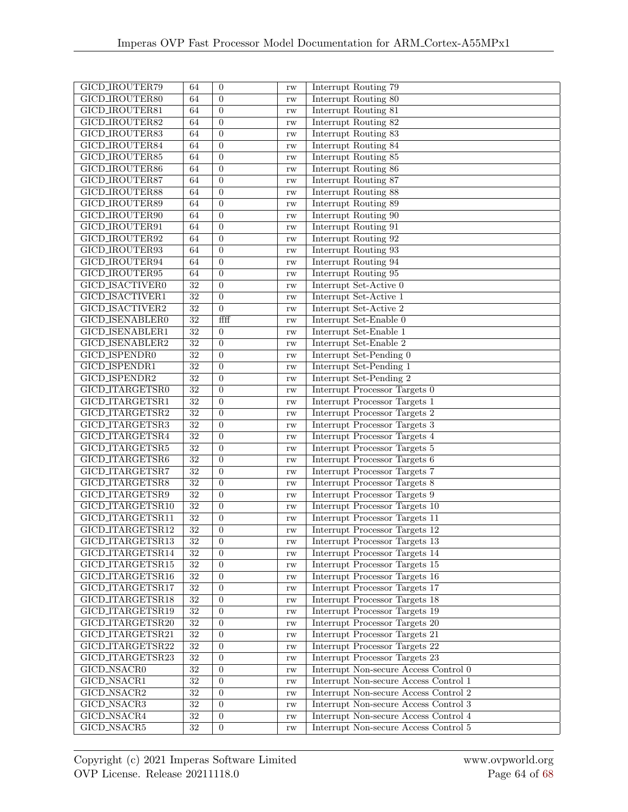| GICD_IROUTER79         | 64              | $\overline{0}$   | rw            | Interrupt Routing 79                    |
|------------------------|-----------------|------------------|---------------|-----------------------------------------|
| GICD_IROUTER80         | 64              | $\theta$         | rw            | Interrupt Routing 80                    |
| GICD_IROUTER81         | 64              | $\theta$         | rw            | Interrupt Routing 81                    |
| GICD_IROUTER82         | 64              | $\overline{0}$   | rw            | Interrupt Routing 82                    |
| GICD_IROUTER83         | 64              | $\overline{0}$   | rw            | Interrupt Routing 83                    |
| GICD_IROUTER84         | 64              | $\Omega$         | rw            | Interrupt Routing 84                    |
| GICD_IROUTER85         | 64              | $\overline{0}$   |               | Interrupt Routing 85                    |
| GICD_IROUTER86         | 64              | $\Omega$         | rw            | Interrupt Routing 86                    |
| GICD_IROUTER87         | 64              | $\theta$         | rw            | Interrupt Routing 87                    |
| GICD_IROUTER88         | 64              | $\overline{0}$   | rw            | Interrupt Routing 88                    |
| GICD_IROUTER89         |                 |                  | rw            | Interrupt Routing 89                    |
|                        | 64              | $\theta$         | rw            |                                         |
| GICD_IROUTER90         | 64              | $\overline{0}$   | rw            | Interrupt Routing 90                    |
| GICD_IROUTER91         | 64              | $\overline{0}$   | rw            | Interrupt Routing 91                    |
| GICD_IROUTER92         | 64              | $\boldsymbol{0}$ | rw            | Interrupt Routing 92                    |
| GICD_IROUTER93         | 64              | $\overline{0}$   | rw            | Interrupt Routing 93                    |
| GICD_IROUTER94         | 64              | $\overline{0}$   | rw            | Interrupt Routing 94                    |
| GICD_IROUTER95         | 64              | $\overline{0}$   | rw            | Interrupt Routing 95                    |
| GICD_ISACTIVER0        | 32              | $\overline{0}$   | rw            | Interrupt Set-Active 0                  |
| GICD_ISACTIVER1        | $\overline{32}$ | $\overline{0}$   | rw            | Interrupt Set-Active 1                  |
| <b>GICD_ISACTIVER2</b> | $\overline{32}$ | $\overline{0}$   | rw            | Interrupt Set-Active 2                  |
| <b>GICD_ISENABLER0</b> | $\overline{32}$ | ffff             | $\mathbf{rw}$ | Interrupt Set-Enable 0                  |
| <b>GICD_ISENABLER1</b> | $\overline{32}$ | $\theta$         | rw            | Interrupt Set-Enable 1                  |
| <b>GICD_ISENABLER2</b> | $\overline{32}$ | $\boldsymbol{0}$ | rw            | Interrupt Set-Enable 2                  |
| GICD_ISPENDR0          | $\overline{32}$ | $\overline{0}$   | rw            | Interrupt Set-Pending 0                 |
| <b>GICD_ISPENDR1</b>   | 32              | $\overline{0}$   | rw            | Interrupt Set-Pending 1                 |
| <b>GICD_ISPENDR2</b>   | $\overline{32}$ | $\Omega$         | rw            | Interrupt Set-Pending 2                 |
| GICD_ITARGETSR0        | $\overline{32}$ | $\overline{0}$   | rw            | Interrupt Processor Targets 0           |
| GICD_ITARGETSR1        | $\overline{32}$ | $\overline{0}$   | rw            | Interrupt Processor Targets 1           |
| GICD_ITARGETSR2        | $\overline{32}$ | $\overline{0}$   | rw            | Interrupt Processor Targets 2           |
| GICD_ITARGETSR3        | $\overline{32}$ | $\theta$         | rw            | Interrupt Processor Targets 3           |
| GICD_ITARGETSR4        | $\overline{32}$ | $\overline{0}$   | rw            | Interrupt Processor Targets 4           |
| GICD_ITARGETSR5        | $\overline{32}$ | $\overline{0}$   | rw            | Interrupt Processor Targets 5           |
| GICD_ITARGETSR6        | $\overline{32}$ | $\boldsymbol{0}$ | rw            | Interrupt Processor Targets 6           |
| GICD_ITARGETSR7        | $\overline{32}$ | $\overline{0}$   | rw            | Interrupt Processor Targets 7           |
| GICD_ITARGETSR8        | $\overline{32}$ | $\overline{0}$   | rw            | Interrupt Processor Targets 8           |
| GICD_ITARGETSR9        | $\overline{32}$ | $\overline{0}$   | rw            | Interrupt Processor Targets 9           |
| GICD_ITARGETSR10       | $\overline{32}$ | $\boldsymbol{0}$ | rw            | Interrupt Processor Targets 10          |
| GICD_ITARGETSR11       | $\overline{32}$ | $\overline{0}$   | rw            | Interrupt Processor Targets 11          |
| GICD_ITARGETSR12       | 32              | $\overline{0}$   | rw            | Interrupt Processor Targets 12          |
| GICD_ITARGETSR13       | $\overline{32}$ | $\cup$           | $\rm rw$      | Interrupt Processor Targets 13          |
| GICD_ITARGETSR14       | $\overline{32}$ | $\theta$         | $\mathbf{rw}$ | Interrupt Processor Targets 14          |
| GICD_ITARGETSR15       | $\overline{32}$ | $\overline{0}$   | $\rm rw$      | Interrupt Processor Targets 15          |
| GICD_ITARGETSR16       | $\overline{32}$ | $\boldsymbol{0}$ | $\mathbf{rw}$ | Interrupt Processor Targets 16          |
| GICD_ITARGETSR17       | $\overline{32}$ | $\boldsymbol{0}$ | rw            | Interrupt Processor Targets 17          |
| GICD_ITARGETSR18       | $\overline{32}$ | $\overline{0}$   | rw            | Interrupt Processor Targets 18          |
| GICD_ITARGETSR19       | 32              | $\overline{0}$   |               | Interrupt Processor Targets 19          |
| GICD_ITARGETSR20       | $\overline{32}$ | $\overline{0}$   | rw            | Interrupt Processor Targets 20          |
| GICD_ITARGETSR21       | $\overline{32}$ |                  | $\rm rw$      | Interrupt Processor Targets 21          |
|                        | $\overline{32}$ | $\mathbf{0}$     | $\mathbf{rw}$ | Interrupt Processor Targets 22          |
| GICD_ITARGETSR22       |                 | $\overline{0}$   | $\rm rw$      |                                         |
| GICD_ITARGETSR23       | $\overline{32}$ | $\overline{0}$   | $\rm rw$      | Interrupt Processor Targets 23          |
| GICD_NSACR0            | $\overline{32}$ | $\overline{0}$   | $\mathbf{rw}$ | Interrupt Non-secure Access Control 0   |
| GICD_NSACR1            | $\overline{32}$ | $\boldsymbol{0}$ | $\mathbf{rw}$ | Interrupt Non-secure Access Control 1   |
| GICD_NSACR2            | $\overline{32}$ | $\boldsymbol{0}$ | $\mathbf{rw}$ | Interrupt Non-secure Access Control $2$ |
| GICD_NSACR3            | $32\,$          | $\overline{0}$   | $\rm rw$      | Interrupt Non-secure Access Control 3   |
| <b>GICD_NSACR4</b>     | $32\,$          | $\boldsymbol{0}$ | rw            | Interrupt Non-secure Access Control 4   |
| GICD_NSACR5            | $\overline{32}$ | $\overline{0}$   | $\rm rw$      | Interrupt Non-secure Access Control 5   |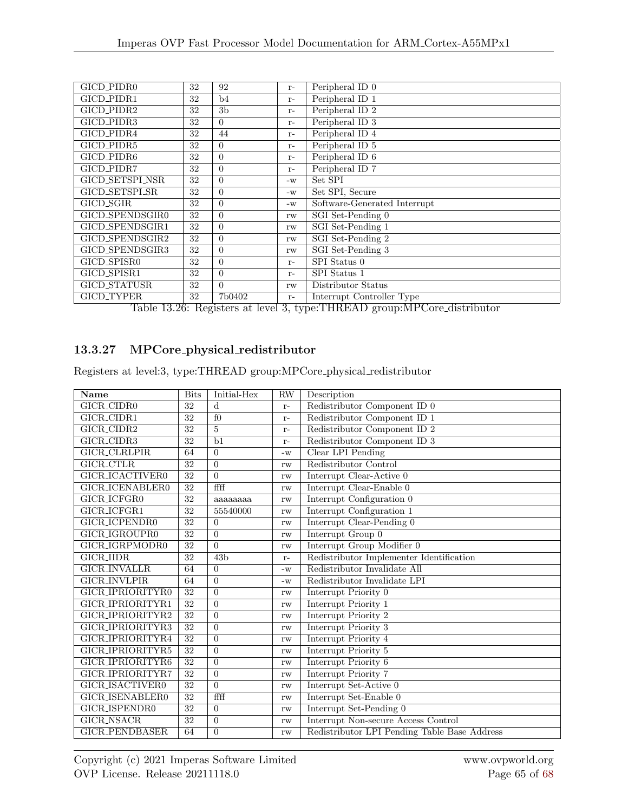| GICD_PIDR0        | 32 | 92             | $r-$ | Peripheral ID <sub>0</sub>   |
|-------------------|----|----------------|------|------------------------------|
| GICD_PIDR1        | 32 | b4             | $r-$ | Peripheral ID <sub>1</sub>   |
| GICD_PIDR2        | 32 | 3 <sub>b</sub> | $r-$ | Peripheral ID <sub>2</sub>   |
| GICD_PIDR3        | 32 | $\Omega$       | $r-$ | Peripheral ID <sub>3</sub>   |
| GICD_PIDR4        | 32 | 44             | $r-$ | Peripheral ID <sub>4</sub>   |
| GICD_PIDR5        | 32 | $\Omega$       | $r-$ | Peripheral ID 5              |
| GICD_PIDR6        | 32 | $\Omega$       | $r-$ | Peripheral ID 6              |
| GICD_PIDR7        | 32 | $\Omega$       | $r-$ | Peripheral ID <sub>7</sub>   |
| GICD_SETSPLNSR    | 32 | $\Omega$       | $-W$ | Set SPI                      |
| GICD_SETSPL_SR    | 32 | $\Omega$       | $-W$ | Set SPI, Secure              |
| GICD_SGIR         | 32 | $\Omega$       | $-W$ | Software-Generated Interrupt |
| GICD_SPENDSGIR0   | 32 | $\Omega$       | rw   | SGI Set-Pending 0            |
| GICD_SPENDSGIR1   | 32 | $\Omega$       | rw   | SGI Set-Pending 1            |
| GICD_SPENDSGIR2   | 32 | $\Omega$       | rw   | SGI Set-Pending 2            |
| GICD_SPENDSGIR3   | 32 | $\Omega$       | rw   | SGI Set-Pending 3            |
| GICD_SPISR0       | 32 | $\Omega$       | $r-$ | SPI Status 0                 |
| GICD_SPISR1       | 32 | $\Omega$       | $r-$ | SPI Status 1                 |
| GICD_STATUSR      | 32 | $\Omega$       | rw   | Distributor Status           |
| <b>GICD_TYPER</b> | 32 | 7b0402         | $r-$ | Interrupt Controller Type    |

Table 13.26: Registers at level 3, type:THREAD group:MPCore distributor

## 13.3.27 MPCore physical redistributor

Registers at level:3, type:THREAD group:MPCore physical redistributor

| Name                   | <b>Bits</b>     | Initial-Hex      | <b>RW</b> | Description                                  |
|------------------------|-----------------|------------------|-----------|----------------------------------------------|
| GICR_CIDR0             | 32              | $\mathbf d$      | $r-$      | Redistributor Component ID 0                 |
| GICR_CIDR1             | 32              | $f_{0}$          | $r-$      | Redistributor Component ID 1                 |
| GICR_CIDR2             | 32              | $\overline{5}$   | $r-$      | Redistributor Component ID 2                 |
| GICR_CIDR3             | 32              | $\overline{b1}$  | $r-$      | Redistributor Component ID 3                 |
| <b>GICR_CLRLPIR</b>    | 64              | $\overline{0}$   | $-W$      | Clear LPI Pending                            |
| <b>GICR_CTLR</b>       | 32              | $\overline{0}$   | rw        | Redistributor Control                        |
| GICR_ICACTIVER0        | $\overline{32}$ | $\overline{0}$   | rw        | Interrupt Clear-Active 0                     |
| GICR_ICENABLER0        | 32              | ffff             | rw        | Interrupt Clear-Enable 0                     |
| GICR_ICFGR0            | 32              | aaaaaaaa         | rw        | Interrupt Configuration 0                    |
| GICR_ICFGR1            | 32              | 55540000         | rw        | Interrupt Configuration 1                    |
| GICR_ICPENDR0          | $\overline{32}$ | $\overline{0}$   | rw        | Interrupt Clear-Pending 0                    |
| GICR_IGROUPR0          | 32              | $\Omega$         | rw        | Interrupt Group 0                            |
| GICR_IGRPMODR0         | 32              | $\Omega$         | rw        | Interrupt Group Modifier 0                   |
| <b>GICR_IIDR</b>       | 32              | 43 <sub>b</sub>  | $r-$      | Redistributor Implementer Identification     |
| <b>GICR_INVALLR</b>    | 64              | $\Omega$         | $-W$      | Redistributor Invalidate All                 |
| <b>GICR_INVLPIR</b>    | 64              | $\Omega$         | $-W$      | Redistributor Invalidate LPI                 |
| GICR_IPRIORITYR0       | 32              | $\overline{0}$   | rw        | Interrupt Priority 0                         |
| GICR_IPRIORITYR1       | 32              | $\Omega$         | rw        | Interrupt Priority 1                         |
| GICR_IPRIORITYR2       | 32              | $\overline{0}$   | rw        | Interrupt Priority 2                         |
| GICR_IPRIORITYR3       | 32              | $\overline{0}$   | rw        | Interrupt Priority 3                         |
| GICR_IPRIORITYR4       | $\overline{32}$ | $\overline{0}$   | rw        | Interrupt Priority 4                         |
| GICR_IPRIORITYR5       | $\overline{32}$ | $\overline{0}$   | rw        | Interrupt Priority 5                         |
| GICR_IPRIORITYR6       | 32              | $\overline{0}$   | rw        | Interrupt Priority 6                         |
| GICR_IPRIORITYR7       | 32              | $\overline{0}$   | rw        | Interrupt Priority 7                         |
| GICR_ISACTIVER0        | 32              | $\Omega$         | rw        | Interrupt Set-Active 0                       |
| <b>GICR_ISENABLER0</b> | $\overline{32}$ | ffff             | rw        | Interrupt Set-Enable 0                       |
| <b>GICR_ISPENDR0</b>   | 32              | $\overline{0}$   | rw        | Interrupt Set-Pending 0                      |
| <b>GICR_NSACR</b>      | $\overline{32}$ | $\overline{0}$   | rw        | Interrupt Non-secure Access Control          |
| <b>GICR_PENDBASER</b>  | 64              | $\boldsymbol{0}$ | rw        | Redistributor LPI Pending Table Base Address |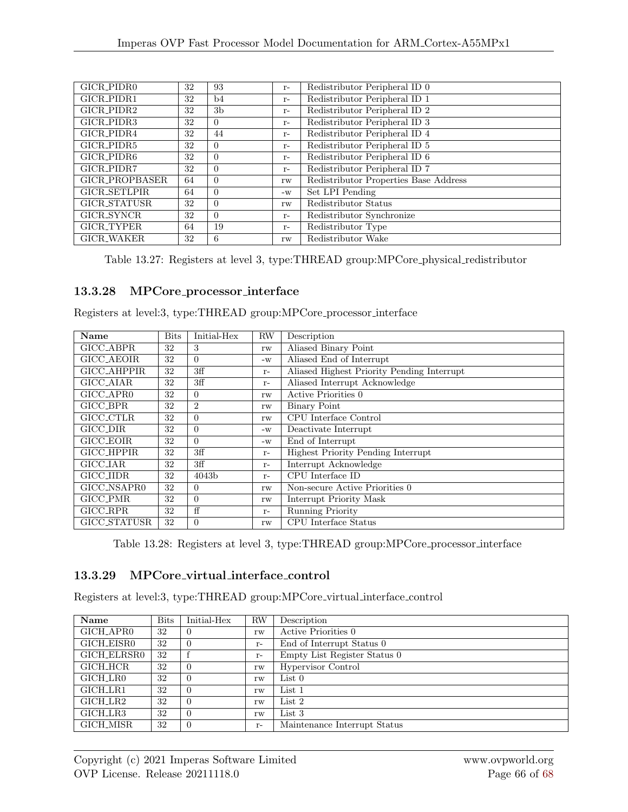| GICR_PIDR0          | 32 | 93             | $r-$ | Redistributor Peripheral ID 0         |
|---------------------|----|----------------|------|---------------------------------------|
| GICR_PIDR1          | 32 | b4             | $r-$ | Redistributor Peripheral ID 1         |
| GICR_PIDR2          | 32 | 3 <sub>b</sub> | $r-$ | Redistributor Peripheral ID 2         |
| GICR_PIDR3          | 32 | $\Omega$       | $r-$ | Redistributor Peripheral ID 3         |
| GICR_PIDR4          | 32 | 44             | $r-$ | Redistributor Peripheral ID 4         |
| GICR_PIDR5          | 32 | $\Omega$       | $r-$ | Redistributor Peripheral ID 5         |
| GICR_PIDR6          | 32 | $\Omega$       | $r-$ | Redistributor Peripheral ID 6         |
| GICR_PIDR7          | 32 | $\Omega$       | $r-$ | Redistributor Peripheral ID 7         |
| GICR_PROPBASER      | 64 | $\Omega$       | rw   | Redistributor Properties Base Address |
| <b>GICR_SETLPIR</b> | 64 | $\Omega$       | $-W$ | Set LPI Pending                       |
| GICR_STATUSR        | 32 | $\Omega$       | rw   | Redistributor Status                  |
| GICR_SYNCR          | 32 | $\Omega$       | $r-$ | Redistributor Synchronize             |
| GICR_TYPER          | 64 | 19             | $r-$ | Redistributor Type                    |
| <b>GICR_WAKER</b>   | 32 | 6              | rw   | Redistributor Wake                    |

Table 13.27: Registers at level 3, type:THREAD group:MPCore physical redistributor

#### 13.3.28 MPCore processor interface

Registers at level:3, type:THREAD group:MPCore processor interface

| Name               | <b>Bits</b> | Initial-Hex       | <b>RW</b> | Description                                |
|--------------------|-------------|-------------------|-----------|--------------------------------------------|
| GICC_ABPR          | 32          | 3                 | rw        | Aliased Binary Point                       |
| GICC_AEOIR         | 32          | $\Omega$          | $-W$      | Aliased End of Interrupt                   |
| <b>GICC_AHPPIR</b> | 32          | 3ff               | $r-$      | Aliased Highest Priority Pending Interrupt |
| GICC_AIAR          | 32          | 3ff               | $r-$      | Aliased Interrupt Acknowledge              |
| GICC_APR0          | 32          | $\Omega$          | rw        | Active Priorities 0                        |
| GICC_BPR           | 32          | $\overline{2}$    | rw        | Binary Point                               |
| GICC_CTLR          | 32          | $\Omega$          | rw        | CPU Interface Control                      |
| GICC_DIR           | 32          | $\Omega$          | $-W$      | Deactivate Interrupt                       |
| GICC_EOIR          | 32          | $\Omega$          | $-W$      | End of Interrupt                           |
| <b>GICC_HPPIR</b>  | 32          | 3ff               | $r-$      | <b>Highest Priority Pending Interrupt</b>  |
| <b>GICC_IAR</b>    | 32          | 3ff               | $r-$      | Interrupt Acknowledge                      |
| <b>GICC_IIDR</b>   | 32          | 4043 <sub>b</sub> | $r-$      | CPU Interface ID                           |
| GICC_NSAPR0        | 32          | $\Omega$          | rw        | Non-secure Active Priorities 0             |
| GICC_PMR           | 32          | $\Omega$          | rw        | Interrupt Priority Mask                    |
| GICC_RPR           | 32          | ff                | $r-$      | Running Priority                           |
| GICC_STATUSR       | 32          | $\Omega$          | rw        | CPU Interface Status                       |

Table 13.28: Registers at level 3, type:THREAD group:MPCore processor interface

### 13.3.29 MPCore virtual interface control

Registers at level:3, type:THREAD group:MPCore virtual interface control

| Name        | <b>Bits</b> | Initial-Hex | <b>RW</b> | Description                  |
|-------------|-------------|-------------|-----------|------------------------------|
| GICH_APR0   | 32          |             | rw        | Active Priorities 0          |
| GICH_EISR0  | 32          |             | $r-$      | End of Interrupt Status 0    |
| GICH_ELRSR0 | 32          |             | $r-$      | Empty List Register Status 0 |
| GICH_HCR    | 32          |             | rw        | Hypervisor Control           |
| GICH_LR0    | 32          |             | rw        | List 0                       |
| GICH_LR1    | 32          |             | rw        | List 1                       |
| GICH_LR2    | 32          |             | rw        | List 2                       |
| GICH_LR3    | 32          |             | rw        | $List\,3$                    |
| GICH_MISR   | 32          |             | $r-$      | Maintenance Interrupt Status |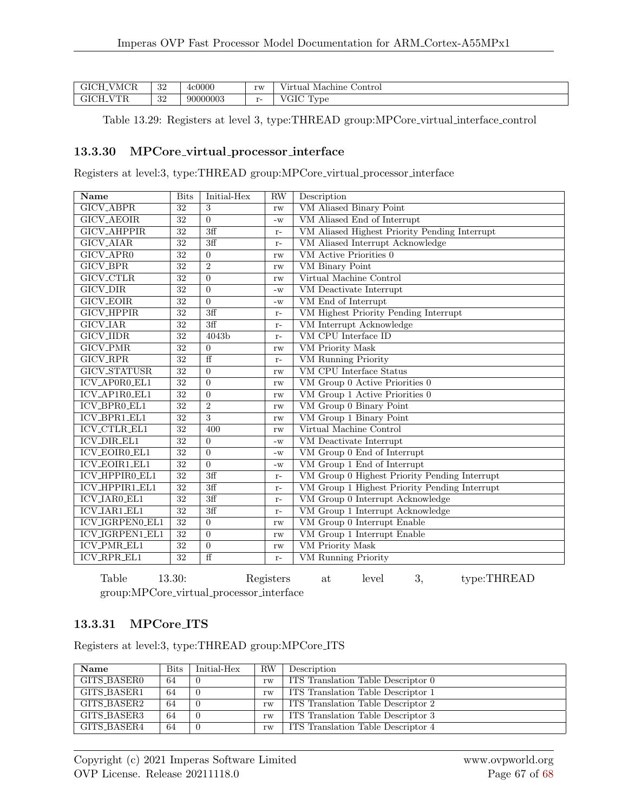| -VMCR<br>JIVII. 1 | ാറ<br>ు∠  | 4c0000   | rw                | T T<br>Control<br>≀irtual<br>Machine                      |
|-------------------|-----------|----------|-------------------|-----------------------------------------------------------|
| (/TE<br>11 J J    | ച<br>- OZ | 90000003 | $\mathbf{v}$<br>- | $T$ $T$ $T$ $T$<br>$\mathbf{r}$<br>vpe<br>UI!<br><b>.</b> |

Table 13.29: Registers at level 3, type:THREAD group:MPCore virtual interface control

#### 13.3.30 MPCore virtual processor interface

Registers at level:3, type:THREAD group:MPCore virtual processor interface

| Name                   | <b>Bits</b>     | Initial-Hex      | <b>RW</b> | Description                                   |
|------------------------|-----------------|------------------|-----------|-----------------------------------------------|
| <b>GICV_ABPR</b>       | 32              | 3                | rw        | VM Aliased Binary Point                       |
| <b>GICV_AEOIR</b>      | 32              | $\Omega$         | $-W$      | VM Aliased End of Interrupt                   |
| <b>GICV_AHPPIR</b>     | 32              | 3ff              | $r-$      | VM Aliased Highest Priority Pending Interrupt |
| <b>GICV_AIAR</b>       | 32              | $\overline{3ff}$ | $r-$      | VM Aliased Interrupt Acknowledge              |
| <b>GICV_APR0</b>       | 32              | $\Omega$         | rw        | VM Active Priorities 0                        |
| <b>GICV_BPR</b>        | 32              | $\overline{2}$   | rw        | <b>VM</b> Binary Point                        |
| <b>GICV_CTLR</b>       | 32              | $\Omega$         | rw        | Virtual Machine Control                       |
| <b>GICV_DIR</b>        | 32              | $\Omega$         | $-W$      | VM Deactivate Interrupt                       |
| <b>GICV_EOIR</b>       | 32              | $\Omega$         | $-W$      | VM End of Interrupt                           |
| <b>GICV_HPPIR</b>      | 32              | 3ff              | $r-$      | VM Highest Priority Pending Interrupt         |
| <b>GICV_IAR</b>        | 32              | 3ff              | $r-$      | VM Interrupt Acknowledge                      |
| <b>GICV_IIDR</b>       | 32              | 4043b            | $r-$      | VM CPU Interface ID                           |
| <b>GICV_PMR</b>        | 32              | $\Omega$         | rw        | <b>VM</b> Priority Mask                       |
| <b>GICV_RPR</b>        | $\overline{32}$ | $\overline{f}$   | $r-$      | <b>VM Running Priority</b>                    |
| <b>GICV_STATUSR</b>    | 32              | $\Omega$         | rw        | VM CPU Interface Status                       |
| ICV_AP0R0_EL1          | 32              | $\Omega$         | rw        | VM Group 0 Active Priorities 0                |
| ICV_AP1R0_EL1          | 32              | $\Omega$         | rw        | VM Group 1 Active Priorities 0                |
| ICV_BPR0_EL1           | $\overline{32}$ | $\overline{2}$   | rw        | VM Group 0 Binary Point                       |
| <b>ICV_BPR1_EL1</b>    | $\overline{32}$ | 3                | rw        | VM Group 1 Binary Point                       |
| ICV_CTLR_EL1           | 32              | 400              | rw        | Virtual Machine Control                       |
| <b>ICV_DIR_EL1</b>     | 32              | $\Omega$         | $-W$      | VM Deactivate Interrupt                       |
| <b>ICV_EOIR0_EL1</b>   | 32              | $\Omega$         | $-W$      | VM Group 0 End of Interrupt                   |
| <b>ICV_EOIR1_EL1</b>   | 32              | $\Omega$         | $-W$      | VM Group 1 End of Interrupt                   |
| ICV_HPPIR0_EL1         | 32              | 3ff              | $r-$      | VM Group 0 Highest Priority Pending Interrupt |
| ICV_HPPIR1_EL1         | 32              | 3ff              | $r-$      | VM Group 1 Highest Priority Pending Interrupt |
| <b>ICV_IAR0_EL1</b>    | 32              | $\overline{3ff}$ | $r-$      | VM Group 0 Interrupt Acknowledge              |
| ICV_IAR1_EL1           | 32              | 3ff              | $r-$      | VM Group 1 Interrupt Acknowledge              |
| ICV_IGRPEN0_EL1        | $\overline{32}$ | $\Omega$         | rw        | VM Group 0 Interrupt Enable                   |
| <b>ICV_IGRPEN1_EL1</b> | 32              | $\Omega$         | rw        | VM Group 1 Interrupt Enable                   |
| ICV_PMR_EL1            | 32              | $\theta$         | rw        | <b>VM</b> Priority Mask                       |
| ICV_RPR_EL1            | 32              | $\overline{f}$   | $r-$      | <b>VM</b> Running Priority                    |

Table 13.30: Registers at level 3, type:THREAD group:MPCore virtual processor interface

#### 13.3.31 MPCore ITS

Registers at level:3, type:THREAD group:MPCore ITS

| Name        | <b>Bits</b> | Initial-Hex | RW | Description                        |
|-------------|-------------|-------------|----|------------------------------------|
| GITS_BASER0 | 64          |             | rw | ITS Translation Table Descriptor 0 |
| GITS_BASER1 | -64         |             | rw | ITS Translation Table Descriptor 1 |
| GITS_BASER2 | 64          |             | rw | ITS Translation Table Descriptor 2 |
| GITS_BASER3 | 64          |             | rw | ITS Translation Table Descriptor 3 |
| GITS_BASER4 | -64         |             | rw | ITS Translation Table Descriptor 4 |